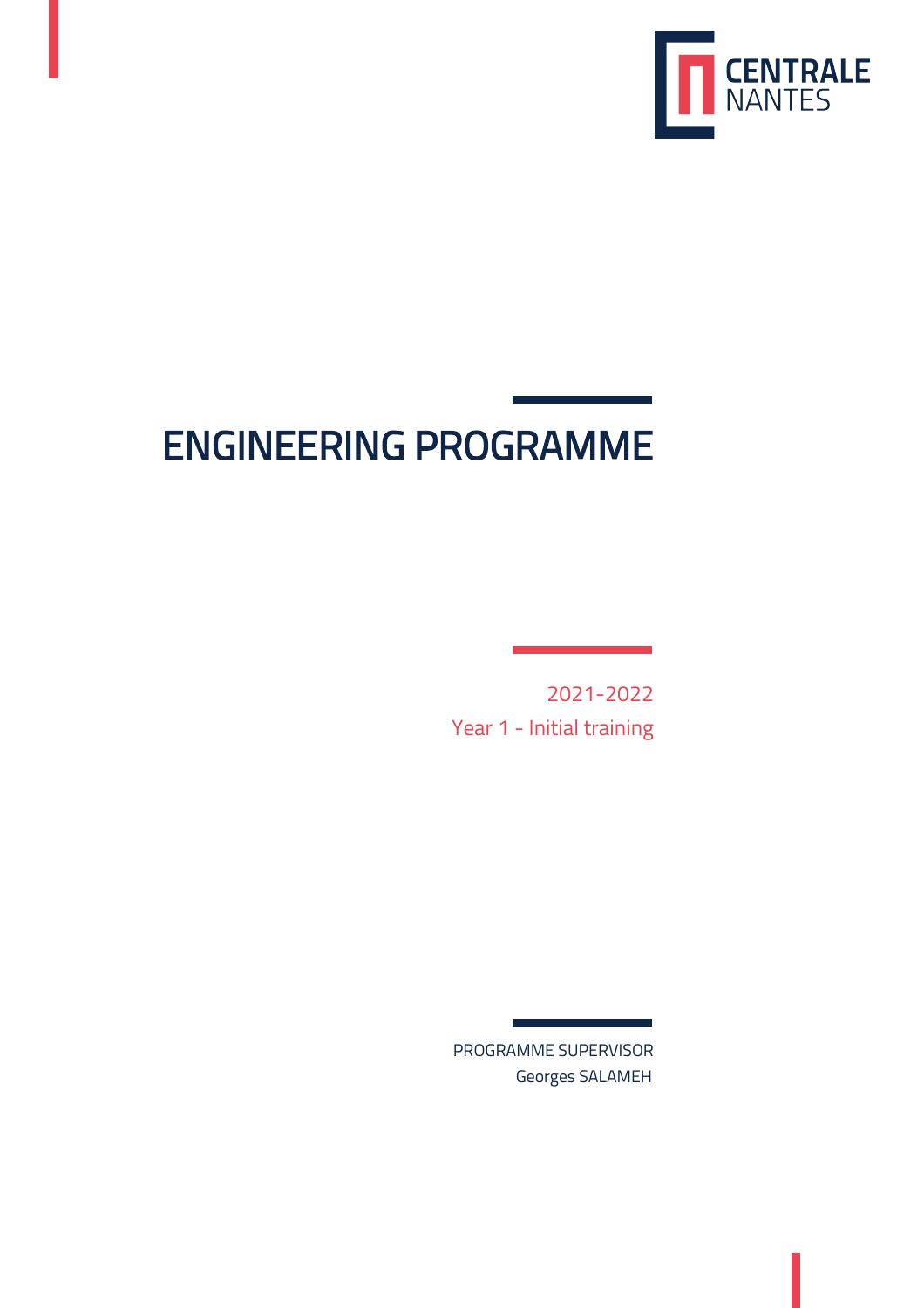

# ENGINEERING PROGRAMME

2021-2022 Year 1 - Initial training

PROGRAMME SUPERVISOR Georges SALAMEH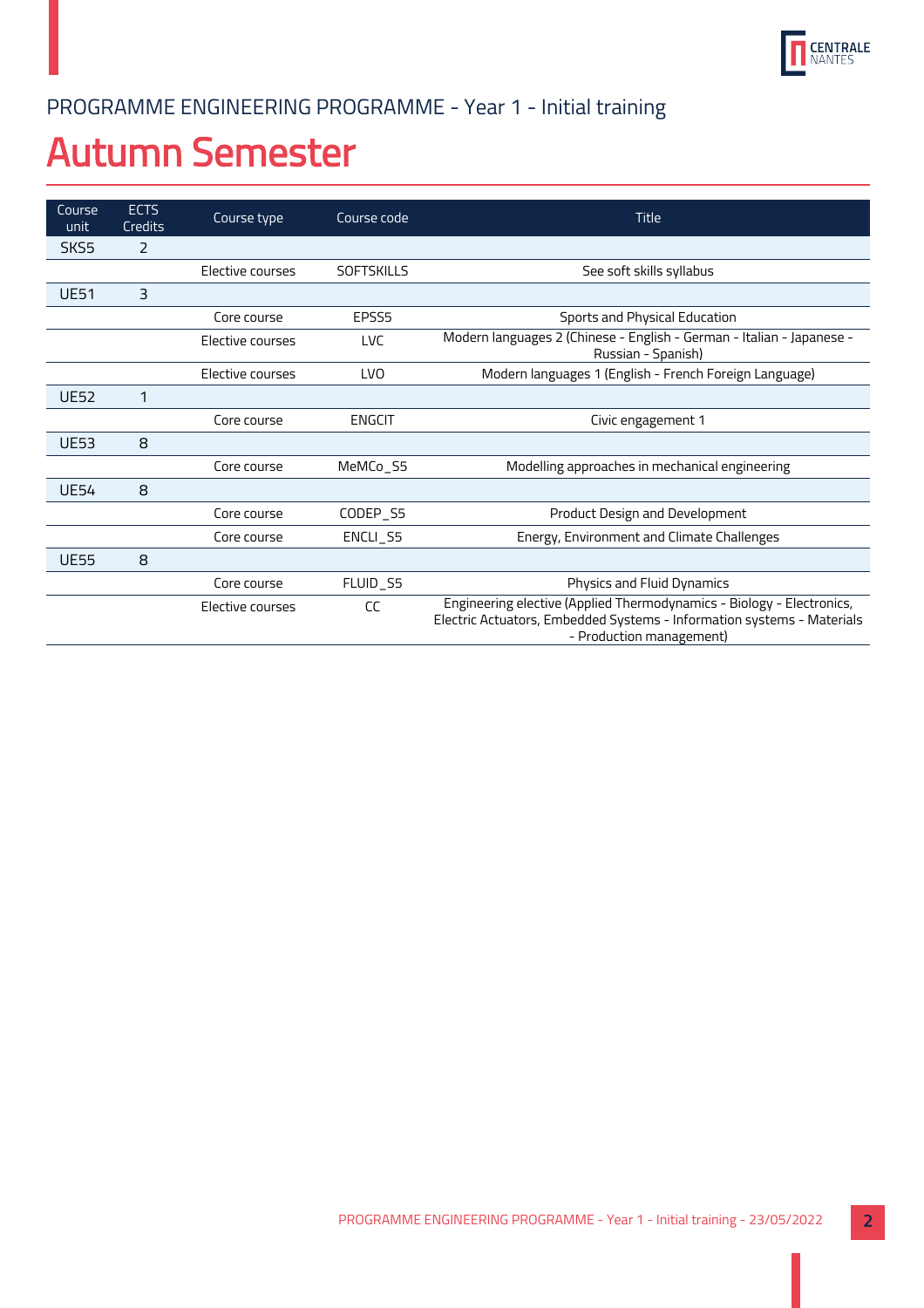

## PROGRAMME ENGINEERING PROGRAMME - Year 1 - Initial training

# Autumn Semester

| Course<br>unit   | <b>ECTS</b><br>Credits | Course type      | Course code       | <b>Title</b>                                                                                                                                                                |
|------------------|------------------------|------------------|-------------------|-----------------------------------------------------------------------------------------------------------------------------------------------------------------------------|
| SKS <sub>5</sub> | 2                      |                  |                   |                                                                                                                                                                             |
|                  |                        | Elective courses | <b>SOFTSKILLS</b> | See soft skills syllabus                                                                                                                                                    |
| <b>UE51</b>      | $\overline{3}$         |                  |                   |                                                                                                                                                                             |
|                  |                        | Core course      | EPSS <sub>5</sub> | Sports and Physical Education                                                                                                                                               |
|                  |                        | Elective courses | <b>LVC</b>        | Modern languages 2 (Chinese - English - German - Italian - Japanese -<br>Russian - Spanish)                                                                                 |
|                  |                        | Elective courses | <b>LVO</b>        | Modern languages 1 (English - French Foreign Language)                                                                                                                      |
| <b>UE52</b>      | 1                      |                  |                   |                                                                                                                                                                             |
|                  |                        | Core course      | <b>ENGCIT</b>     | Civic engagement 1                                                                                                                                                          |
| <b>UE53</b>      | 8                      |                  |                   |                                                                                                                                                                             |
|                  |                        | Core course      | MeMCo_S5          | Modelling approaches in mechanical engineering                                                                                                                              |
| <b>UE54</b>      | 8                      |                  |                   |                                                                                                                                                                             |
|                  |                        | Core course      | CODEP_S5          | Product Design and Development                                                                                                                                              |
|                  |                        | Core course      | ENCLI_S5          | Energy, Environment and Climate Challenges                                                                                                                                  |
| <b>UE55</b>      | 8                      |                  |                   |                                                                                                                                                                             |
|                  |                        | Core course      | FLUID_S5          | Physics and Fluid Dynamics                                                                                                                                                  |
|                  |                        | Elective courses | CC                | Engineering elective (Applied Thermodynamics - Biology - Electronics,<br>Electric Actuators, Embedded Systems - Information systems - Materials<br>- Production management) |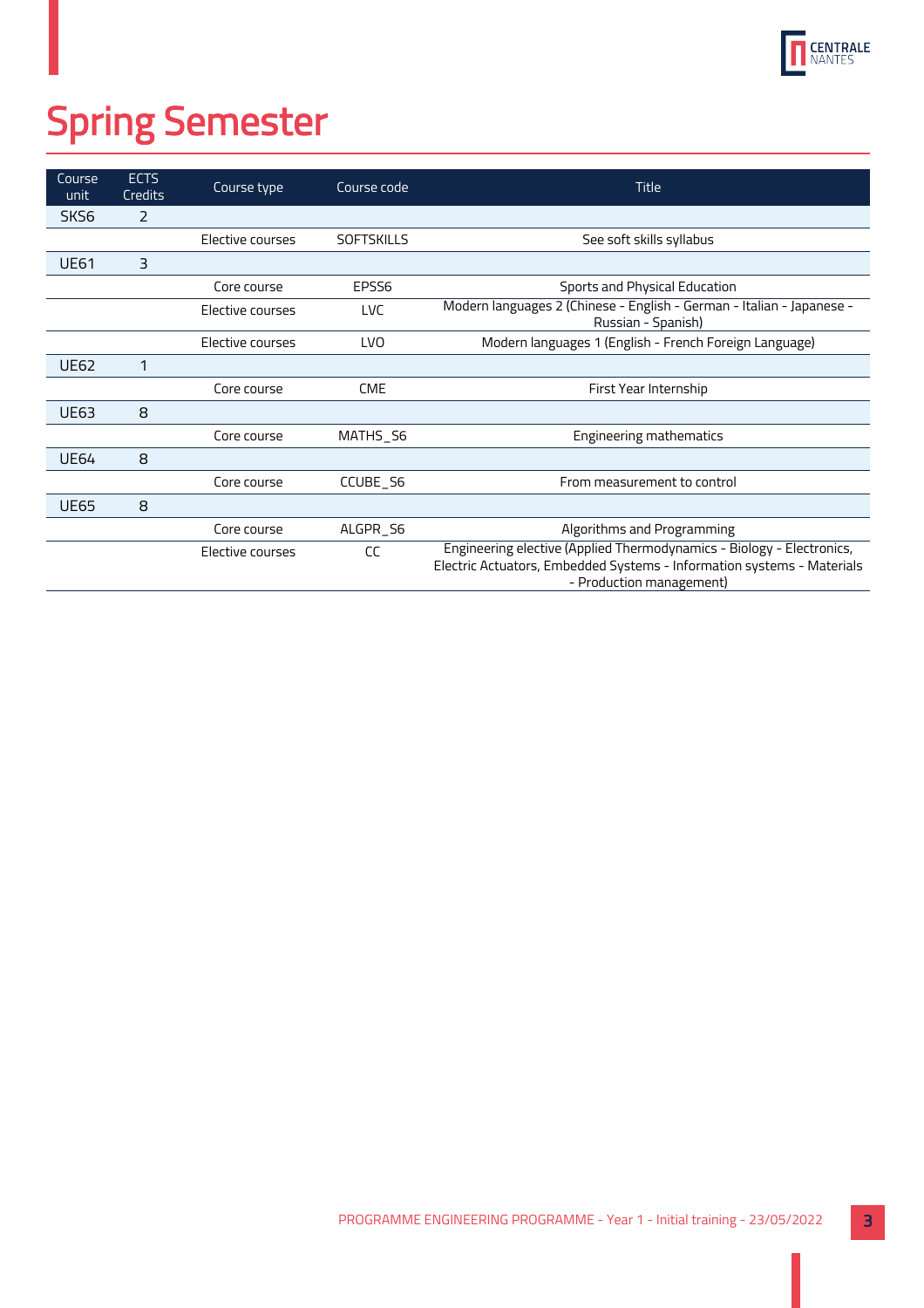

# Spring Semester

| Course<br>unit | <b>ECTS</b><br>Credits | Course type      | Course code       | <b>Title</b>                                                                                                                                                                |
|----------------|------------------------|------------------|-------------------|-----------------------------------------------------------------------------------------------------------------------------------------------------------------------------|
| SKS6           | 2                      |                  |                   |                                                                                                                                                                             |
|                |                        | Elective courses | <b>SOFTSKILLS</b> | See soft skills syllabus                                                                                                                                                    |
| <b>UE61</b>    | 3                      |                  |                   |                                                                                                                                                                             |
|                |                        | Core course      | EPSS <sub>6</sub> | Sports and Physical Education                                                                                                                                               |
|                |                        | Elective courses | <b>LVC</b>        | Modern languages 2 (Chinese - English - German - Italian - Japanese -<br>Russian - Spanish)                                                                                 |
|                |                        | Elective courses | <b>LVO</b>        | Modern languages 1 (English - French Foreign Language)                                                                                                                      |
| <b>UE62</b>    | 1                      |                  |                   |                                                                                                                                                                             |
|                |                        | Core course      | <b>CME</b>        | First Year Internship                                                                                                                                                       |
| <b>UE63</b>    | 8                      |                  |                   |                                                                                                                                                                             |
|                |                        | Core course      | MATHS S6          | <b>Engineering mathematics</b>                                                                                                                                              |
| <b>UE64</b>    | 8                      |                  |                   |                                                                                                                                                                             |
|                |                        | Core course      | CCUBE_S6          | From measurement to control                                                                                                                                                 |
| <b>UE65</b>    | 8                      |                  |                   |                                                                                                                                                                             |
|                |                        | Core course      | ALGPR_S6          | Algorithms and Programming                                                                                                                                                  |
|                |                        | Elective courses | CC                | Engineering elective (Applied Thermodynamics - Biology - Electronics,<br>Electric Actuators, Embedded Systems - Information systems - Materials<br>- Production management) |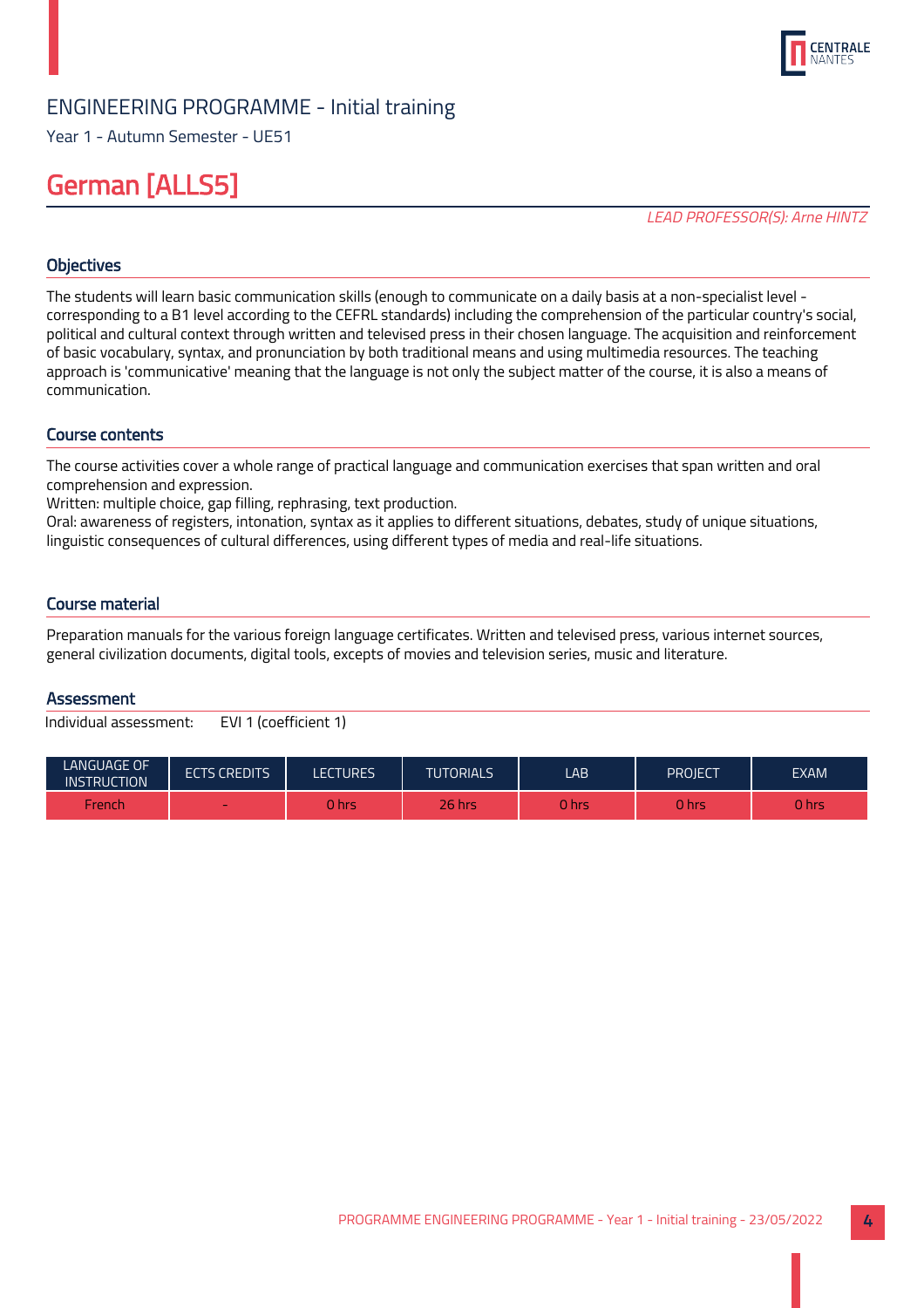

Year 1 - Autumn Semester - UE51

## German [ALLS5]

LEAD PROFESSOR(S): Arne HINTZ

## **Objectives**

The students will learn basic communication skills (enough to communicate on a daily basis at a non-specialist level corresponding to a B1 level according to the CEFRL standards) including the comprehension of the particular country's social, political and cultural context through written and televised press in their chosen language. The acquisition and reinforcement of basic vocabulary, syntax, and pronunciation by both traditional means and using multimedia resources. The teaching approach is 'communicative' meaning that the language is not only the subject matter of the course, it is also a means of communication.

## Course contents

The course activities cover a whole range of practical language and communication exercises that span written and oral comprehension and expression.

Written: multiple choice, gap filling, rephrasing, text production.

Oral: awareness of registers, intonation, syntax as it applies to different situations, debates, study of unique situations, linguistic consequences of cultural differences, using different types of media and real-life situations.

## Course material

Preparation manuals for the various foreign language certificates. Written and televised press, various internet sources, general civilization documents, digital tools, excepts of movies and television series, music and literature.

## Assessment

| <b>LANGUAGE OF</b><br><b>INSTRUCTION</b> | <b>ECTS CREDITS</b> | LECTURES | <b>TUTORIALS</b> | LAB          | Project | <b>EXAM</b> |
|------------------------------------------|---------------------|----------|------------------|--------------|---------|-------------|
| French                                   | $\sim$              | 0 hrs    | $26$ hrs         | <b>0 hrs</b> | 0 hrs   | 0 hrs       |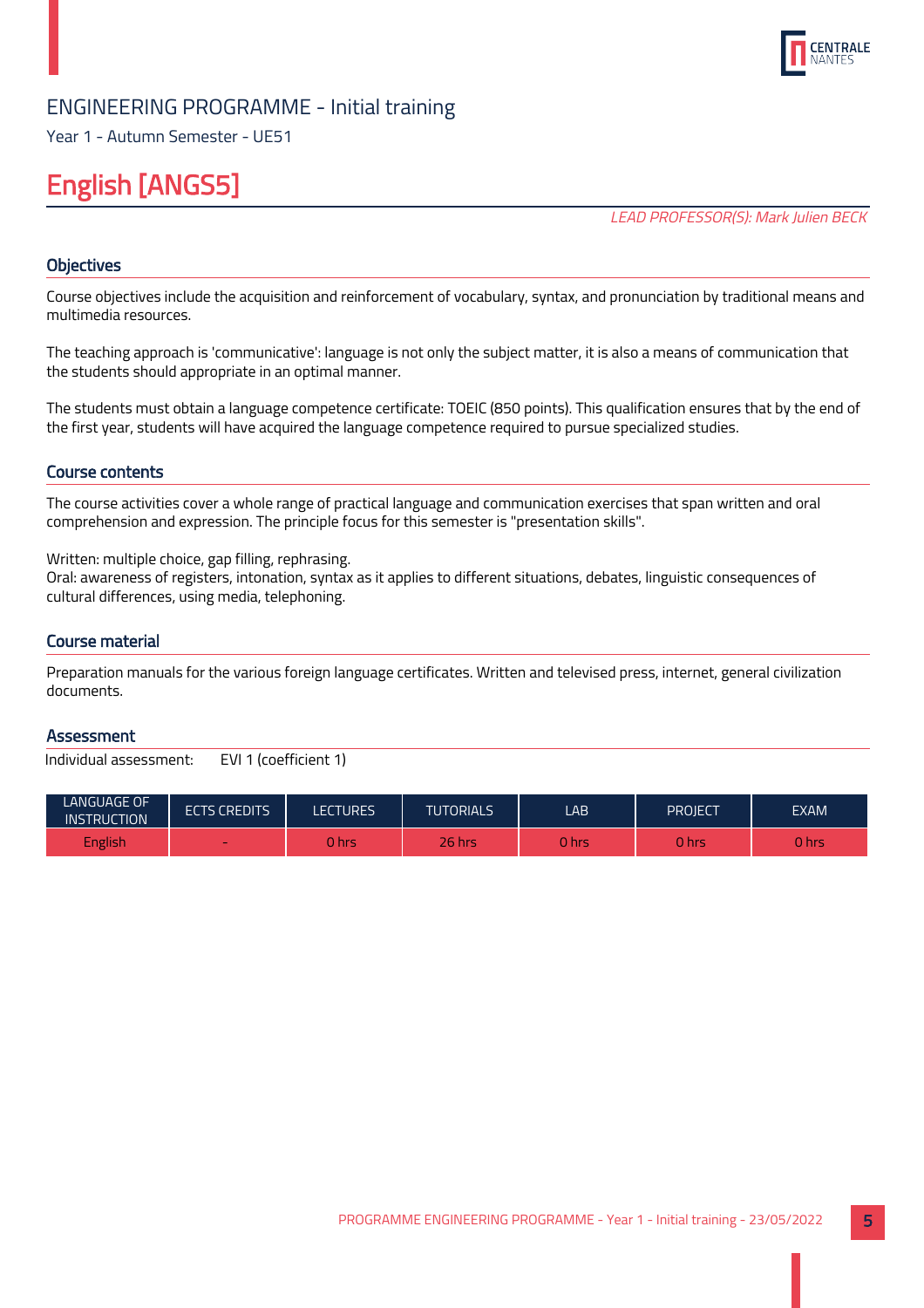

Year 1 - Autumn Semester - UE51

## English [ANGS5]

LEAD PROFESSOR(S): Mark Julien BECK

## **Objectives**

Course objectives include the acquisition and reinforcement of vocabulary, syntax, and pronunciation by traditional means and multimedia resources.

The teaching approach is 'communicative': language is not only the subject matter, it is also a means of communication that the students should appropriate in an optimal manner.

The students must obtain a language competence certificate: TOEIC (850 points). This qualification ensures that by the end of the first year, students will have acquired the language competence required to pursue specialized studies.

## Course contents

The course activities cover a whole range of practical language and communication exercises that span written and oral comprehension and expression. The principle focus for this semester is "presentation skills".

Written: multiple choice, gap filling, rephrasing.

Oral: awareness of registers, intonation, syntax as it applies to different situations, debates, linguistic consequences of cultural differences, using media, telephoning.

## Course material

Preparation manuals for the various foreign language certificates. Written and televised press, internet, general civilization documents.

## **Assessment**

| LANGUAGE OF<br><b>INSTRUCTION</b> | <b>ECTS CREDITS</b> | <b>LECTURES</b> | <b>TUTORIALS</b> | LAB          | PROJECT | <b>EXAM</b> |
|-----------------------------------|---------------------|-----------------|------------------|--------------|---------|-------------|
| <b>English</b>                    | $\sim$              | 0 hrs           | $26$ hrs         | <b>O</b> hrs | 0 hrs   | 0 hrs       |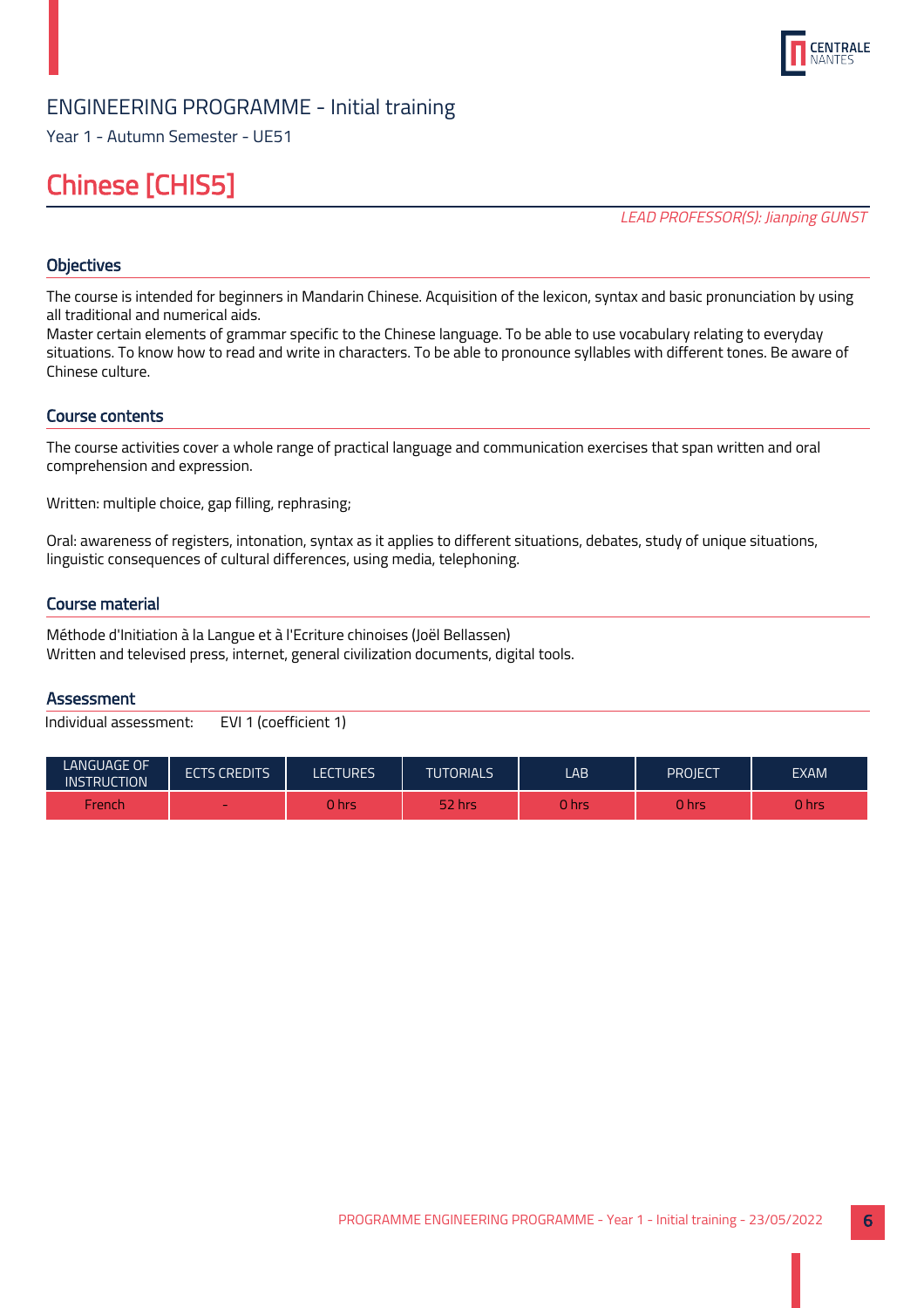

Year 1 - Autumn Semester - UE51

## Chinese [CHIS5]

LEAD PROFESSOR(S): Jianping GUNST

## **Objectives**

The course is intended for beginners in Mandarin Chinese. Acquisition of the lexicon, syntax and basic pronunciation by using all traditional and numerical aids.

Master certain elements of grammar specific to the Chinese language. To be able to use vocabulary relating to everyday situations. To know how to read and write in characters. To be able to pronounce syllables with different tones. Be aware of Chinese culture.

## Course contents

The course activities cover a whole range of practical language and communication exercises that span written and oral comprehension and expression.

Written: multiple choice, gap filling, rephrasing;

Oral: awareness of registers, intonation, syntax as it applies to different situations, debates, study of unique situations, linguistic consequences of cultural differences, using media, telephoning.

## Course material

Méthode d'Initiation à la Langue et à l'Ecriture chinoises (Joël Bellassen) Written and televised press, internet, general civilization documents, digital tools.

## Assessment

| LANGUAGE OF<br><b>INSTRUCTION</b> | <b>ECTS CREDITS</b> | LECTURES. | <b>TUTORIALS</b> | LAB   | PROJECT | <b>EXAM</b> |
|-----------------------------------|---------------------|-----------|------------------|-------|---------|-------------|
| French                            | $\sim$              | ີ hrs     | 52 hrs           | 0 hrs | 0 hrs   | 0 hrs       |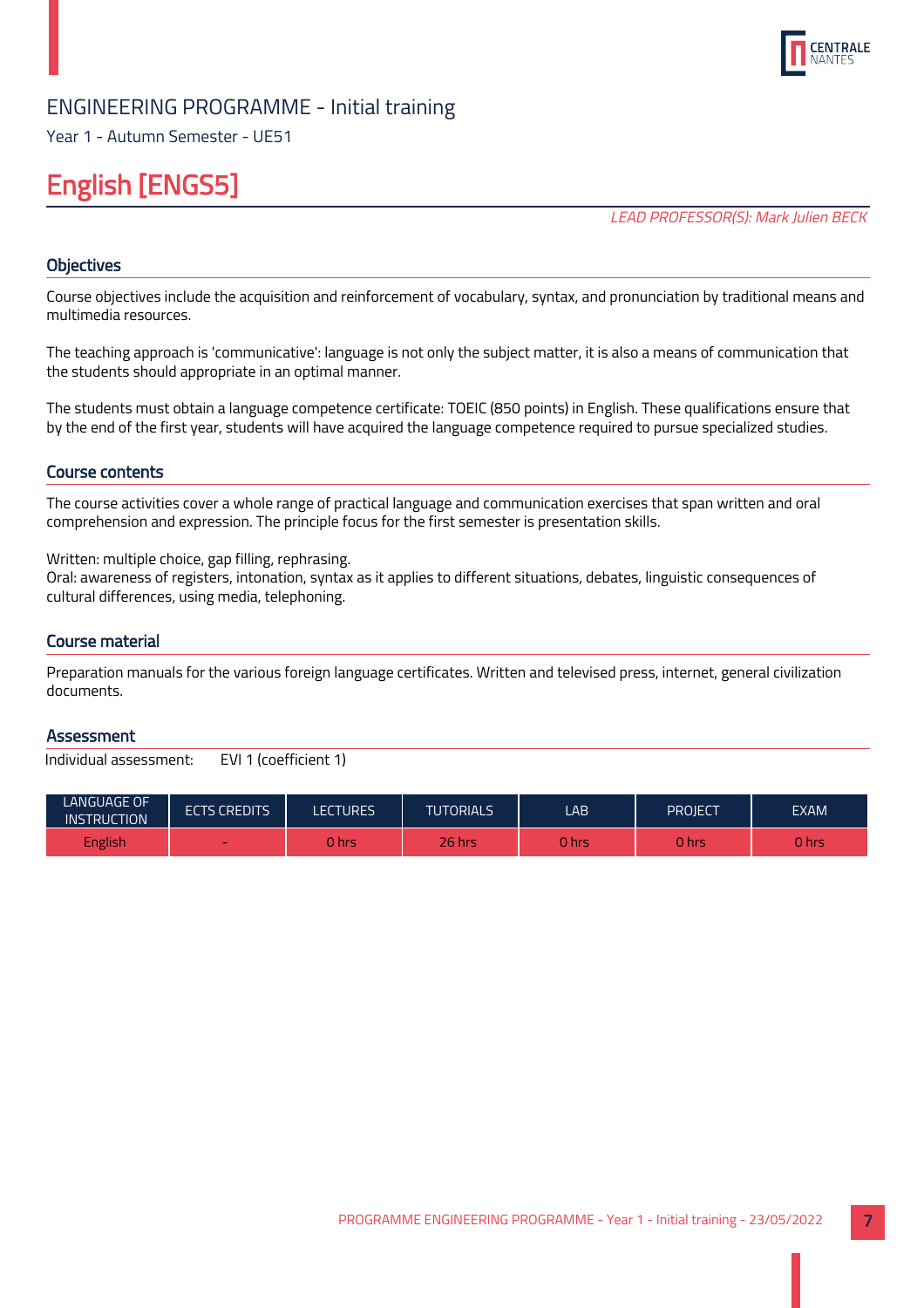

Year 1 - Autumn Semester - UE51

## English [ENGS5]

LEAD PROFESSOR(S): Mark Julien BECK

## **Objectives**

Course objectives include the acquisition and reinforcement of vocabulary, syntax, and pronunciation by traditional means and multimedia resources.

The teaching approach is 'communicative': language is not only the subject matter, it is also a means of communication that the students should appropriate in an optimal manner.

The students must obtain a language competence certificate: TOEIC (850 points) in English. These qualifications ensure that by the end of the first year, students will have acquired the language competence required to pursue specialized studies.

## Course contents

The course activities cover a whole range of practical language and communication exercises that span written and oral comprehension and expression. The principle focus for the first semester is presentation skills.

Written: multiple choice, gap filling, rephrasing.

Oral: awareness of registers, intonation, syntax as it applies to different situations, debates, linguistic consequences of cultural differences, using media, telephoning.

## Course material

Preparation manuals for the various foreign language certificates. Written and televised press, internet, general civilization documents.

## **Assessment**

| LANGUAGE OF<br><b>INSTRUCTION</b> | <b>ECTS CREDITS</b> | <b>LECTURES</b> | <b>TUTORIALS</b> | LAB          | PROJECT | <b>EXAM</b> |
|-----------------------------------|---------------------|-----------------|------------------|--------------|---------|-------------|
| <b>English</b>                    | $\sim$              | 0 hrs           | $26$ hrs         | <b>O</b> hrs | 0 hrs   | 0 hrs       |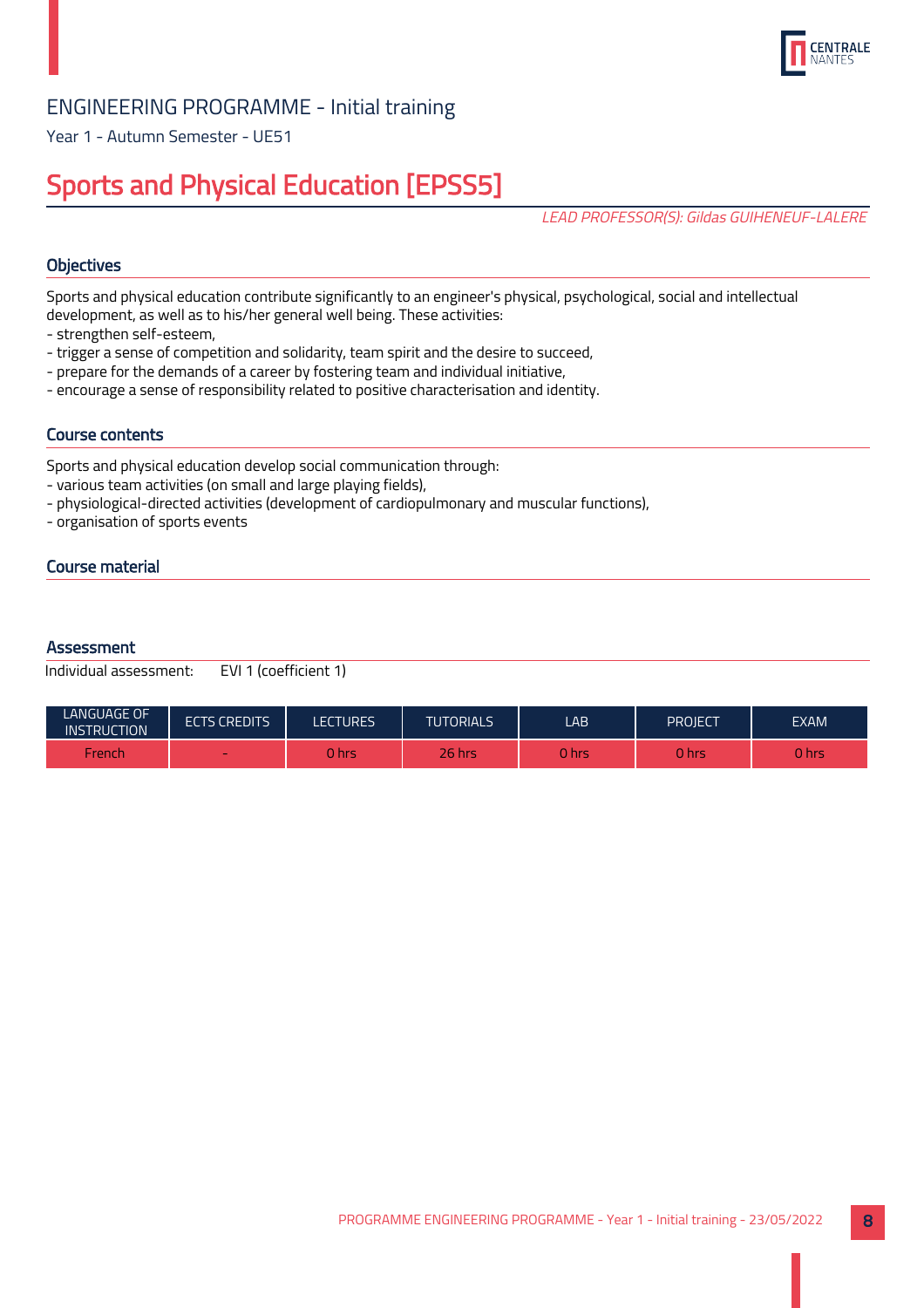

Year 1 - Autumn Semester - UE51

## Sports and Physical Education [EPSS5]

LEAD PROFESSOR(S): Gildas GUIHENEUF-LALERE

## **Objectives**

Sports and physical education contribute significantly to an engineer's physical, psychological, social and intellectual development, as well as to his/her general well being. These activities:

- strengthen self-esteem,
- trigger a sense of competition and solidarity, team spirit and the desire to succeed,
- prepare for the demands of a career by fostering team and individual initiative,
- encourage a sense of responsibility related to positive characterisation and identity.

## Course contents

Sports and physical education develop social communication through:

- various team activities (on small and large playing fields),
- physiological-directed activities (development of cardiopulmonary and muscular functions),
- organisation of sports events

## Course material

#### **Assessment**

| <b>LANGUAGE OF</b><br><b>INSTRUCTION</b> | <b>ECTS CREDITS</b> | <b>LECTURES</b> | <b>TUTORIALS</b> | LAB   | PROIECT | <b>EXAM</b> |
|------------------------------------------|---------------------|-----------------|------------------|-------|---------|-------------|
| French                                   | $\sim$              | 0 hrs           | <b>26 hrs</b>    | 0 hrs | hrs     | 0 hrs       |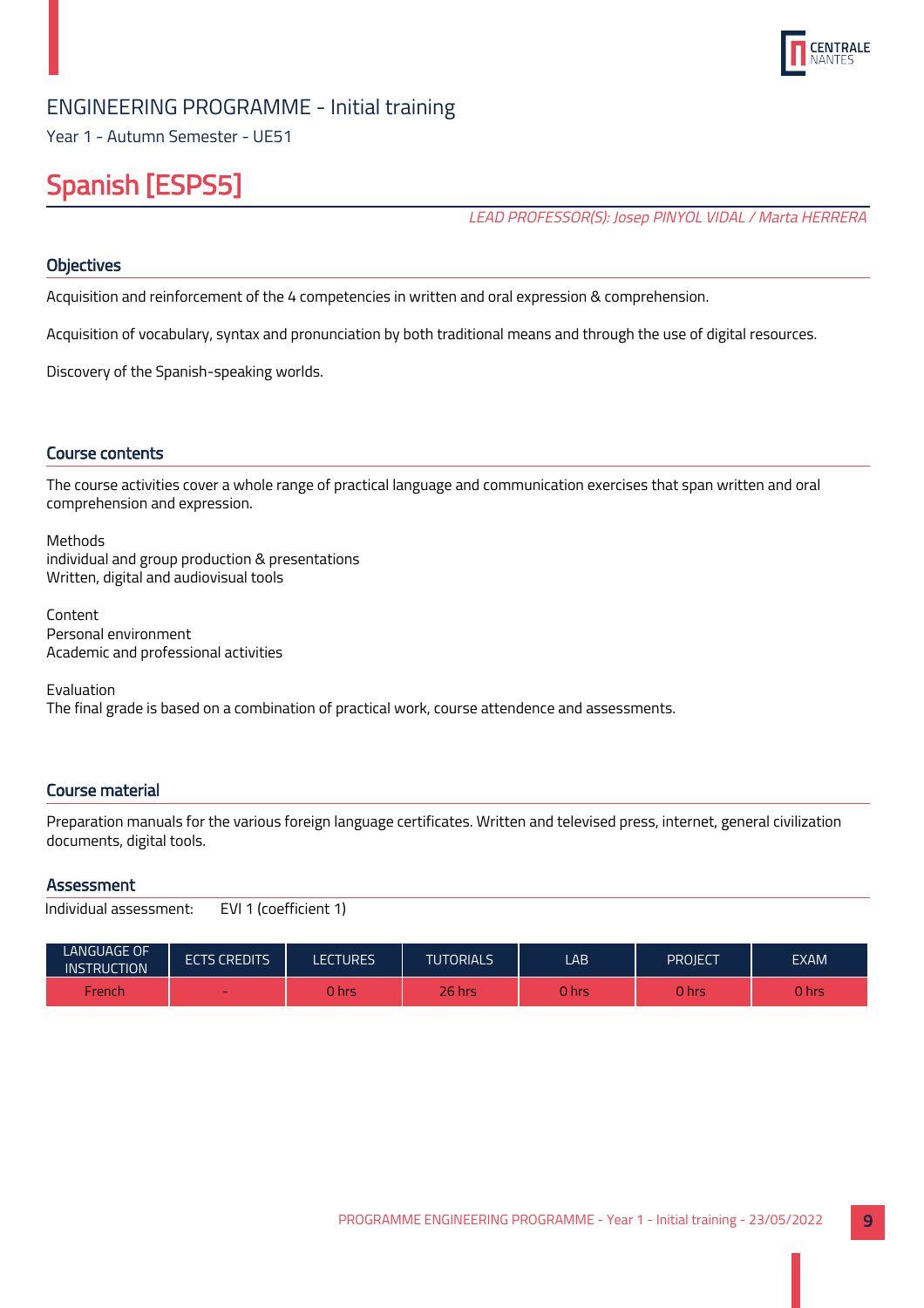

Year 1 - Autumn Semester - UE51

## Spanish [ESPS5]

LEAD PROFESSOR(S): Josep PINYOL VIDAL / Marta HERRERA

## **Objectives**

Acquisition and reinforcement of the 4 competencies in written and oral expression & comprehension.

Acquisition of vocabulary, syntax and pronunciation by both traditional means and through the use of digital resources.

Discovery of the Spanish-speaking worlds.

## Course contents

The course activities cover a whole range of practical language and communication exercises that span written and oral comprehension and expression.

Methods individual and group production & presentations Written, digital and audiovisual tools

Content Personal environment Academic and professional activities

Evaluation The final grade is based on a combination of practical work, course attendence and assessments.

## Course material

Preparation manuals for the various foreign language certificates. Written and televised press, internet, general civilization documents, digital tools.

## **Assessment**

| Individual assessment: | EVI 1 (coefficient 1) |
|------------------------|-----------------------|
|------------------------|-----------------------|

| LANGUAGE OF<br><b>INSTRUCTION</b> | <b>ECTS CREDITS</b> | LECTURES | <b>TUTORIALS</b> | LAB          | <b>PROJECT</b> | <b>EXAM</b> |
|-----------------------------------|---------------------|----------|------------------|--------------|----------------|-------------|
| French                            | $\sim$              | 0 hrs    | 26 hrsi          | <b>O</b> hrs | <b>Thrs</b>    | 0 hrs       |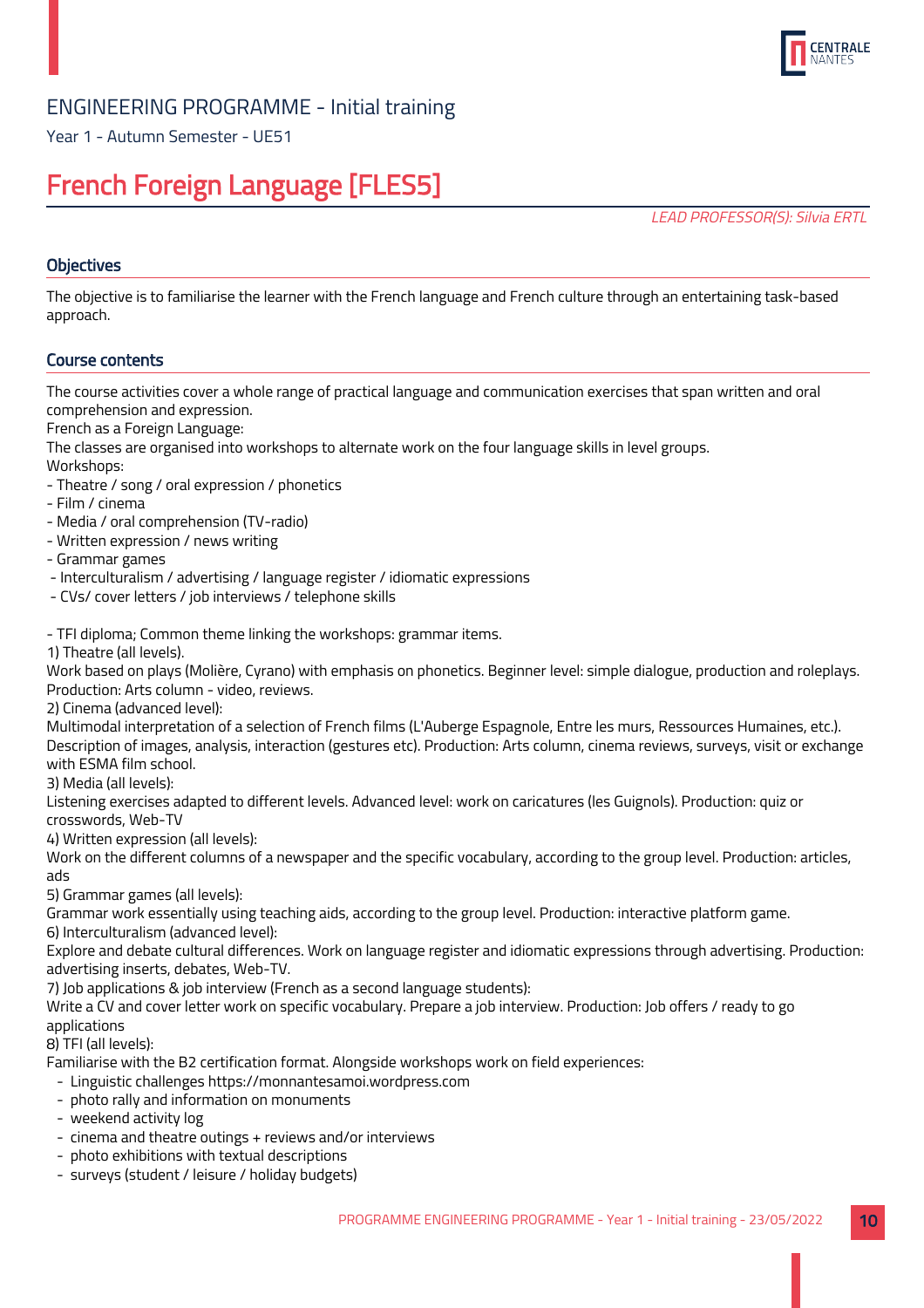

Year 1 - Autumn Semester - UE51

## French Foreign Language [FLES5]

LEAD PROFESSOR(S): Silvia ERTL

## **Objectives**

The objective is to familiarise the learner with the French language and French culture through an entertaining task-based approach.

## Course contents

The course activities cover a whole range of practical language and communication exercises that span written and oral comprehension and expression.

French as a Foreign Language:

The classes are organised into workshops to alternate work on the four language skills in level groups.

Workshops:

- Theatre / song / oral expression / phonetics
- Film / cinema
- Media / oral comprehension (TV-radio)
- Written expression / news writing
- Grammar games
- Interculturalism / advertising / language register / idiomatic expressions
- CVs/ cover letters / job interviews / telephone skills

- TFI diploma; Common theme linking the workshops: grammar items.

1) Theatre (all levels).

Work based on plays (Molière, Cyrano) with emphasis on phonetics. Beginner level: simple dialogue, production and roleplays. Production: Arts column - video, reviews.

2) Cinema (advanced level):

Multimodal interpretation of a selection of French films (L'Auberge Espagnole, Entre les murs, Ressources Humaines, etc.). Description of images, analysis, interaction (gestures etc). Production: Arts column, cinema reviews, surveys, visit or exchange with ESMA film school.

3) Media (all levels):

Listening exercises adapted to different levels. Advanced level: work on caricatures (les Guignols). Production: quiz or crosswords, Web-TV

4) Written expression (all levels):

Work on the different columns of a newspaper and the specific vocabulary, according to the group level. Production: articles, ads

5) Grammar games (all levels):

Grammar work essentially using teaching aids, according to the group level. Production: interactive platform game.

6) Interculturalism (advanced level):

Explore and debate cultural differences. Work on language register and idiomatic expressions through advertising. Production: advertising inserts, debates, Web-TV.

7) Job applications & job interview (French as a second language students):

Write a CV and cover letter work on specific vocabulary. Prepare a job interview. Production: Job offers / ready to go applications

8) TFI (all levels):

Familiarise with the B2 certification format. Alongside workshops work on field experiences:

- Linguistic challenges https://monnantesamoi.wordpress.com
- photo rally and information on monuments
- weekend activity log
- cinema and theatre outings + reviews and/or interviews
- photo exhibitions with textual descriptions
- surveys (student / leisure / holiday budgets)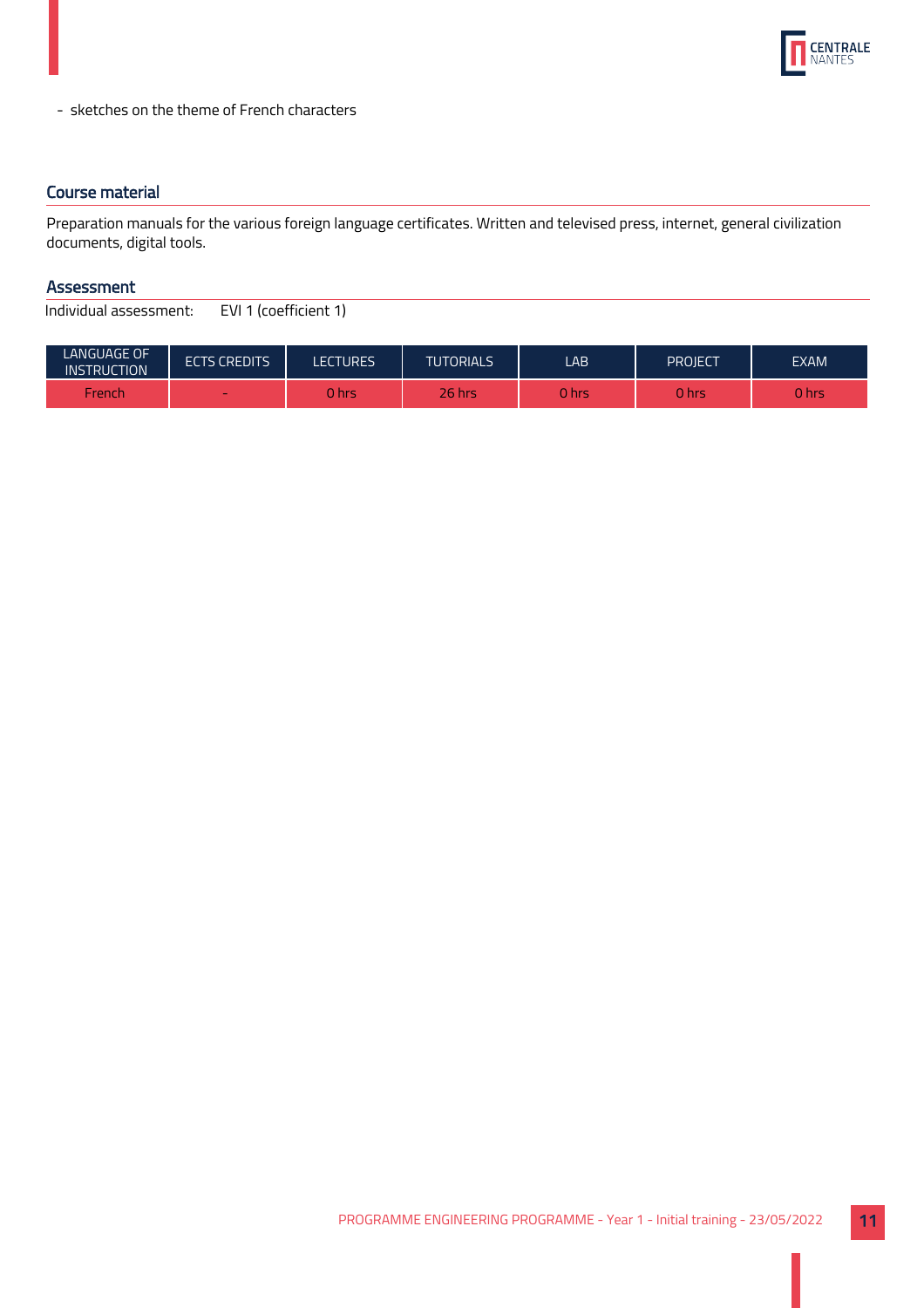

- sketches on the theme of French characters

## Course material

Preparation manuals for the various foreign language certificates. Written and televised press, internet, general civilization documents, digital tools.

## Assessment

| <b>LANGUAGE OF</b><br><b>INSTRUCTION</b> | <b>ECTS CREDITS</b> | LECTURES | <b>TUTORIALS</b> | LAB.   | PROJECT | <b>EXAM</b> |
|------------------------------------------|---------------------|----------|------------------|--------|---------|-------------|
| French                                   | $\sim$              | 0 hrs    | <b>26 hrs</b>    | 0 hrsi | 0 hrs   | 0 hrs       |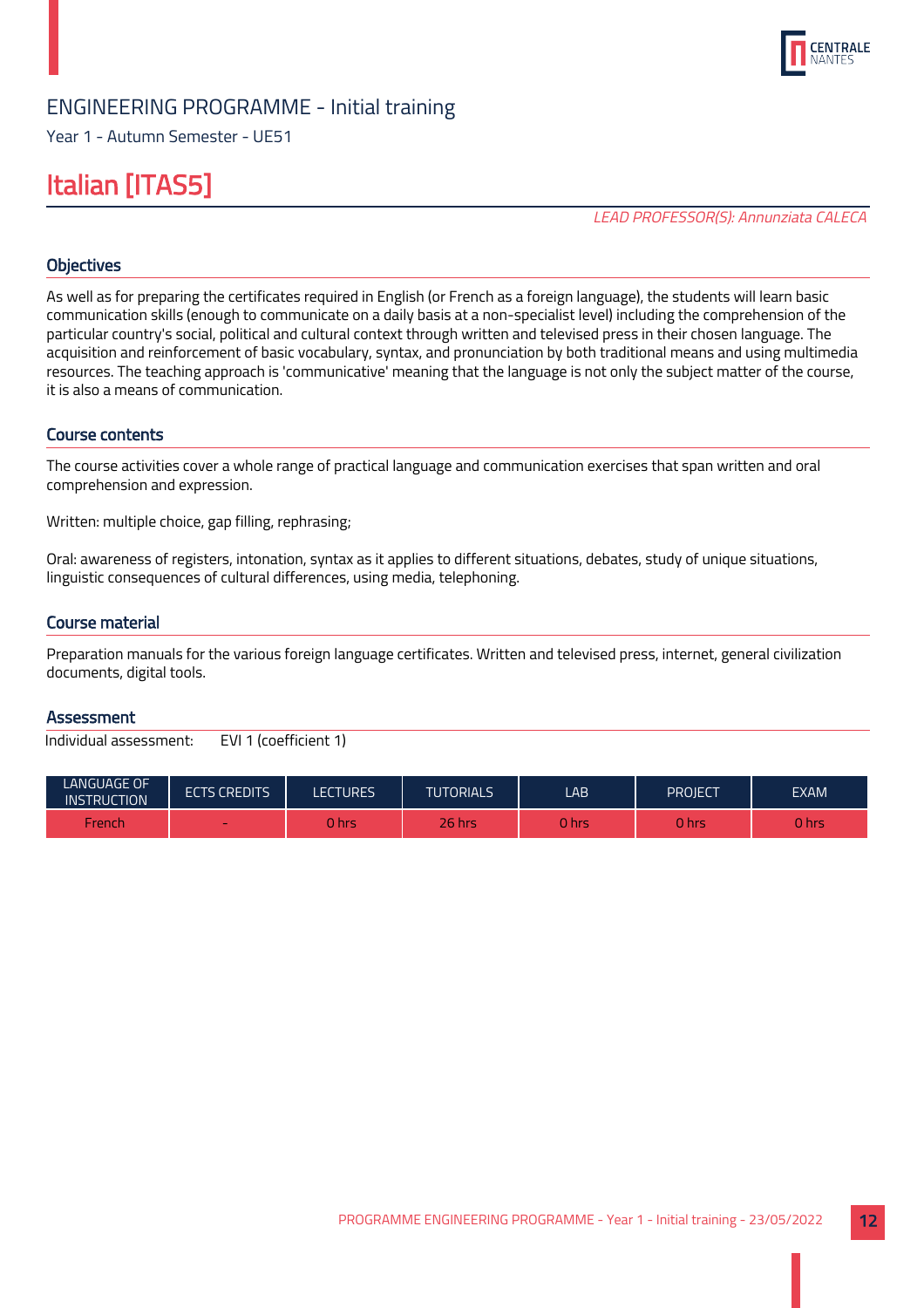

Year 1 - Autumn Semester - UE51

## Italian [ITAS5]

LEAD PROFESSOR(S): Annunziata CALECA

## **Objectives**

As well as for preparing the certificates required in English (or French as a foreign language), the students will learn basic communication skills (enough to communicate on a daily basis at a non-specialist level) including the comprehension of the particular country's social, political and cultural context through written and televised press in their chosen language. The acquisition and reinforcement of basic vocabulary, syntax, and pronunciation by both traditional means and using multimedia resources. The teaching approach is 'communicative' meaning that the language is not only the subject matter of the course, it is also a means of communication.

## Course contents

The course activities cover a whole range of practical language and communication exercises that span written and oral comprehension and expression.

Written: multiple choice, gap filling, rephrasing;

Oral: awareness of registers, intonation, syntax as it applies to different situations, debates, study of unique situations, linguistic consequences of cultural differences, using media, telephoning.

#### Course material

Preparation manuals for the various foreign language certificates. Written and televised press, internet, general civilization documents, digital tools.

#### **Assessment**

| <b>LANGUAGE OF</b><br><b>INSTRUCTION</b> | <b>ECTS CREDITS</b> | LECTURES | <b>TUTORIALS</b> | LAB    | PROJECT | <b>EXAM</b> |
|------------------------------------------|---------------------|----------|------------------|--------|---------|-------------|
| French                                   | -                   | 0 hrs    | $26$ hrs         | 0 hrsi | 0 hrs   | J hrs       |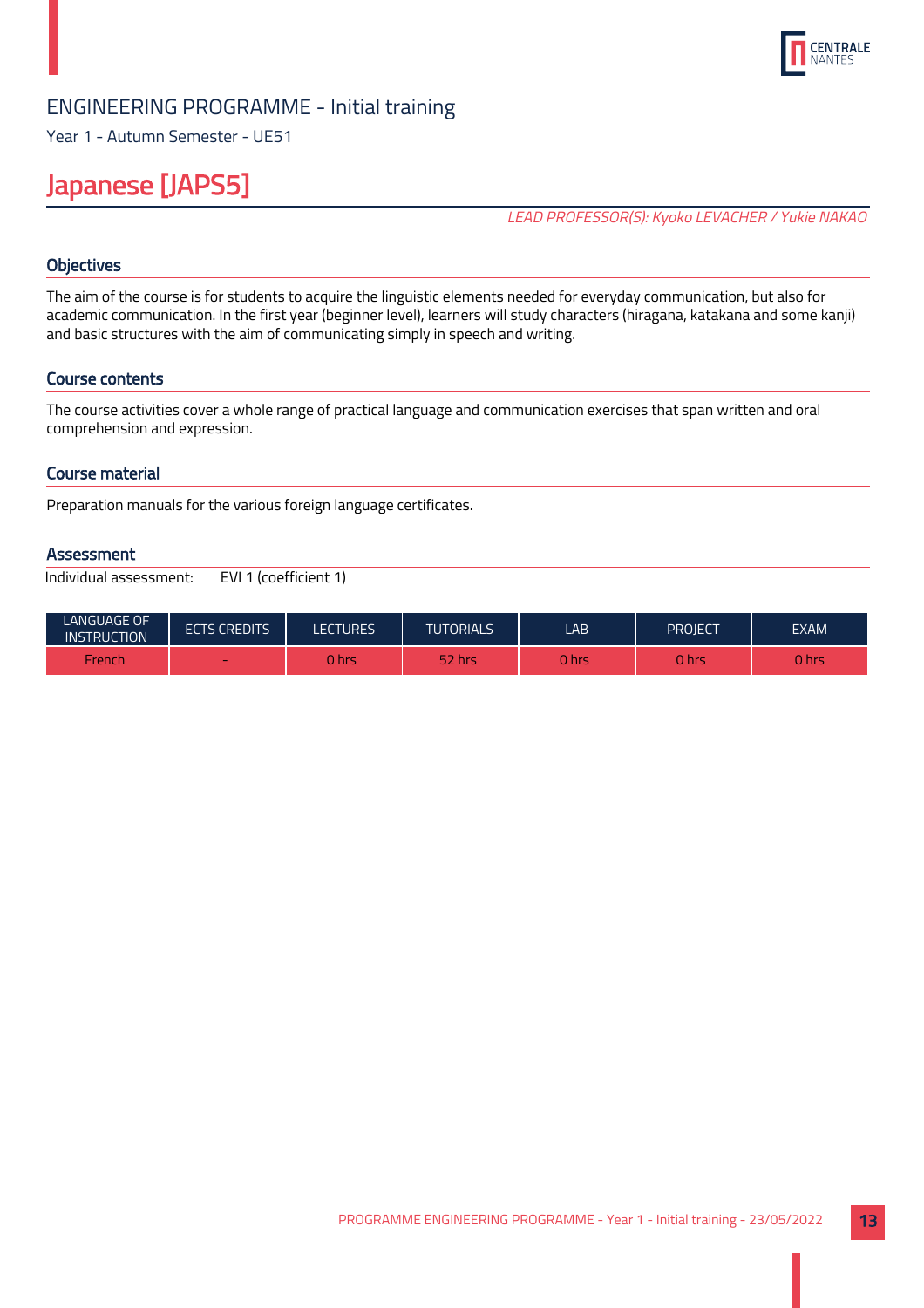

Year 1 - Autumn Semester - UE51

## Japanese [JAPS5]

LEAD PROFESSOR(S): Kyoko LEVACHER / Yukie NAKAO

## **Objectives**

The aim of the course is for students to acquire the linguistic elements needed for everyday communication, but also for academic communication. In the first year (beginner level), learners will study characters (hiragana, katakana and some kanji) and basic structures with the aim of communicating simply in speech and writing.

## Course contents

The course activities cover a whole range of practical language and communication exercises that span written and oral comprehension and expression.

## Course material

Preparation manuals for the various foreign language certificates.

#### **Assessment**

| <b>LANGUAGE OF</b><br><b>INSTRUCTION</b> | <b>ECTS CREDITS</b> | LECTURES | <b>TUTORIALS</b> | LAB.   | PROIECT | <b>EXAM</b> |
|------------------------------------------|---------------------|----------|------------------|--------|---------|-------------|
| French                                   |                     | 0 hrs    | 52 hrs           | 0 hrsi | 0 hrs   | J hrs       |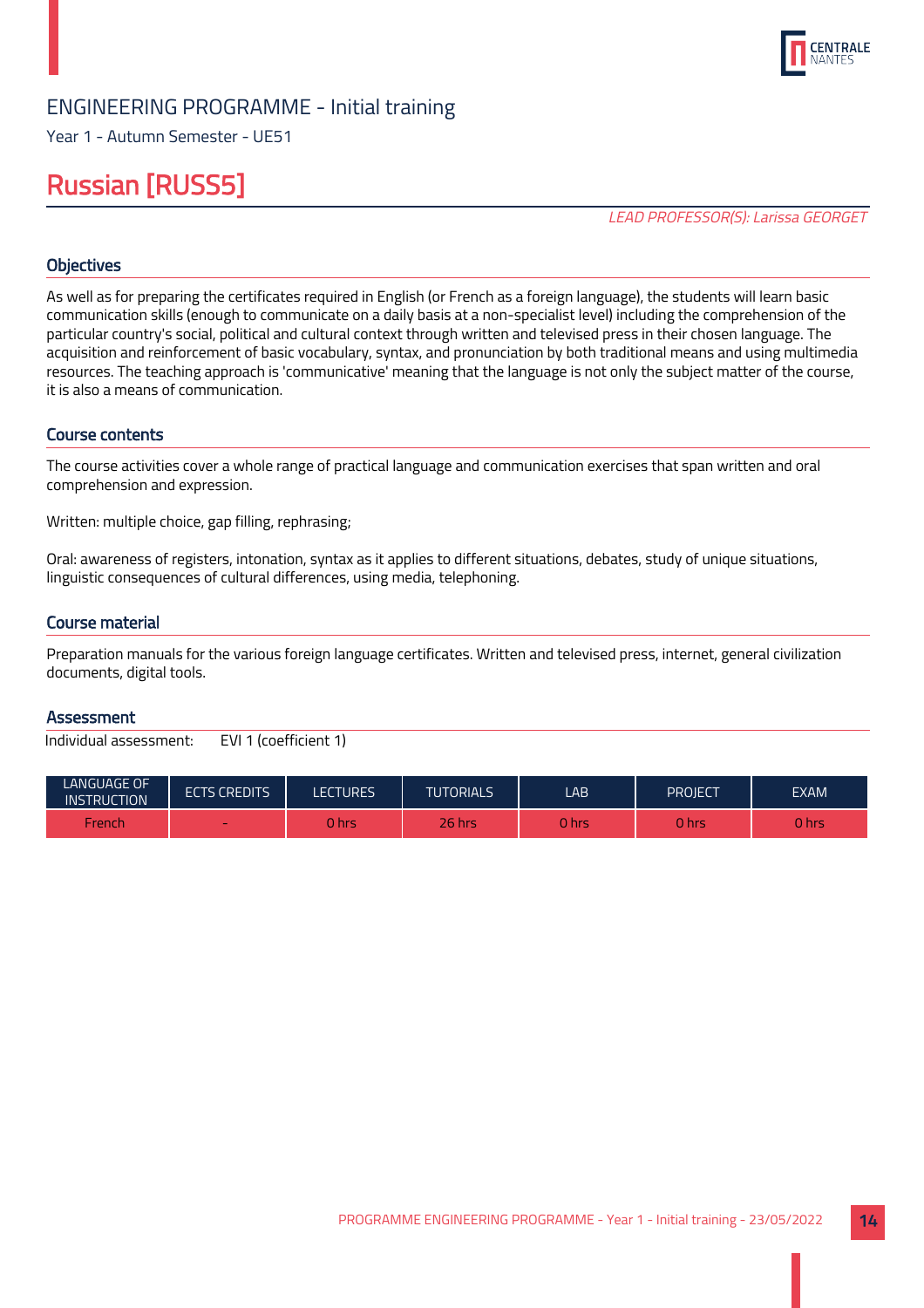

Year 1 - Autumn Semester - UE51

## Russian [RUSS5]

LEAD PROFESSOR(S): Larissa GEORGET

## **Objectives**

As well as for preparing the certificates required in English (or French as a foreign language), the students will learn basic communication skills (enough to communicate on a daily basis at a non-specialist level) including the comprehension of the particular country's social, political and cultural context through written and televised press in their chosen language. The acquisition and reinforcement of basic vocabulary, syntax, and pronunciation by both traditional means and using multimedia resources. The teaching approach is 'communicative' meaning that the language is not only the subject matter of the course, it is also a means of communication.

#### Course contents

The course activities cover a whole range of practical language and communication exercises that span written and oral comprehension and expression.

Written: multiple choice, gap filling, rephrasing;

Oral: awareness of registers, intonation, syntax as it applies to different situations, debates, study of unique situations, linguistic consequences of cultural differences, using media, telephoning.

#### Course material

Preparation manuals for the various foreign language certificates. Written and televised press, internet, general civilization documents, digital tools.

#### **Assessment**

| <b>LANGUAGE OF</b><br><b>INSTRUCTION</b> | <b>ECTS CREDITS</b> | LECTURES | <b>TUTORIALS</b> | LAB    | PROJECT | <b>EXAM</b> |
|------------------------------------------|---------------------|----------|------------------|--------|---------|-------------|
| French                                   | -                   | 0 hrs    | $26$ hrs         | 0 hrsi | 0 hrs   | J hrs       |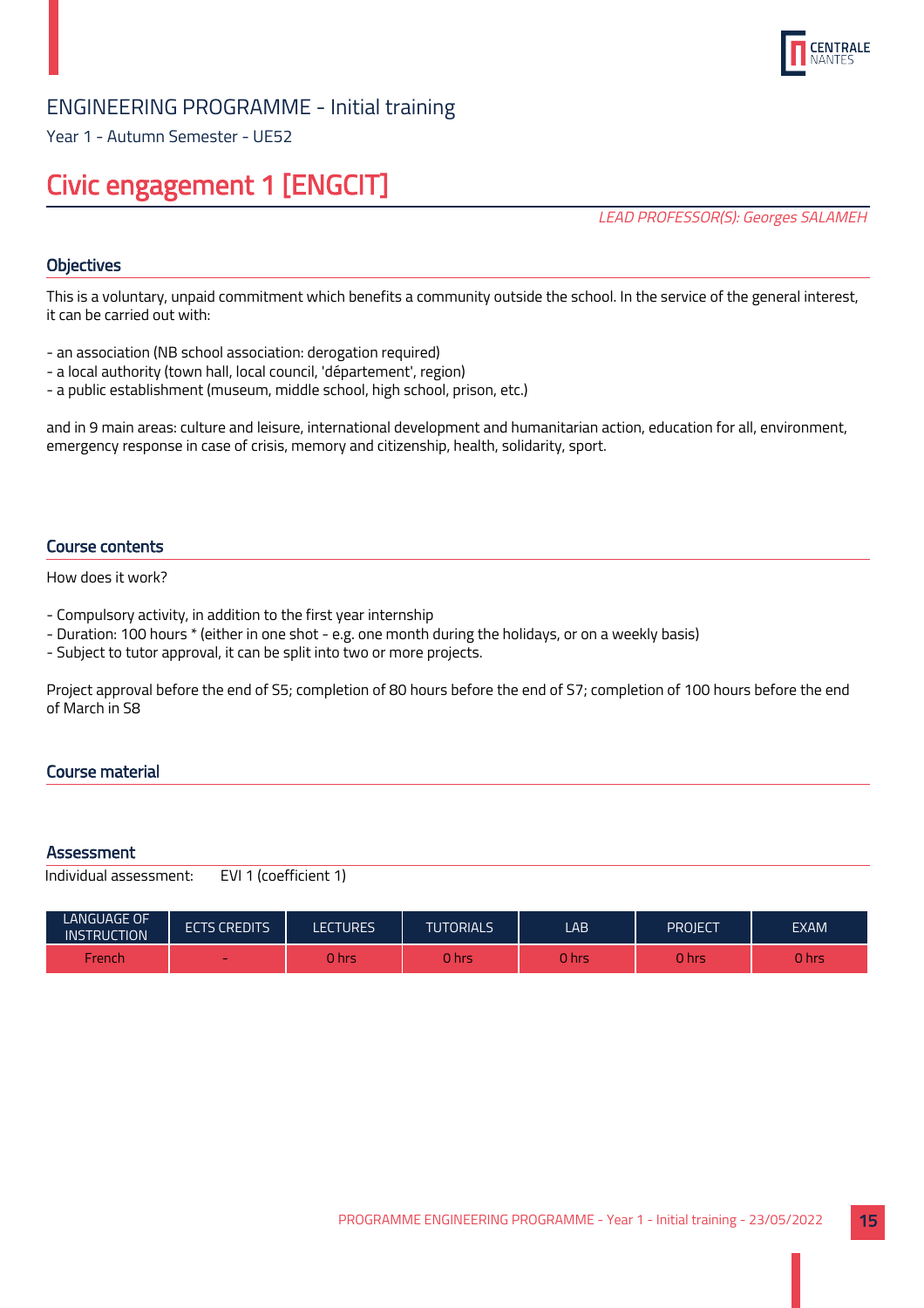

Year 1 - Autumn Semester - UE52

## Civic engagement 1 [ENGCIT]

LEAD PROFESSOR(S): Georges SALAMEH

## **Objectives**

This is a voluntary, unpaid commitment which benefits a community outside the school. In the service of the general interest, it can be carried out with:

- an association (NB school association: derogation required)
- a local authority (town hall, local council, 'département', region)
- a public establishment (museum, middle school, high school, prison, etc.)

and in 9 main areas: culture and leisure, international development and humanitarian action, education for all, environment, emergency response in case of crisis, memory and citizenship, health, solidarity, sport.

#### Course contents

How does it work?

- Compulsory activity, in addition to the first year internship
- Duration: 100 hours \* (either in one shot e.g. one month during the holidays, or on a weekly basis)
- Subject to tutor approval, it can be split into two or more projects.

Project approval before the end of S5; completion of 80 hours before the end of S7; completion of 100 hours before the end of March in S8

## Course material

#### **Assessment**

| <b>LANGUAGE OF</b><br><b>INSTRUCTION</b> | <b>ECTS CREDITS</b>      | <b>LECTURES</b> | <b>TUTORIALS</b> | LAB         | PROJECT | <b>EXAM</b> |
|------------------------------------------|--------------------------|-----------------|------------------|-------------|---------|-------------|
| French                                   | $\overline{\phantom{a}}$ | <b>Jhr.</b>     | hrs ا            | <b>Ahrs</b> | 0 hrs   | 0 hrs       |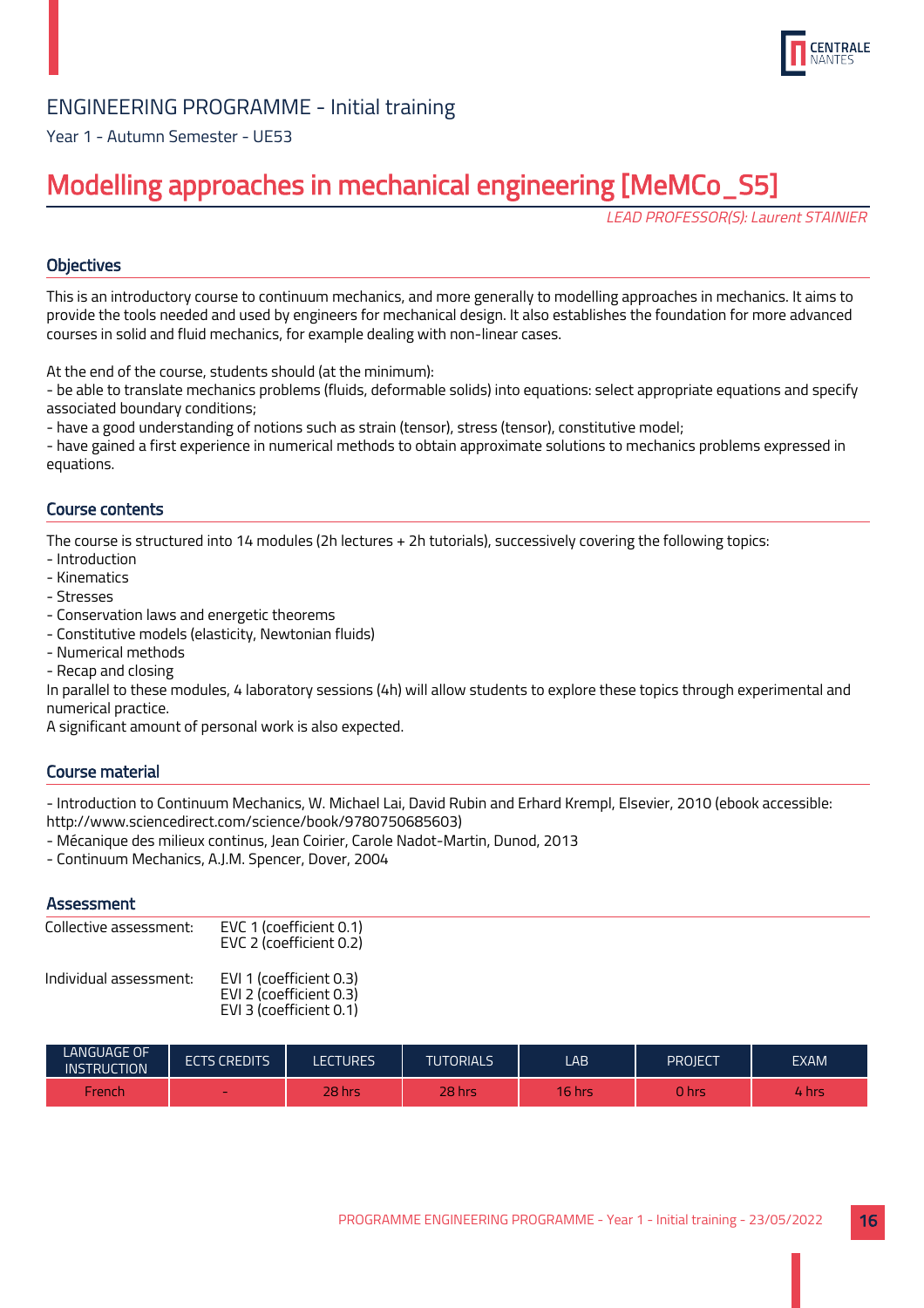

Year 1 - Autumn Semester - UE53

## Modelling approaches in mechanical engineering [MeMCo\_S5]

LEAD PROFESSOR(S): Laurent STAINIER

## **Objectives**

This is an introductory course to continuum mechanics, and more generally to modelling approaches in mechanics. It aims to provide the tools needed and used by engineers for mechanical design. It also establishes the foundation for more advanced courses in solid and fluid mechanics, for example dealing with non-linear cases.

At the end of the course, students should (at the minimum):

- be able to translate mechanics problems (fluids, deformable solids) into equations: select appropriate equations and specify associated boundary conditions;

- have a good understanding of notions such as strain (tensor), stress (tensor), constitutive model;

- have gained a first experience in numerical methods to obtain approximate solutions to mechanics problems expressed in equations.

## Course contents

The course is structured into 14 modules (2h lectures + 2h tutorials), successively covering the following topics:

- Introduction
- Kinematics
- Stresses
- Conservation laws and energetic theorems
- Constitutive models (elasticity, Newtonian fluids)
- Numerical methods
- Recap and closing

In parallel to these modules, 4 laboratory sessions (4h) will allow students to explore these topics through experimental and numerical practice.

A significant amount of personal work is also expected.

## Course material

- Introduction to Continuum Mechanics, W. Michael Lai, David Rubin and Erhard Krempl, Elsevier, 2010 (ebook accessible: http://www.sciencedirect.com/science/book/9780750685603)

- Mécanique des milieux continus, Jean Coirier, Carole Nadot-Martin, Dunod, 2013
- Continuum Mechanics, A.J.M. Spencer, Dover, 2004

## **Assessment**

| Collective assessment: | EVC 1 (coefficient 0.1)<br>EVC 2 (coefficient 0.2)                            |
|------------------------|-------------------------------------------------------------------------------|
| Individual assessment: | EVI 1 (coefficient 0.3)<br>EVI 2 (coefficient 0.3)<br>EVI 3 (coefficient 0.1) |

| LANGUAGE OF<br><b>INSTRUCTION</b> | <b>ECTS CREDITS</b>      | <b>LECTURES</b> | <b>TUTORIALS</b> | LAB    | PROJECT | <b>EXAM</b> |
|-----------------------------------|--------------------------|-----------------|------------------|--------|---------|-------------|
| French                            | $\overline{\phantom{a}}$ | 28 hrs          | 28 hrs           | 16 hrs | 0 hrs   | hrs         |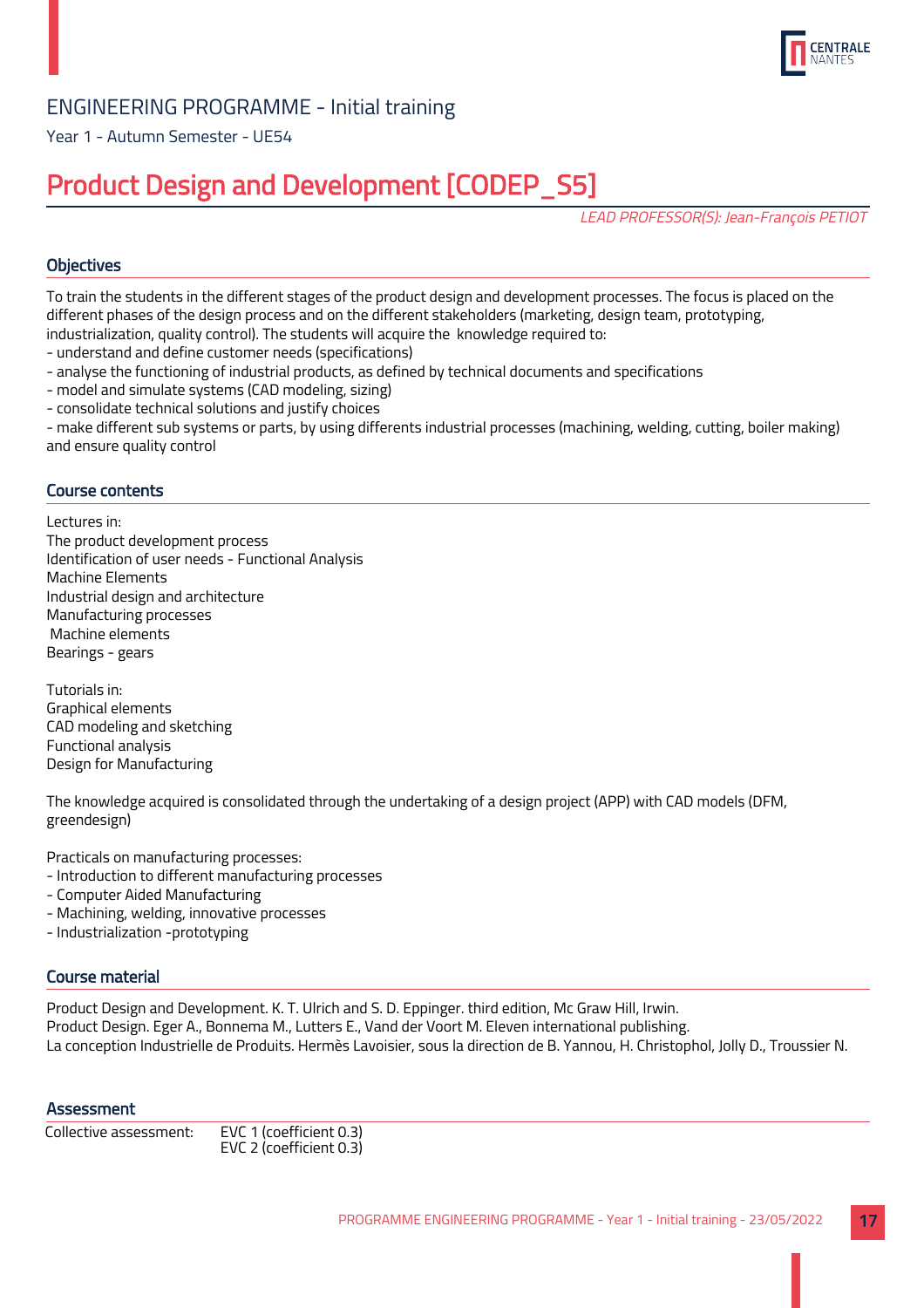

Year 1 - Autumn Semester - UE54

## Product Design and Development [CODEP\_S5]

LEAD PROFESSOR(S): Jean-François PETIOT

## **Objectives**

To train the students in the different stages of the product design and development processes. The focus is placed on the different phases of the design process and on the different stakeholders (marketing, design team, prototyping, industrialization, quality control). The students will acquire the knowledge required to:

- understand and define customer needs (specifications)
- analyse the functioning of industrial products, as defined by technical documents and specifications
- model and simulate systems (CAD modeling, sizing)
- consolidate technical solutions and justify choices

- make different sub systems or parts, by using differents industrial processes (machining, welding, cutting, boiler making) and ensure quality control

## Course contents

Lectures in: The product development process Identification of user needs - Functional Analysis Machine Elements Industrial design and architecture Manufacturing processes Machine elements Bearings - gears

Tutorials in: Graphical elements CAD modeling and sketching Functional analysis Design for Manufacturing

The knowledge acquired is consolidated through the undertaking of a design project (APP) with CAD models (DFM, greendesign)

Practicals on manufacturing processes:

- Introduction to different manufacturing processes
- Computer Aided Manufacturing
- Machining, welding, innovative processes
- Industrialization -prototyping

#### Course material

Product Design and Development. K. T. Ulrich and S. D. Eppinger. third edition, Mc Graw Hill, Irwin. Product Design. Eger A., Bonnema M., Lutters E., Vand der Voort M. Eleven international publishing. La conception Industrielle de Produits. Hermès Lavoisier, sous la direction de B. Yannou, H. Christophol, Jolly D., Troussier N.

#### **Assessment**

| Collective assessment: | EVC 1 (coefficient 0.3) |  |  |  |
|------------------------|-------------------------|--|--|--|
|                        | EVC 2 (coefficient 0.3) |  |  |  |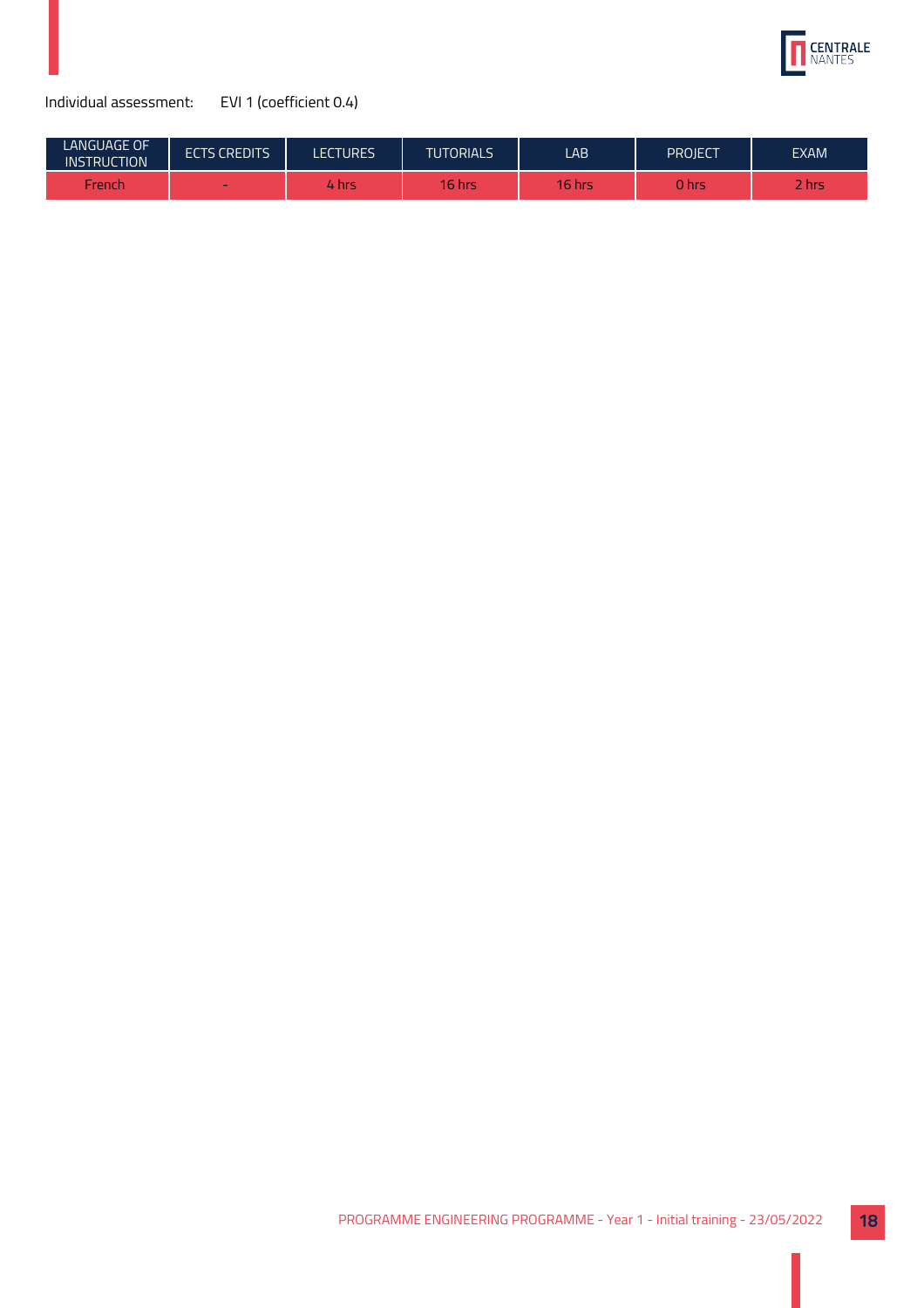

| <b>LANGUAGE OF</b><br><b>INSTRUCTION</b> | <b>ECTS CREDITS</b> | <b>LECTURES</b> | <b>TUTORIALS</b> | LAB.   | PROJECT | <b>EXAM</b> |
|------------------------------------------|---------------------|-----------------|------------------|--------|---------|-------------|
| <b>French</b>                            | $\sim$              | 4 hrs           | $16$ hrs         | 16 hrs | 0 hrs   | ! hrs       |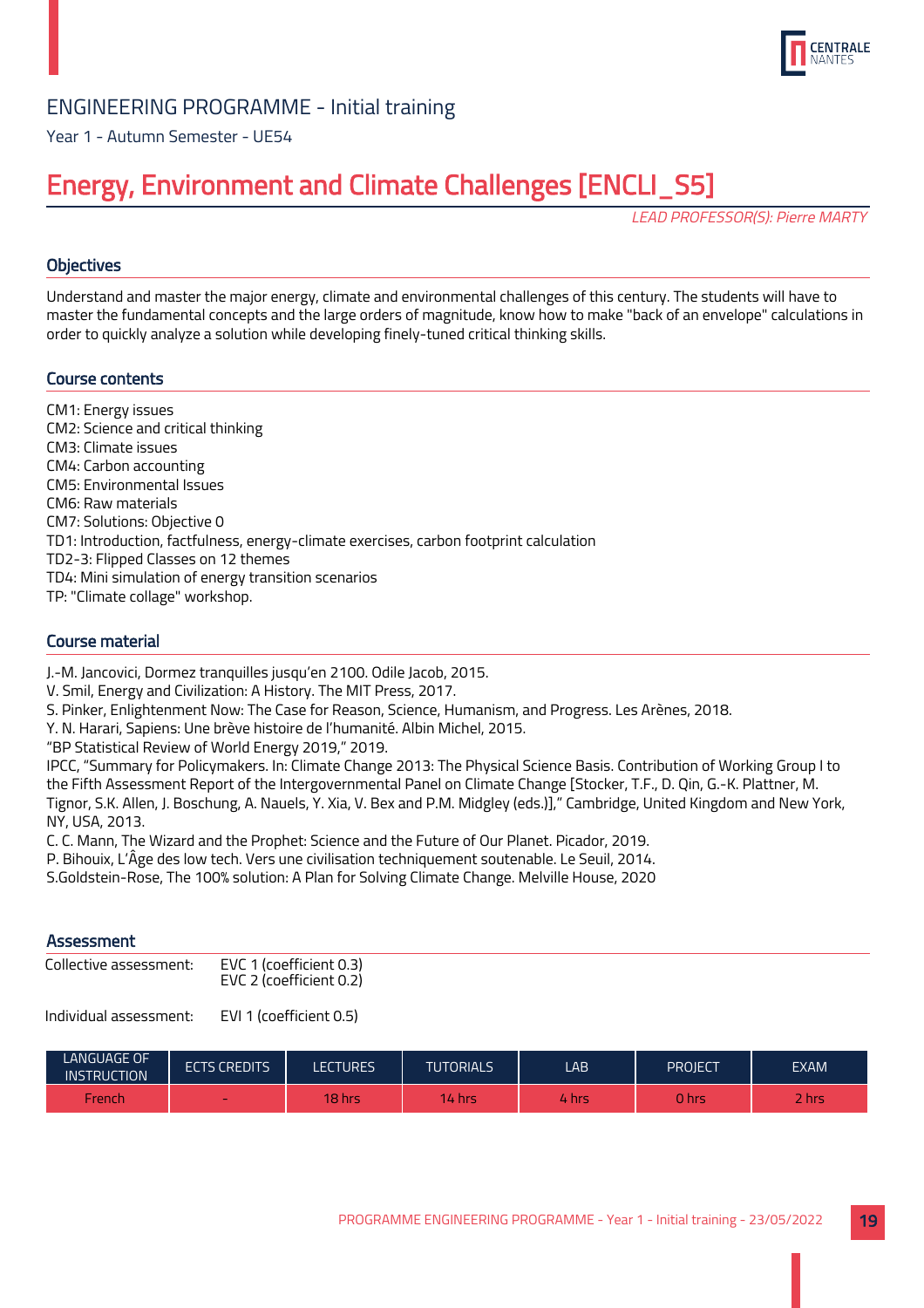

Year 1 - Autumn Semester - UE54

## Energy, Environment and Climate Challenges [ENCLI\_S5]

LEAD PROFESSOR(S): Pierre MARTY

## **Objectives**

Understand and master the major energy, climate and environmental challenges of this century. The students will have to master the fundamental concepts and the large orders of magnitude, know how to make "back of an envelope" calculations in order to quickly analyze a solution while developing finely-tuned critical thinking skills.

## Course contents

CM1: Energy issues CM2: Science and critical thinking CM3: Climate issues CM4: Carbon accounting CM5: Environmental Issues CM6: Raw materials CM7: Solutions: Objective 0 TD1: Introduction, factfulness, energy-climate exercises, carbon footprint calculation TD2-3: Flipped Classes on 12 themes TD4: Mini simulation of energy transition scenarios TP: "Climate collage" workshop.

## Course material

J.-M. Jancovici, Dormez tranquilles jusqu'en 2100. Odile Jacob, 2015.

V. Smil, Energy and Civilization: A History. The MIT Press, 2017.

S. Pinker, Enlightenment Now: The Case for Reason, Science, Humanism, and Progress. Les Arènes, 2018.

Y. N. Harari, Sapiens: Une brève histoire de l'humanité. Albin Michel, 2015.

"BP Statistical Review of World Energy 2019," 2019.

IPCC, "Summary for Policymakers. In: Climate Change 2013: The Physical Science Basis. Contribution of Working Group I to the Fifth Assessment Report of the Intergovernmental Panel on Climate Change [Stocker, T.F., D. Qin, G.-K. Plattner, M. Tignor, S.K. Allen, J. Boschung, A. Nauels, Y. Xia, V. Bex and P.M. Midgley (eds.)]," Cambridge, United Kingdom and New York, NY, USA, 2013.

C. C. Mann, The Wizard and the Prophet: Science and the Future of Our Planet. Picador, 2019.

P. Bihouix, L'Âge des low tech. Vers une civilisation techniquement soutenable. Le Seuil, 2014.

S.Goldstein-Rose, The 100% solution: A Plan for Solving Climate Change. Melville House, 2020

## **Assessment**

| Collective assessment: | EVC 1 (coefficient 0.3) |
|------------------------|-------------------------|
|                        | EVC 2 (coefficient 0.2) |

| <b>LANGUAGE OF</b><br><b>INSTRUCTION</b> | <b>ECTS CREDITS</b> | <b>LECTURES</b> | <b>TUTORIALS</b>   | LAB.  | PROJECT | <b>EXAM</b>     |
|------------------------------------------|---------------------|-----------------|--------------------|-------|---------|-----------------|
| French                                   | $\sim$              | <b>18 hrs</b>   | <b>14</b><br>hrs ا | hrs . | ງ hrs   | $\sim$<br>2 hrs |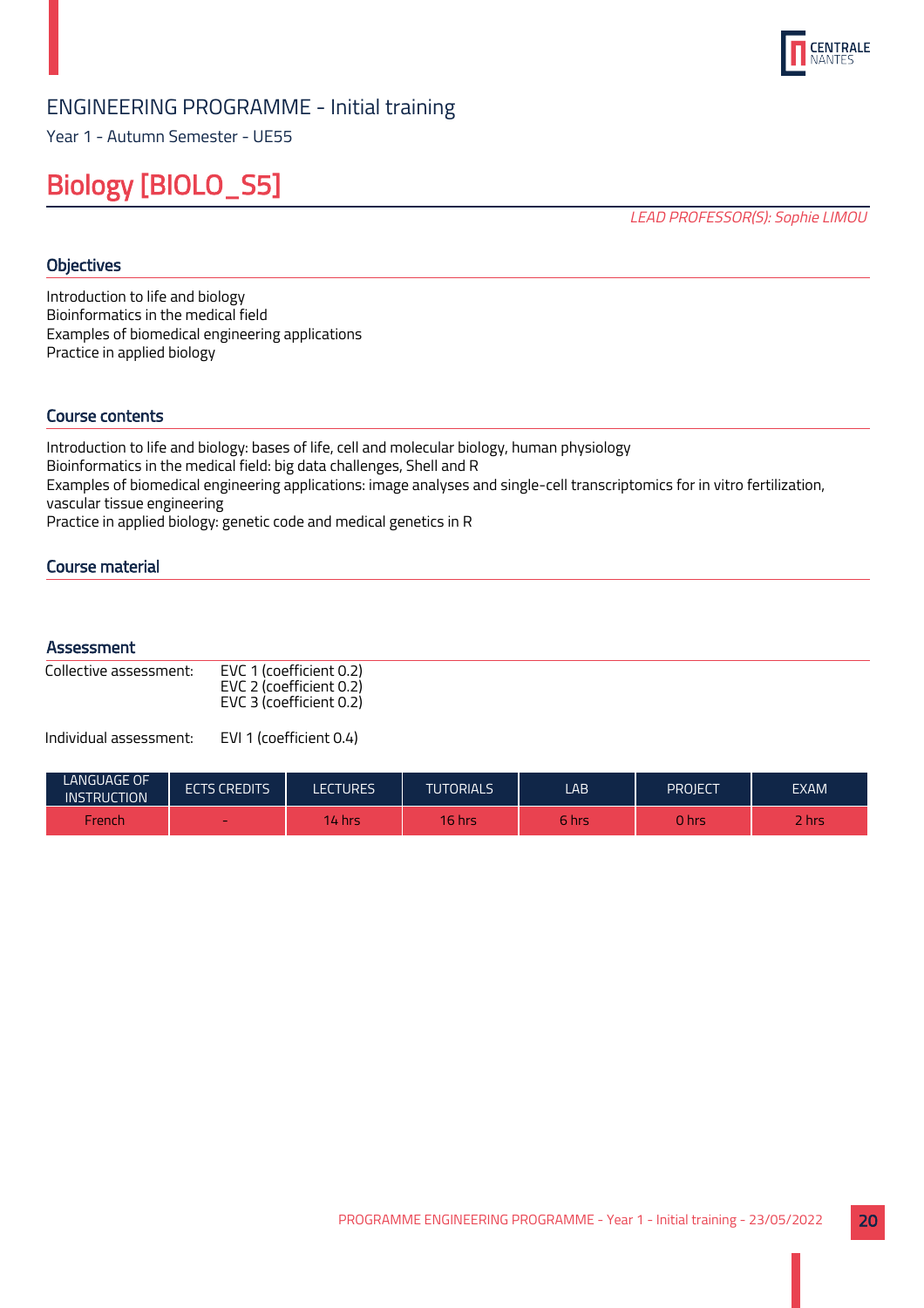

Year 1 - Autumn Semester - UE55

## Biology [BIOLO\_S5]

LEAD PROFESSOR(S): Sophie LIMOU

## **Objectives**

Introduction to life and biology Bioinformatics in the medical field Examples of biomedical engineering applications Practice in applied biology

## Course contents

Introduction to life and biology: bases of life, cell and molecular biology, human physiology Bioinformatics in the medical field: big data challenges, Shell and R Examples of biomedical engineering applications: image analyses and single-cell transcriptomics for in vitro fertilization, vascular tissue engineering Practice in applied biology: genetic code and medical genetics in R

Course material

#### **Assessment**

| Collective assessment: | EVC 1 (coefficient 0.2)<br>EVC 2 (coefficient 0.2)<br>EVC 3 (coefficient 0.2) |
|------------------------|-------------------------------------------------------------------------------|
|                        |                                                                               |

| LANGUAGE OF<br><b>INSTRUCTION</b> | <b>ECTS CREDITS</b> | <b>ECTURES</b> | <b>TUTORIALS</b> | LAB   | PROJECT. | <b>EXAM</b>     |
|-----------------------------------|---------------------|----------------|------------------|-------|----------|-----------------|
| French                            | $\sim$              | <b>14 hrs.</b> | $16$ hrs         | 6 hrs | 0 hrs    | -<br><b>hrs</b> |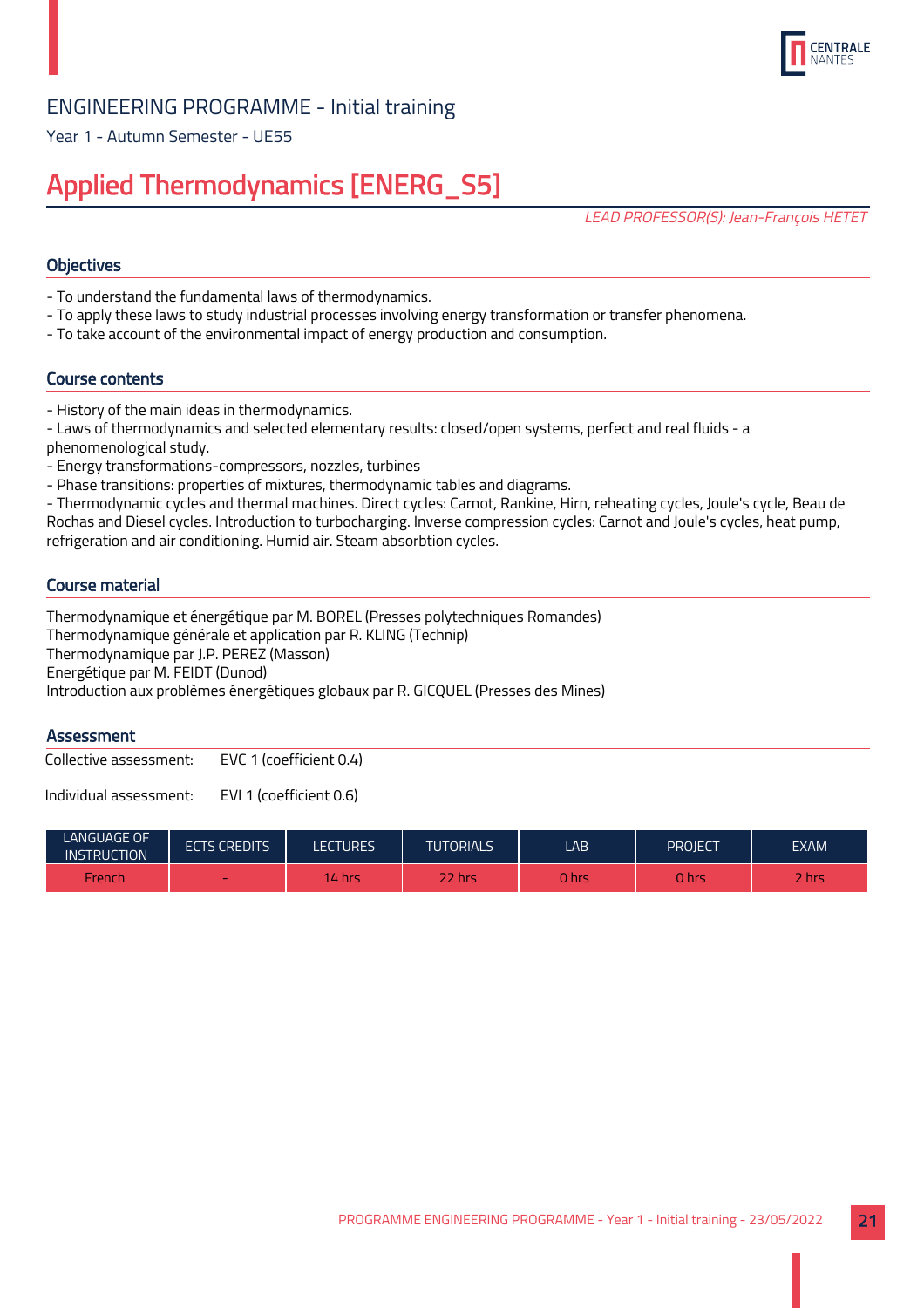

Year 1 - Autumn Semester - UE55

## Applied Thermodynamics [ENERG\_S5]

LEAD PROFESSOR(S): Jean-François HETET

## **Objectives**

- To understand the fundamental laws of thermodynamics.
- To apply these laws to study industrial processes involving energy transformation or transfer phenomena.
- To take account of the environmental impact of energy production and consumption.

#### Course contents

- History of the main ideas in thermodynamics.
- Laws of thermodynamics and selected elementary results: closed/open systems, perfect and real fluids a phenomenological study.
- Energy transformations-compressors, nozzles, turbines
- Phase transitions: properties of mixtures, thermodynamic tables and diagrams.

- Thermodynamic cycles and thermal machines. Direct cycles: Carnot, Rankine, Hirn, reheating cycles, Joule's cycle, Beau de Rochas and Diesel cycles. Introduction to turbocharging. Inverse compression cycles: Carnot and Joule's cycles, heat pump, refrigeration and air conditioning. Humid air. Steam absorbtion cycles.

## Course material

Thermodynamique et énergétique par M. BOREL (Presses polytechniques Romandes) Thermodynamique générale et application par R. KLING (Technip) Thermodynamique par J.P. PEREZ (Masson) Energétique par M. FEIDT (Dunod) Introduction aux problèmes énergétiques globaux par R. GICQUEL (Presses des Mines)

#### **Assessment**

Collective assessment: EVC 1 (coefficient 0.4)

| <b>LANGUAGE OF</b><br><b>INSTRUCTION</b> | <b>ECTS CREDITS</b> | LECTURES | <b>TUTORIALS</b> | LAB.  | PROJECT | <b>EXAM</b>                       |
|------------------------------------------|---------------------|----------|------------------|-------|---------|-----------------------------------|
| French                                   | $\sim$              | 14 hrs   | <b>22 hrs</b>    | 0 hrs | 0 hrs   | $\overline{\phantom{a}}$<br>2 hrs |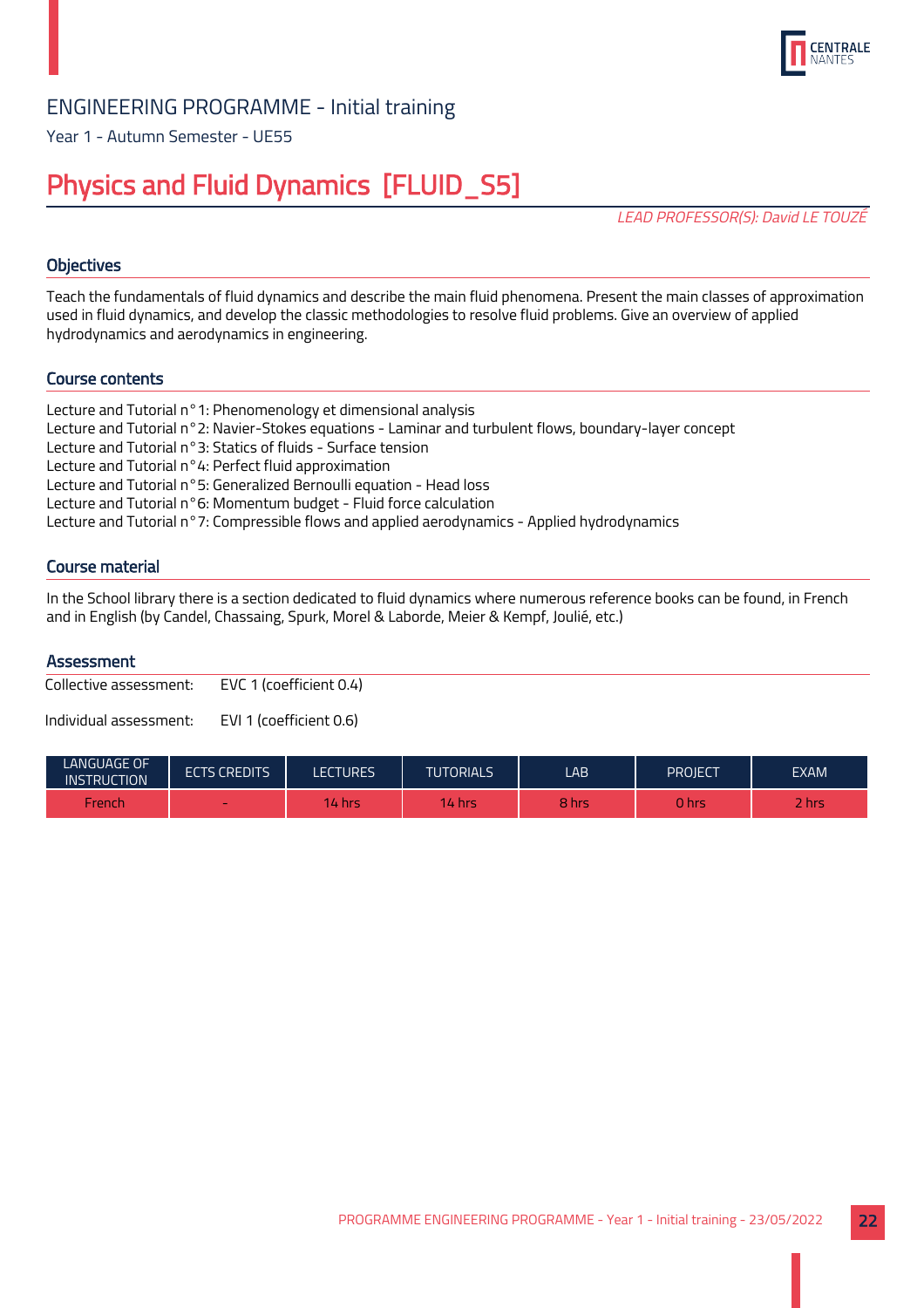

Year 1 - Autumn Semester - UE55

## Physics and Fluid Dynamics [FLUID\_S5]

LEAD PROFESSOR(S): David LE TOUZÉ

## **Objectives**

Teach the fundamentals of fluid dynamics and describe the main fluid phenomena. Present the main classes of approximation used in fluid dynamics, and develop the classic methodologies to resolve fluid problems. Give an overview of applied hydrodynamics and aerodynamics in engineering.

## Course contents

Lecture and Tutorial n°1: Phenomenology et dimensional analysis Lecture and Tutorial n°2: Navier-Stokes equations - Laminar and turbulent flows, boundary-layer concept Lecture and Tutorial n°3: Statics of fluids - Surface tension Lecture and Tutorial n°4: Perfect fluid approximation Lecture and Tutorial n°5: Generalized Bernoulli equation - Head loss Lecture and Tutorial n°6: Momentum budget - Fluid force calculation Lecture and Tutorial n°7: Compressible flows and applied aerodynamics - Applied hydrodynamics

## Course material

In the School library there is a section dedicated to fluid dynamics where numerous reference books can be found, in French and in English (by Candel, Chassaing, Spurk, Morel & Laborde, Meier & Kempf, Joulié, etc.)

#### **Assessment**

Collective assessment: EVC 1 (coefficient 0.4)

| <b>LANGUAGE OF</b><br><b>INSTRUCTION</b> | <b>ECTS CREDITS</b> | <b>LECTURES</b> | <b>TUTORIALS</b> | LAB   | PROJECT | <b>EXAM</b> |
|------------------------------------------|---------------------|-----------------|------------------|-------|---------|-------------|
| French                                   | $\sim$              | $14$ hrs.       | 14 hrs           | 8 hrs | 0 hrs   | <b>Rhrs</b> |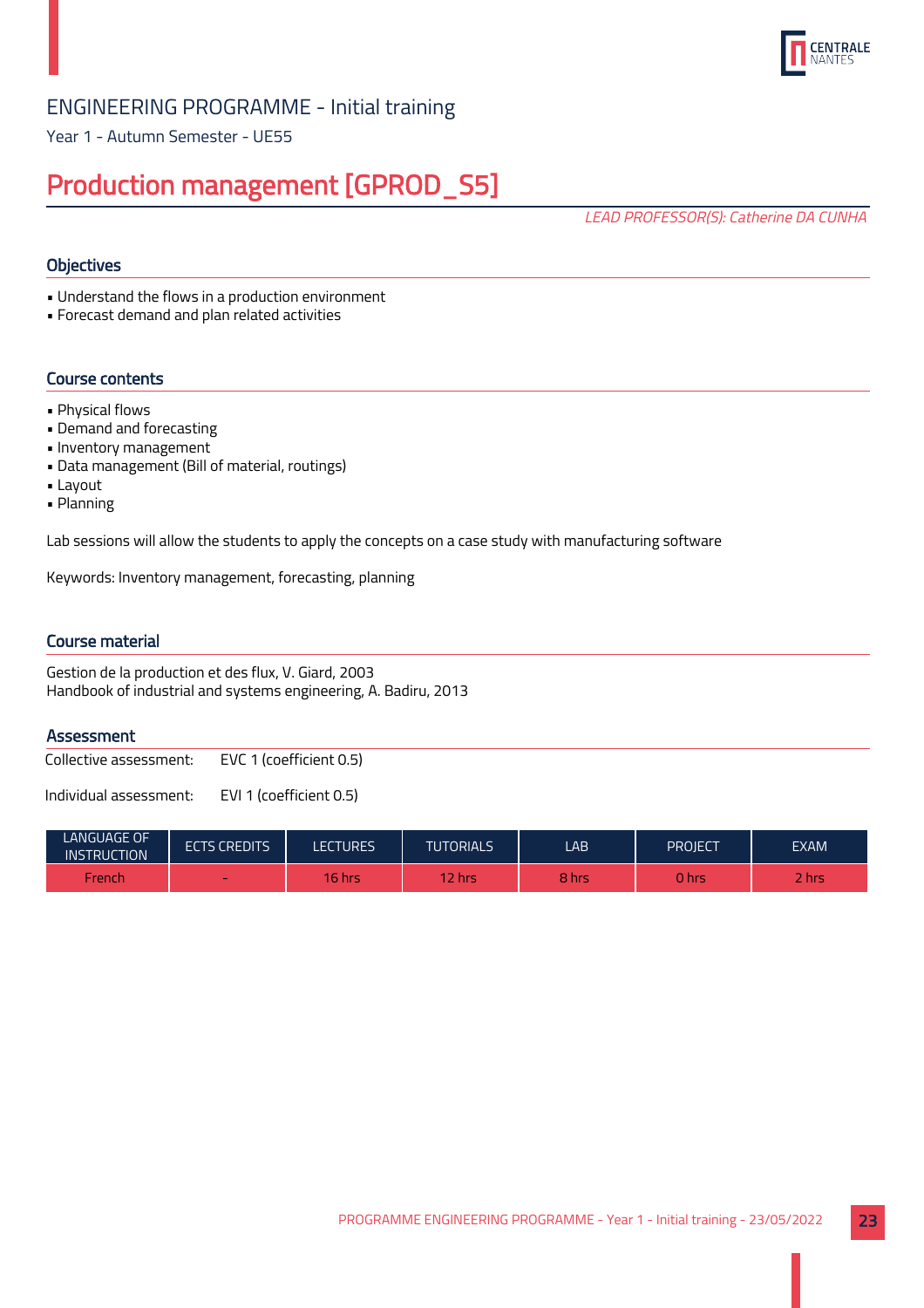

Year 1 - Autumn Semester - UE55

## Production management [GPROD\_S5]

LEAD PROFESSOR(S): Catherine DA CUNHA

## **Objectives**

• Understand the flows in a production environment

• Forecast demand and plan related activities

## Course contents

- Physical flows
- Demand and forecasting
- Inventory management
- Data management (Bill of material, routings)
- Layout
- Planning

Lab sessions will allow the students to apply the concepts on a case study with manufacturing software

Keywords: Inventory management, forecasting, planning

## Course material

Gestion de la production et des flux, V. Giard, 2003 Handbook of industrial and systems engineering, A. Badiru, 2013

## **Assessment**

Collective assessment: EVC 1 (coefficient 0.5)

| <b>LANGUAGE OF</b><br><b>INSTRUCTION</b> | <b>ECTS CREDITS</b> | <b>LECTURES</b> | <b>TUTORIALS</b> | LAB.  | PROIECT | <b>EXAM</b> |
|------------------------------------------|---------------------|-----------------|------------------|-------|---------|-------------|
| French                                   | $\sim$              | <b>16 hrs.</b>  | / hrs            | 8 hrs | 0 hrs   | hrs         |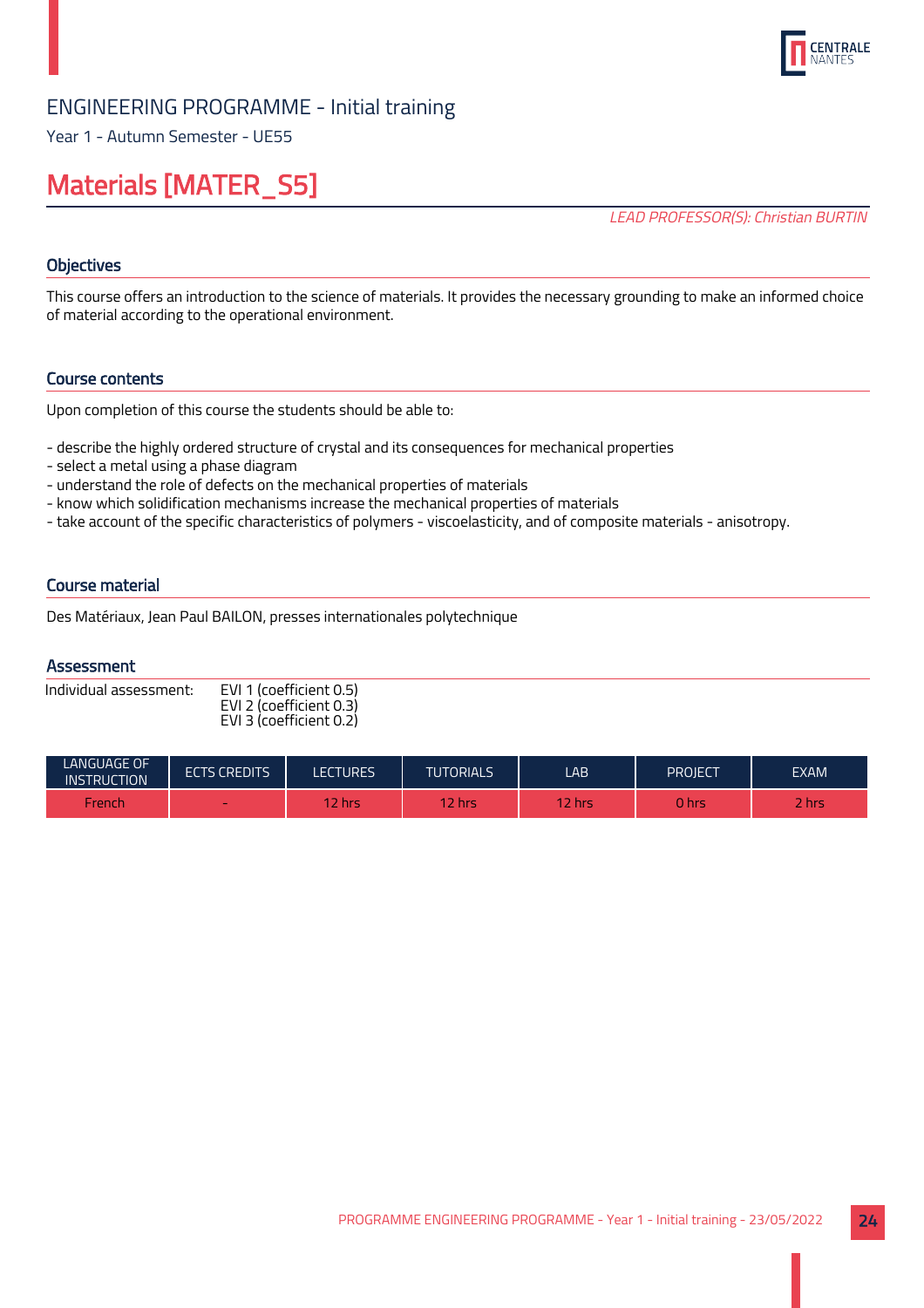

Year 1 - Autumn Semester - UE55

## Materials [MATER\_S5]

LEAD PROFESSOR(S): Christian BURTIN

## **Objectives**

This course offers an introduction to the science of materials. It provides the necessary grounding to make an informed choice of material according to the operational environment.

## Course contents

Upon completion of this course the students should be able to:

- describe the highly ordered structure of crystal and its consequences for mechanical properties
- select a metal using a phase diagram
- understand the role of defects on the mechanical properties of materials
- know which solidification mechanisms increase the mechanical properties of materials
- take account of the specific characteristics of polymers viscoelasticity, and of composite materials anisotropy.

## Course material

Des Matériaux, Jean Paul BAILON, presses internationales polytechnique

## **Assessment**

| Individual assessment: | EVI 1 (coefficient 0.5) |
|------------------------|-------------------------|
|                        | EVI 2 (coefficient 0.3) |
|                        | EVI 3 (coefficient 0.2) |

| LANGUAGE OF<br><b>INSTRUCTION</b> | <b>ECTS CREDITS</b>      | <b>LECTURES</b> | <b>TUTORIALS</b> | LAB    | PROJECT      | <b>EXAM</b> |
|-----------------------------------|--------------------------|-----------------|------------------|--------|--------------|-------------|
| French                            | $\overline{\phantom{a}}$ | 2 hrs           | $2$ hrs          | 12 hrs | <b>o</b> hrs | <b>Rhrs</b> |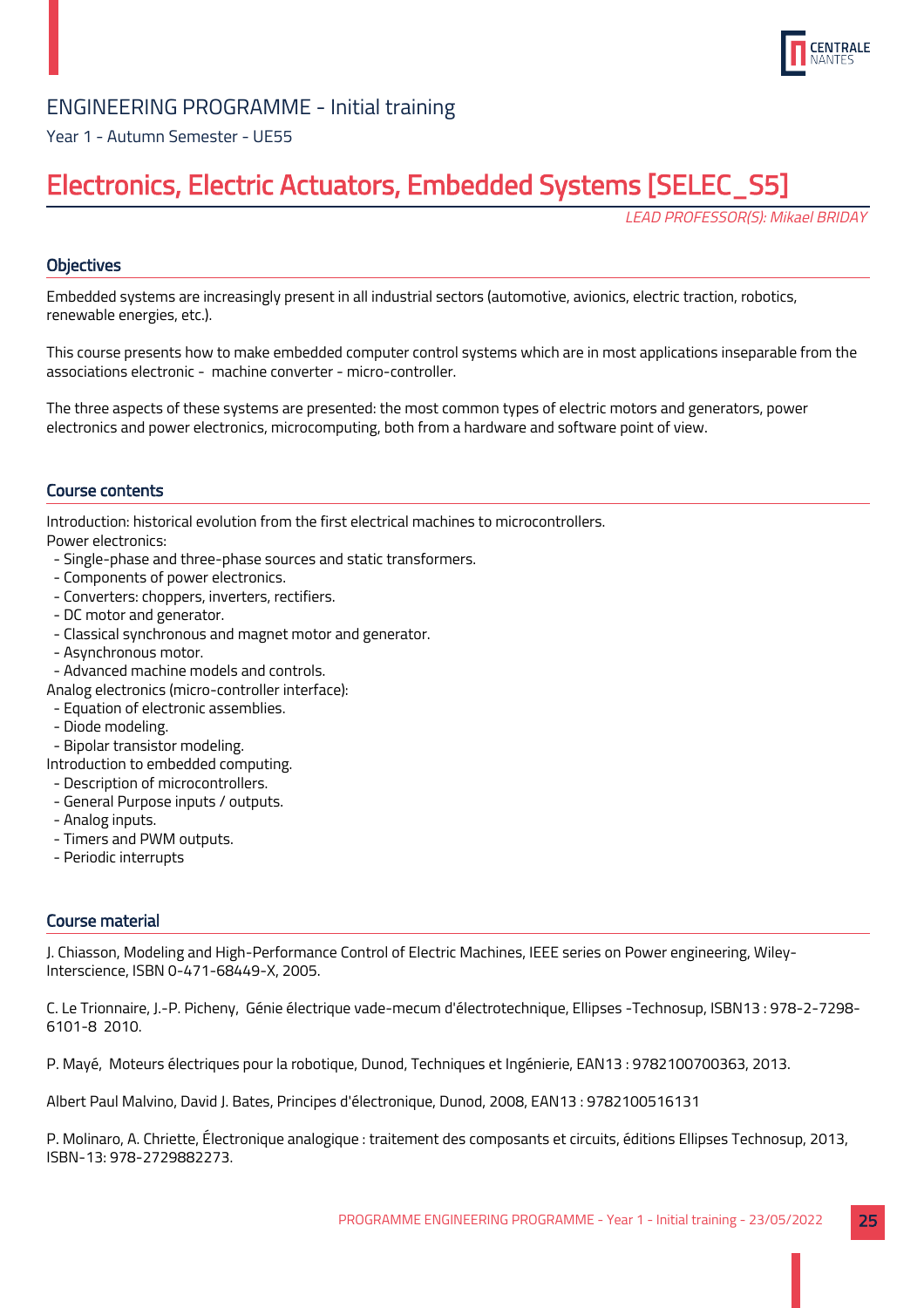

Year 1 - Autumn Semester - UE55

## Electronics, Electric Actuators, Embedded Systems [SELEC\_S5]

LEAD PROFESSOR(S): Mikael BRIDAY

## **Objectives**

Embedded systems are increasingly present in all industrial sectors (automotive, avionics, electric traction, robotics, renewable energies, etc.).

This course presents how to make embedded computer control systems which are in most applications inseparable from the associations electronic - machine converter - micro-controller.

The three aspects of these systems are presented: the most common types of electric motors and generators, power electronics and power electronics, microcomputing, both from a hardware and software point of view.

## Course contents

Introduction: historical evolution from the first electrical machines to microcontrollers. Power electronics:

- Single-phase and three-phase sources and static transformers.
- Components of power electronics.
- Converters: choppers, inverters, rectifiers.
- DC motor and generator.
- Classical synchronous and magnet motor and generator.
- Asynchronous motor.
- Advanced machine models and controls.
- Analog electronics (micro-controller interface):
- Equation of electronic assemblies.
- Diode modeling.
- Bipolar transistor modeling.
- Introduction to embedded computing.
- Description of microcontrollers.
- General Purpose inputs / outputs.
- Analog inputs.
- Timers and PWM outputs.
- Periodic interrupts

## Course material

J. Chiasson, Modeling and High-Performance Control of Electric Machines, IEEE series on Power engineering, Wiley-Interscience, ISBN 0-471-68449-X, 2005.

C. Le Trionnaire, J.-P. Picheny, Génie électrique vade-mecum d'électrotechnique, Ellipses -Technosup, ISBN13 : 978-2-7298- 6101-8 2010.

P. Mayé, Moteurs électriques pour la robotique, Dunod, Techniques et Ingénierie, EAN13 : 9782100700363, 2013.

Albert Paul Malvino, David J. Bates, Principes d'électronique, Dunod, 2008, EAN13 : 9782100516131

P. Molinaro, A. Chriette, Électronique analogique : traitement des composants et circuits, éditions Ellipses Technosup, 2013, ISBN-13: 978-2729882273.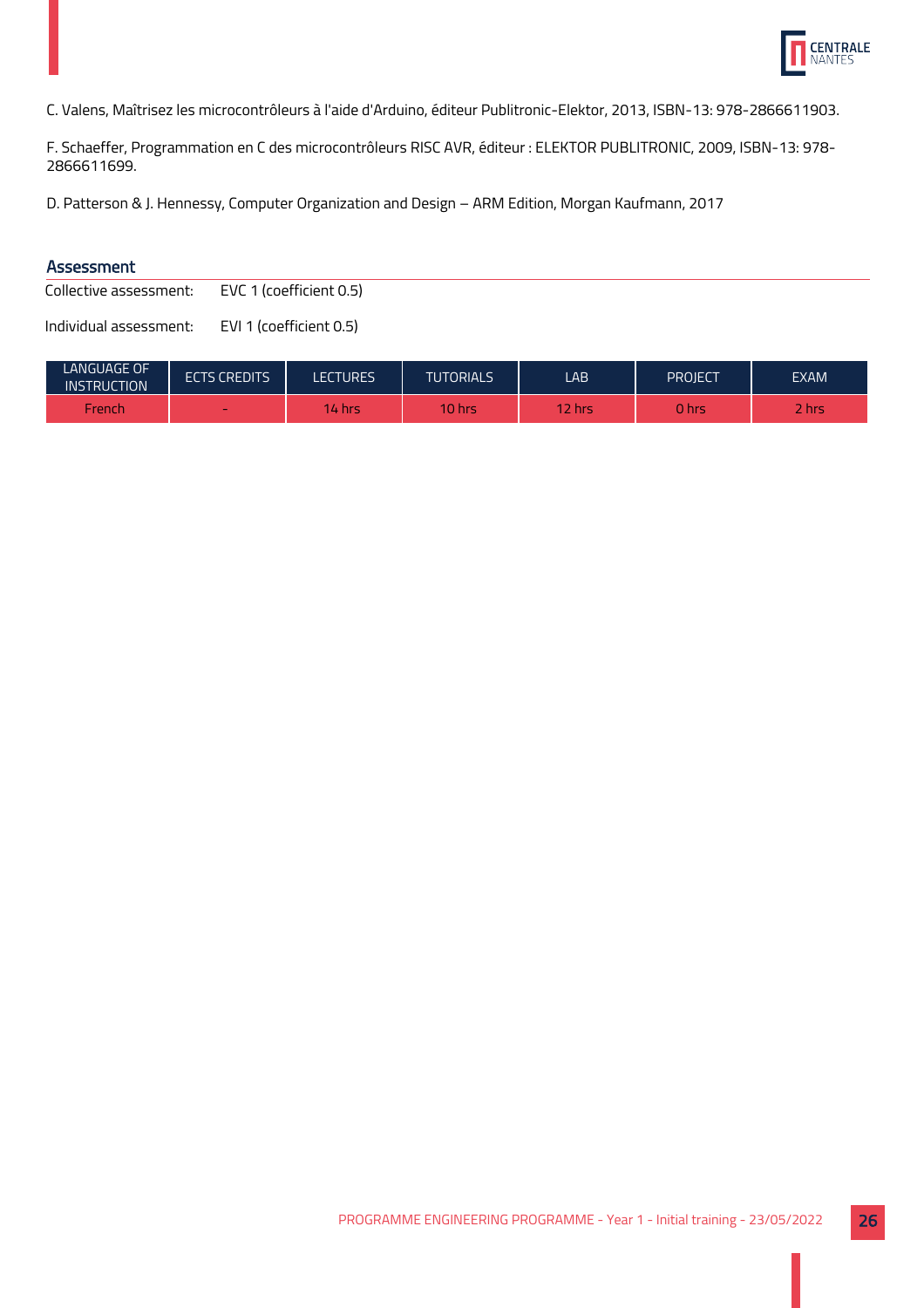

C. Valens, Maîtrisez les microcontrôleurs à l'aide d'Arduino, éditeur Publitronic-Elektor, 2013, ISBN-13: 978-2866611903.

F. Schaeffer, Programmation en C des microcontrôleurs RISC AVR, éditeur : ELEKTOR PUBLITRONIC, 2009, ISBN-13: 978- 2866611699.

D. Patterson & J. Hennessy, Computer Organization and Design – ARM Edition, Morgan Kaufmann, 2017

## Assessment

Collective assessment: EVC 1 (coefficient 0.5)

| LANGUAGE OF<br><b>INSTRUCTION</b> | <b>ECTS CREDITS</b>      | LECTURES | <b>TUTORIALS</b> | LAB        | PROJECT | <b>EXAM</b> |
|-----------------------------------|--------------------------|----------|------------------|------------|---------|-------------|
| -rench                            | $\overline{\phantom{a}}$ | 14 hrs   | 10 hrs           | $\sim$ hrs | 0 hrs   | -<br>/hrs   |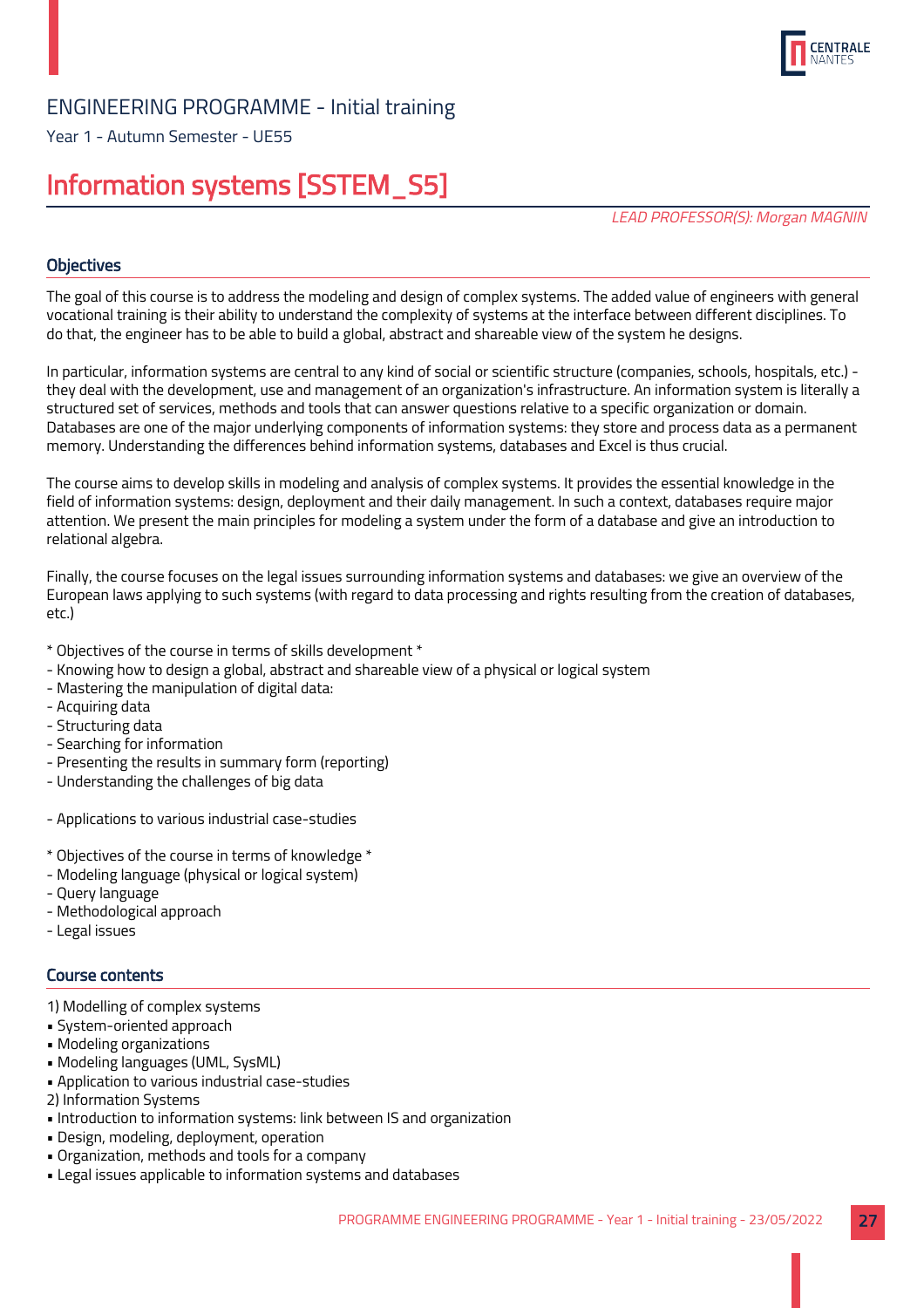

Year 1 - Autumn Semester - UE55

## Information systems [SSTEM\_S5]

LEAD PROFESSOR(S): Morgan MAGNIN

## **Objectives**

The goal of this course is to address the modeling and design of complex systems. The added value of engineers with general vocational training is their ability to understand the complexity of systems at the interface between different disciplines. To do that, the engineer has to be able to build a global, abstract and shareable view of the system he designs.

In particular, information systems are central to any kind of social or scientific structure (companies, schools, hospitals, etc.) they deal with the development, use and management of an organization's infrastructure. An information system is literally a structured set of services, methods and tools that can answer questions relative to a specific organization or domain. Databases are one of the major underlying components of information systems: they store and process data as a permanent memory. Understanding the differences behind information systems, databases and Excel is thus crucial.

The course aims to develop skills in modeling and analysis of complex systems. It provides the essential knowledge in the field of information systems: design, deployment and their daily management. In such a context, databases require major attention. We present the main principles for modeling a system under the form of a database and give an introduction to relational algebra.

Finally, the course focuses on the legal issues surrounding information systems and databases: we give an overview of the European laws applying to such systems (with regard to data processing and rights resulting from the creation of databases, etc.)

- \* Objectives of the course in terms of skills development \*
- Knowing how to design a global, abstract and shareable view of a physical or logical system
- Mastering the manipulation of digital data:
- Acquiring data
- Structuring data
- Searching for information
- Presenting the results in summary form (reporting)
- Understanding the challenges of big data
- Applications to various industrial case-studies
- \* Objectives of the course in terms of knowledge \*
- Modeling language (physical or logical system)
- Query language
- Methodological approach
- Legal issues

## Course contents

- 1) Modelling of complex systems
- System-oriented approach
- Modeling organizations
- Modeling languages (UML, SysML)
- Application to various industrial case-studies
- 2) Information Systems
- Introduction to information systems: link between IS and organization
- Design, modeling, deployment, operation
- Organization, methods and tools for a company
- Legal issues applicable to information systems and databases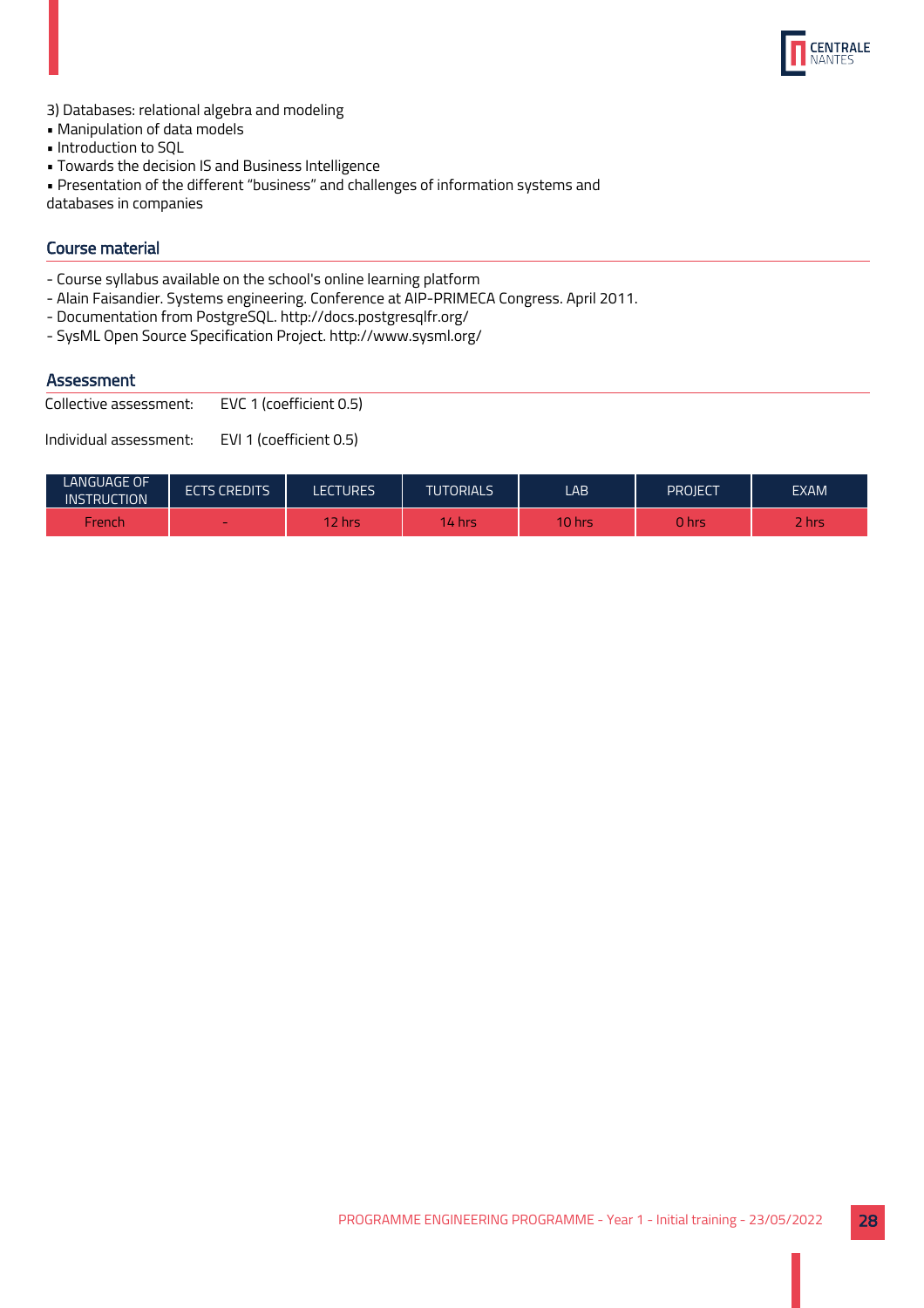

- 3) Databases: relational algebra and modeling
- Manipulation of data models
- Introduction to SQL
- Towards the decision IS and Business Intelligence
- Presentation of the different "business" and challenges of information systems and

databases in companies

## Course material

- Course syllabus available on the school's online learning platform
- Alain Faisandier. Systems engineering. Conference at AIP-PRIMECA Congress. April 2011.
- Documentation from PostgreSQL. http://docs.postgresqlfr.org/
- SysML Open Source Specification Project. http://www.sysml.org/

## **Assessment**

Collective assessment: EVC 1 (coefficient 0.5)

| LANGUAGE OF<br><b>INSTRUCTION</b> | <b>ECTS CREDITS</b>      | <b>LECTURES</b> | <b>TUTORIALS</b> | LAB            | PROJECT | EXAM  |
|-----------------------------------|--------------------------|-----------------|------------------|----------------|---------|-------|
| French                            | $\overline{\phantom{a}}$ | 2 hrs           | 14 hrs           | <b>10 hrs.</b> | 0 hrs   | 2 hrs |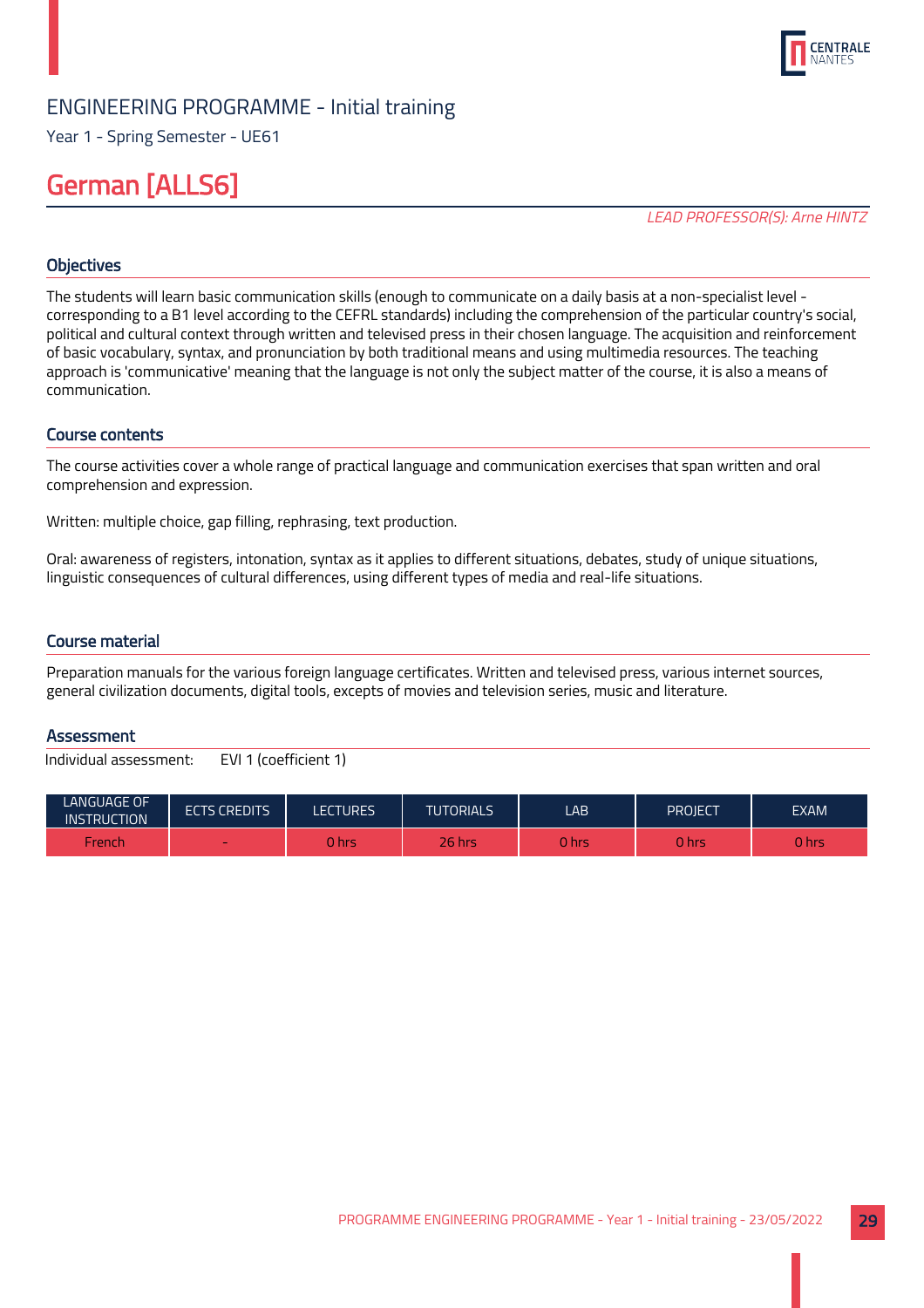

Year 1 - Spring Semester - UE61

## German [ALLS6]

LEAD PROFESSOR(S): Arne HINTZ

## **Objectives**

The students will learn basic communication skills (enough to communicate on a daily basis at a non-specialist level corresponding to a B1 level according to the CEFRL standards) including the comprehension of the particular country's social, political and cultural context through written and televised press in their chosen language. The acquisition and reinforcement of basic vocabulary, syntax, and pronunciation by both traditional means and using multimedia resources. The teaching approach is 'communicative' meaning that the language is not only the subject matter of the course, it is also a means of communication.

## Course contents

The course activities cover a whole range of practical language and communication exercises that span written and oral comprehension and expression.

Written: multiple choice, gap filling, rephrasing, text production.

Oral: awareness of registers, intonation, syntax as it applies to different situations, debates, study of unique situations, linguistic consequences of cultural differences, using different types of media and real-life situations.

#### Course material

Preparation manuals for the various foreign language certificates. Written and televised press, various internet sources, general civilization documents, digital tools, excepts of movies and television series, music and literature.

## **Assessment**

| <b>LANGUAGE OF</b><br><b>INSTRUCTION</b> | <b>ECTS CREDITS</b> | <b>LECTURES</b> | <b>TUTORIALS</b> | LAB          | PROJECT | <b>EXAM</b> |
|------------------------------------------|---------------------|-----------------|------------------|--------------|---------|-------------|
| French                                   | $\sim$              | 0 hrs           | 26 hrs           | <b>0 hrs</b> | hrs     | 0 hrs       |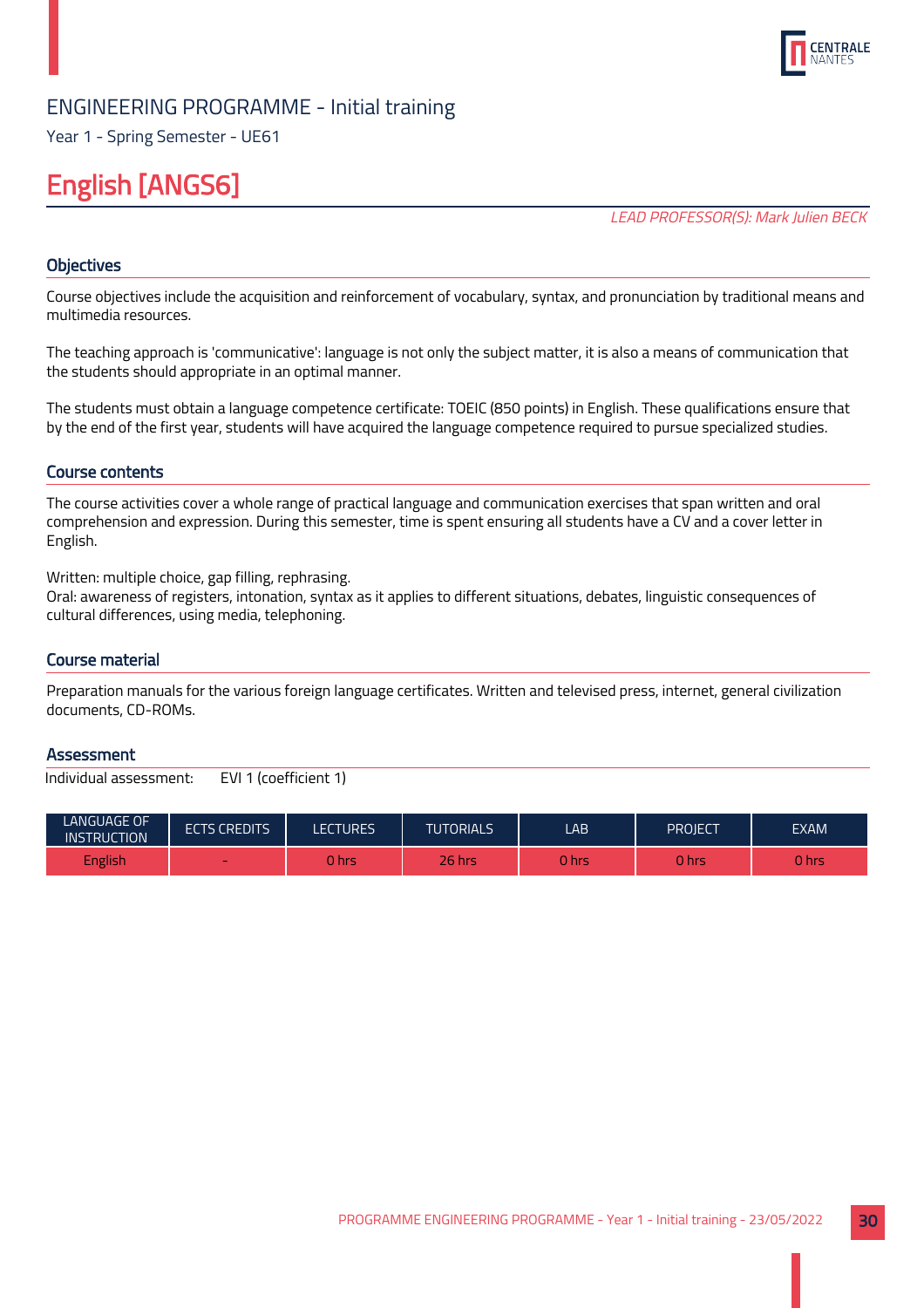

Year 1 - Spring Semester - UE61

## English [ANGS6]

LEAD PROFESSOR(S): Mark Julien BECK

## **Objectives**

Course objectives include the acquisition and reinforcement of vocabulary, syntax, and pronunciation by traditional means and multimedia resources.

The teaching approach is 'communicative': language is not only the subject matter, it is also a means of communication that the students should appropriate in an optimal manner.

The students must obtain a language competence certificate: TOEIC (850 points) in English. These qualifications ensure that by the end of the first year, students will have acquired the language competence required to pursue specialized studies.

## Course contents

The course activities cover a whole range of practical language and communication exercises that span written and oral comprehension and expression. During this semester, time is spent ensuring all students have a CV and a cover letter in English.

Written: multiple choice, gap filling, rephrasing.

Oral: awareness of registers, intonation, syntax as it applies to different situations, debates, linguistic consequences of cultural differences, using media, telephoning.

## Course material

Preparation manuals for the various foreign language certificates. Written and televised press, internet, general civilization documents, CD-ROMs.

#### **Assessment**

| LANGUAGE OF<br><b>INSTRUCTION</b> | <b>ECTS CREDITS</b> | ECTURES. | <b>TUTORIALS</b> | LAB.   | PROJECT | <b>EXAM</b> |
|-----------------------------------|---------------------|----------|------------------|--------|---------|-------------|
| English                           | $\sim$              | 0 hrs    | <b>26 hrs</b>    | 0 hrsi | U hrs   | 0 hrs       |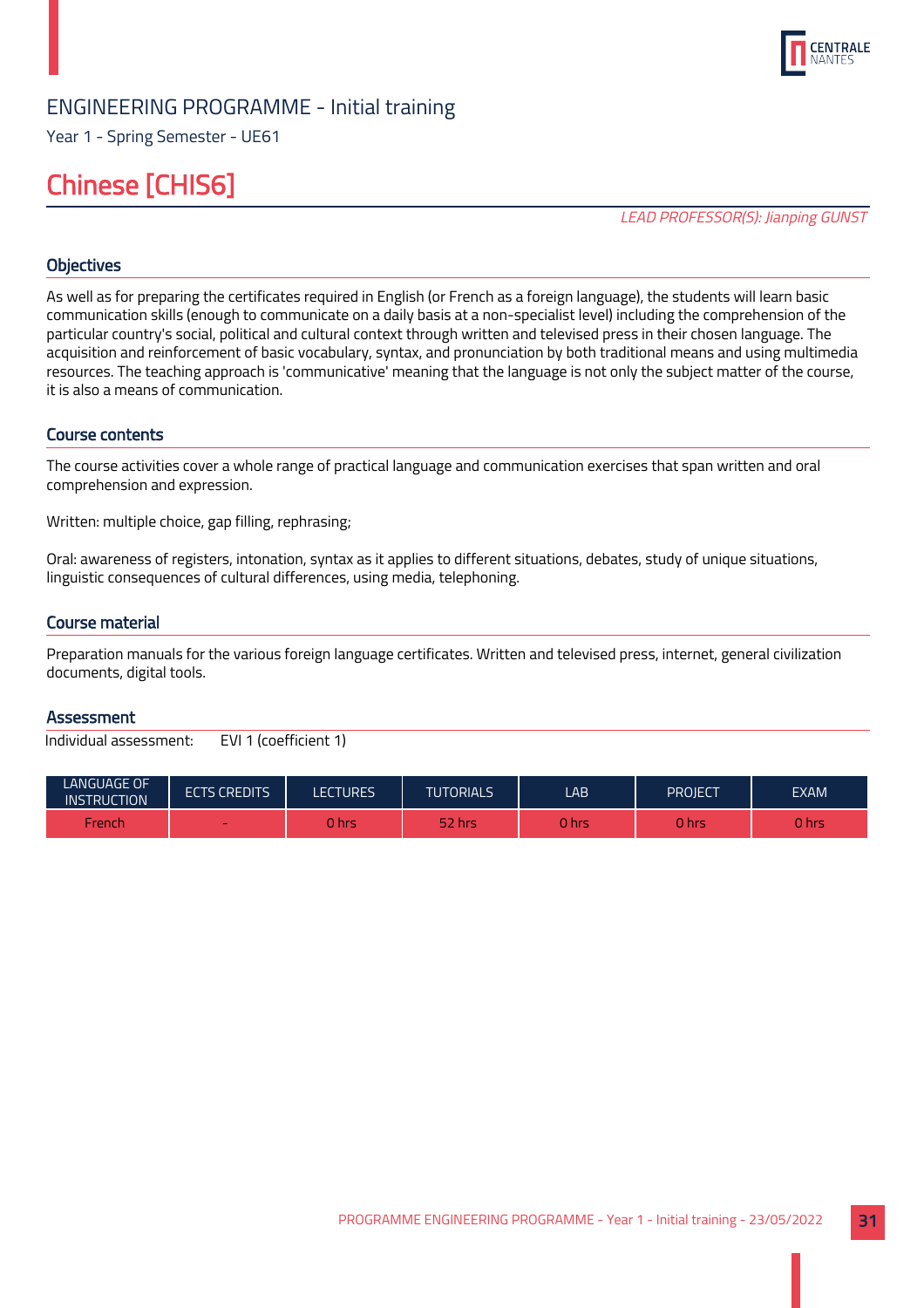

Year 1 - Spring Semester - UE61

## Chinese [CHIS6]

LEAD PROFESSOR(S): Jianping GUNST

## **Objectives**

As well as for preparing the certificates required in English (or French as a foreign language), the students will learn basic communication skills (enough to communicate on a daily basis at a non-specialist level) including the comprehension of the particular country's social, political and cultural context through written and televised press in their chosen language. The acquisition and reinforcement of basic vocabulary, syntax, and pronunciation by both traditional means and using multimedia resources. The teaching approach is 'communicative' meaning that the language is not only the subject matter of the course, it is also a means of communication.

#### Course contents

The course activities cover a whole range of practical language and communication exercises that span written and oral comprehension and expression.

Written: multiple choice, gap filling, rephrasing;

Oral: awareness of registers, intonation, syntax as it applies to different situations, debates, study of unique situations, linguistic consequences of cultural differences, using media, telephoning.

#### Course material

Preparation manuals for the various foreign language certificates. Written and televised press, internet, general civilization documents, digital tools.

#### **Assessment**

| <b>LANGUAGE OF</b><br><b>INSTRUCTION</b> | <b>ECTS CREDITS</b> | LECTURES | <b>TUTORIALS</b> | LAB    | PROJECT | <b>EXAM</b> |
|------------------------------------------|---------------------|----------|------------------|--------|---------|-------------|
| French                                   | -                   | 0 hrs    | 52 hrs           | 0 hrsi | 0 hrs   | J hrs       |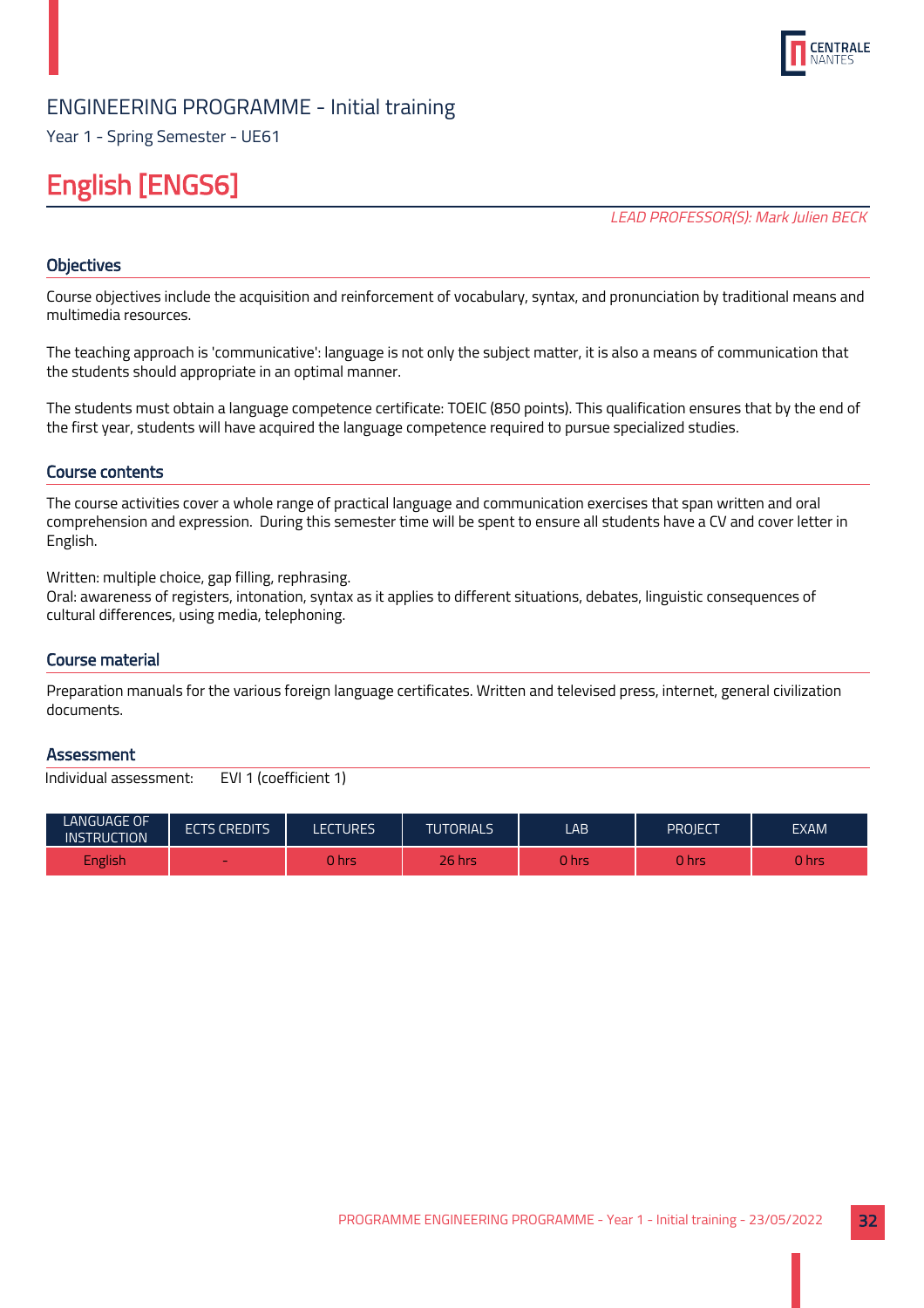

Year 1 - Spring Semester - UE61

## English [ENGS6]

LEAD PROFESSOR(S): Mark Julien BECK

## **Objectives**

Course objectives include the acquisition and reinforcement of vocabulary, syntax, and pronunciation by traditional means and multimedia resources.

The teaching approach is 'communicative': language is not only the subject matter, it is also a means of communication that the students should appropriate in an optimal manner.

The students must obtain a language competence certificate: TOEIC (850 points). This qualification ensures that by the end of the first year, students will have acquired the language competence required to pursue specialized studies.

## Course contents

The course activities cover a whole range of practical language and communication exercises that span written and oral comprehension and expression. During this semester time will be spent to ensure all students have a CV and cover letter in English.

Written: multiple choice, gap filling, rephrasing.

Oral: awareness of registers, intonation, syntax as it applies to different situations, debates, linguistic consequences of cultural differences, using media, telephoning.

## Course material

Preparation manuals for the various foreign language certificates. Written and televised press, internet, general civilization documents.

#### **Assessment**

| LANGUAGE OF<br><b>INSTRUCTION</b> | <b>ECTS CREDITS</b> | ECTURES. | <b>TUTORIALS</b> | LAB.   | PROJECT | <b>EXAM</b> |
|-----------------------------------|---------------------|----------|------------------|--------|---------|-------------|
| English                           | $\sim$              | 0 hrs    | <b>26 hrs</b>    | 0 hrsi | U hrs   | 0 hrs       |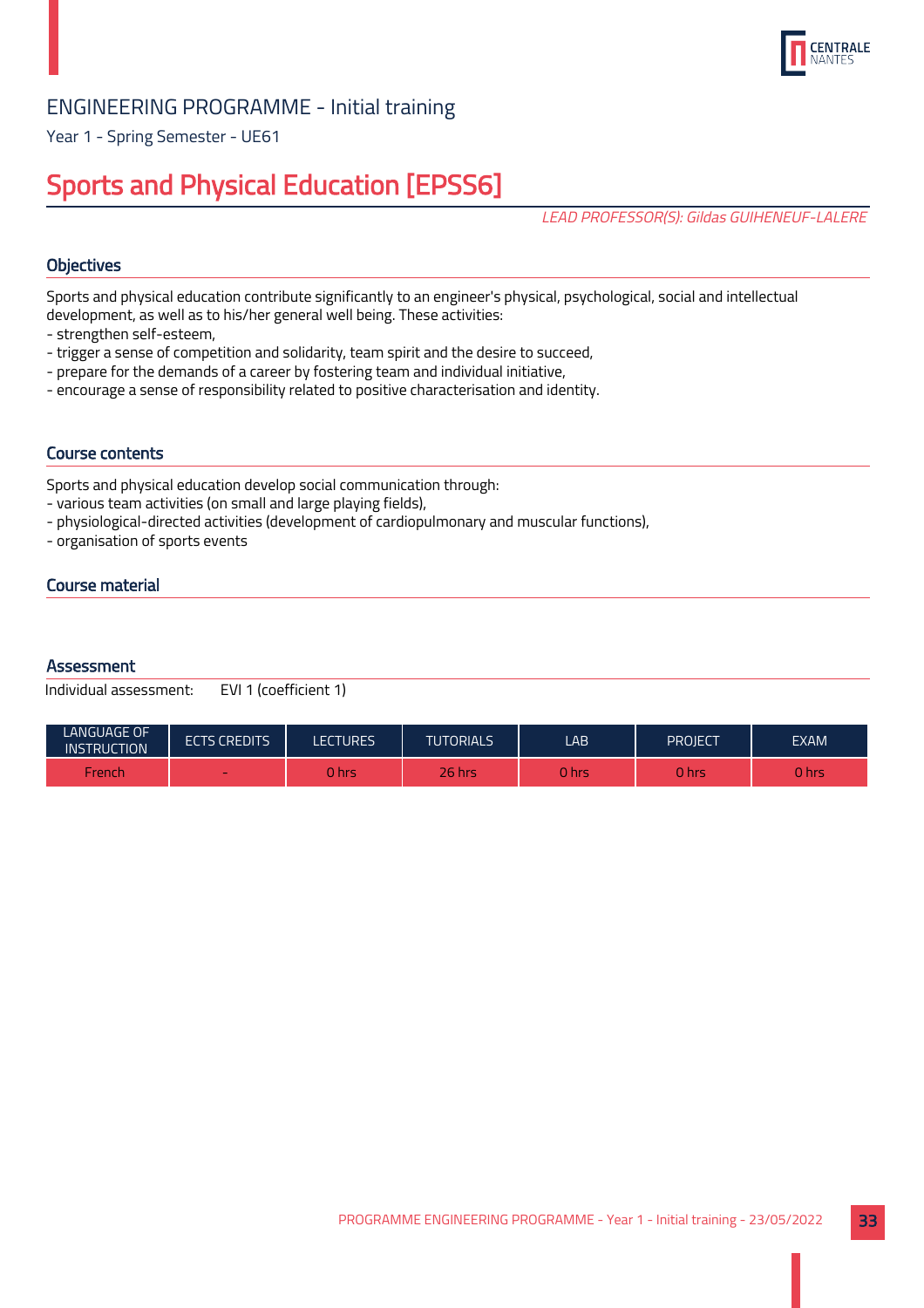

Year 1 - Spring Semester - UE61

## Sports and Physical Education [EPSS6]

LEAD PROFESSOR(S): Gildas GUIHENEUF-LALERE

## **Objectives**

Sports and physical education contribute significantly to an engineer's physical, psychological, social and intellectual development, as well as to his/her general well being. These activities:

- strengthen self-esteem,
- trigger a sense of competition and solidarity, team spirit and the desire to succeed,
- prepare for the demands of a career by fostering team and individual initiative,
- encourage a sense of responsibility related to positive characterisation and identity.

## Course contents

Sports and physical education develop social communication through:

- various team activities (on small and large playing fields),
- physiological-directed activities (development of cardiopulmonary and muscular functions),
- organisation of sports events

## Course material

## **Assessment**

| LANGUAGE OF<br><b>INSTRUCTION</b> | <b>ECTS CREDITS</b> | LECTURES | <b>TUTORIALS</b> | LAB   | <b>PROJECT</b> | <b>EXAM</b> |
|-----------------------------------|---------------------|----------|------------------|-------|----------------|-------------|
| French                            | $\sim$              | 0 hrs    | 26 hrs           | 0 hrs | ) hrs          | 0 hrs       |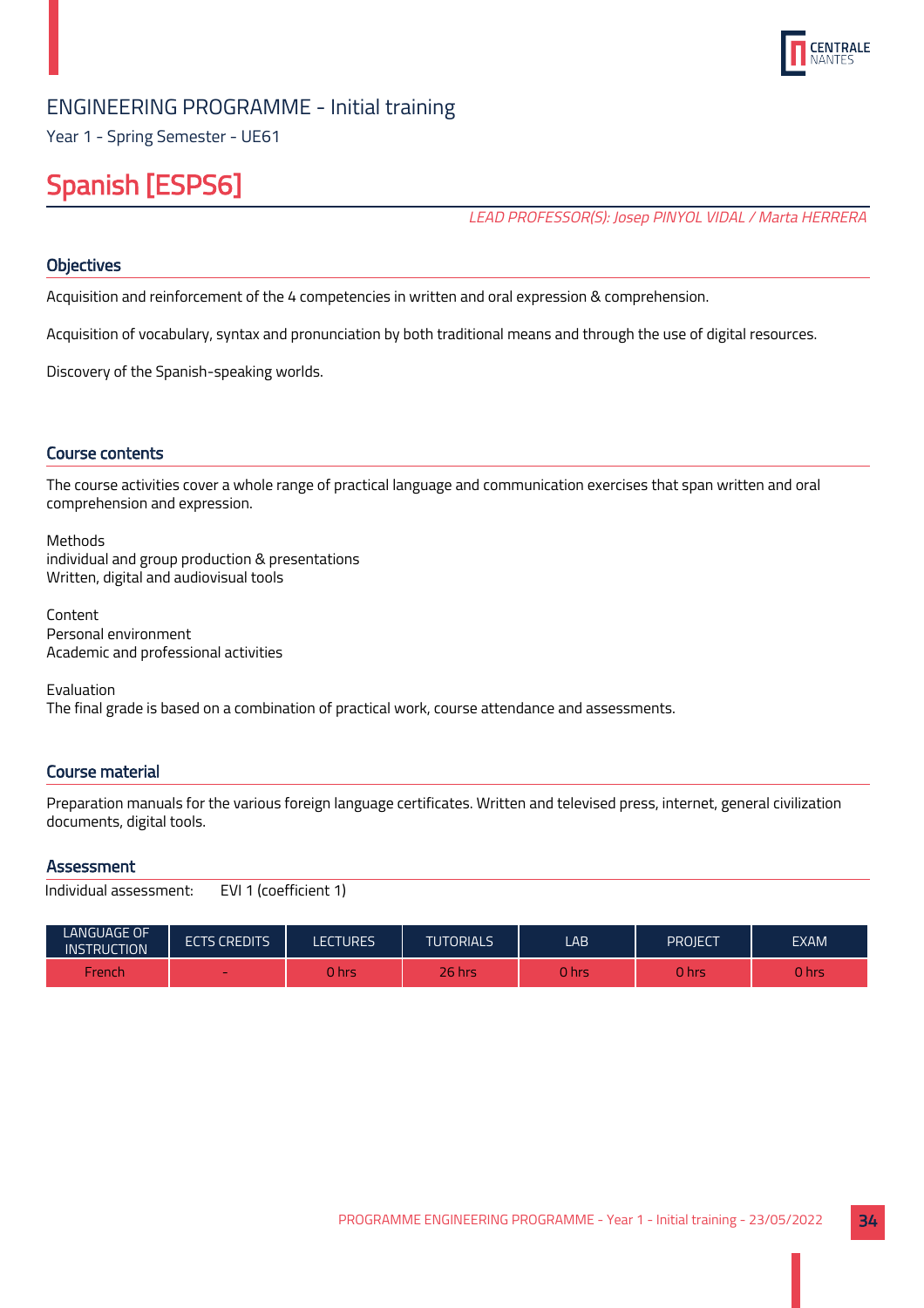

Year 1 - Spring Semester - UE61

## Spanish [ESPS6]

LEAD PROFESSOR(S): Josep PINYOL VIDAL / Marta HERRERA

## **Objectives**

Acquisition and reinforcement of the 4 competencies in written and oral expression & comprehension.

Acquisition of vocabulary, syntax and pronunciation by both traditional means and through the use of digital resources.

Discovery of the Spanish-speaking worlds.

## Course contents

The course activities cover a whole range of practical language and communication exercises that span written and oral comprehension and expression.

Methods individual and group production & presentations Written, digital and audiovisual tools

Content Personal environment Academic and professional activities

Evaluation The final grade is based on a combination of practical work, course attendance and assessments.

## Course material

Preparation manuals for the various foreign language certificates. Written and televised press, internet, general civilization documents, digital tools.

#### **Assessment**

```
Individual assessment: EVI 1 (coefficient 1)
```

| LANGUAGE OF<br><b>INSTRUCTION</b> | <b>ECTS CREDITS</b> | LECTURES. | <b>TUTORIALS</b> | LAB.        | PROIECT | <b>EXAM</b> |
|-----------------------------------|---------------------|-----------|------------------|-------------|---------|-------------|
| French                            | $\sim$              | 0 hrs     | 26 hrs           | <b>Thrs</b> | U hrs   | J hrs       |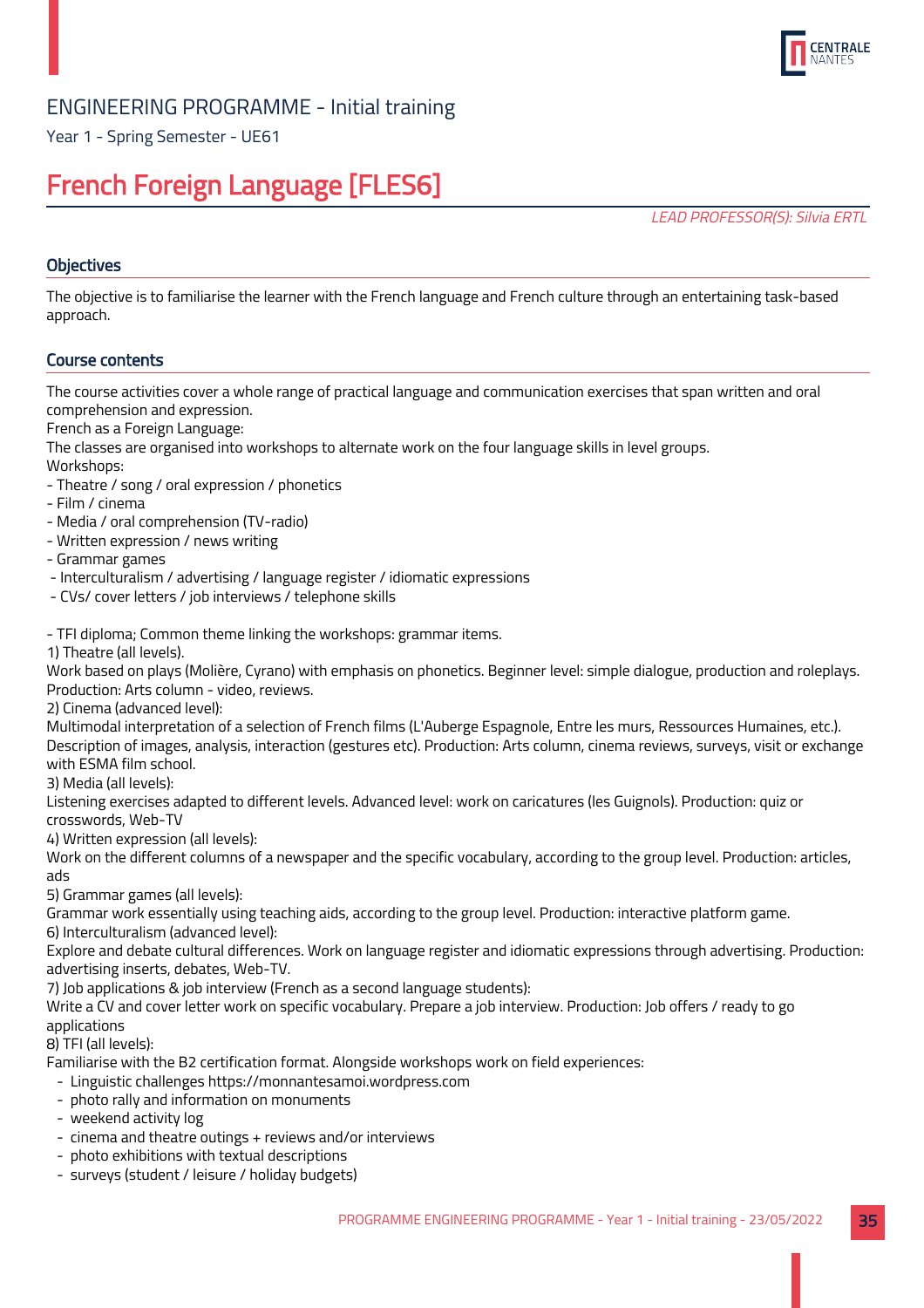

Year 1 - Spring Semester - UE61

## French Foreign Language [FLES6]

LEAD PROFESSOR(S): Silvia ERTL

## **Objectives**

The objective is to familiarise the learner with the French language and French culture through an entertaining task-based approach.

## Course contents

The course activities cover a whole range of practical language and communication exercises that span written and oral comprehension and expression.

French as a Foreign Language:

The classes are organised into workshops to alternate work on the four language skills in level groups.

Workshops:

- Theatre / song / oral expression / phonetics
- Film / cinema
- Media / oral comprehension (TV-radio)
- Written expression / news writing
- Grammar games
- Interculturalism / advertising / language register / idiomatic expressions
- CVs/ cover letters / job interviews / telephone skills

- TFI diploma; Common theme linking the workshops: grammar items.

1) Theatre (all levels).

Work based on plays (Molière, Cyrano) with emphasis on phonetics. Beginner level: simple dialogue, production and roleplays. Production: Arts column - video, reviews.

2) Cinema (advanced level):

Multimodal interpretation of a selection of French films (L'Auberge Espagnole, Entre les murs, Ressources Humaines, etc.). Description of images, analysis, interaction (gestures etc). Production: Arts column, cinema reviews, surveys, visit or exchange with ESMA film school.

3) Media (all levels):

Listening exercises adapted to different levels. Advanced level: work on caricatures (les Guignols). Production: quiz or crosswords, Web-TV

4) Written expression (all levels):

Work on the different columns of a newspaper and the specific vocabulary, according to the group level. Production: articles, ads

5) Grammar games (all levels):

Grammar work essentially using teaching aids, according to the group level. Production: interactive platform game.

6) Interculturalism (advanced level):

Explore and debate cultural differences. Work on language register and idiomatic expressions through advertising. Production: advertising inserts, debates, Web-TV.

7) Job applications & job interview (French as a second language students):

Write a CV and cover letter work on specific vocabulary. Prepare a job interview. Production: Job offers / ready to go applications

8) TFI (all levels):

Familiarise with the B2 certification format. Alongside workshops work on field experiences:

- Linguistic challenges https://monnantesamoi.wordpress.com
- photo rally and information on monuments
- weekend activity log
- cinema and theatre outings + reviews and/or interviews
- photo exhibitions with textual descriptions
- surveys (student / leisure / holiday budgets)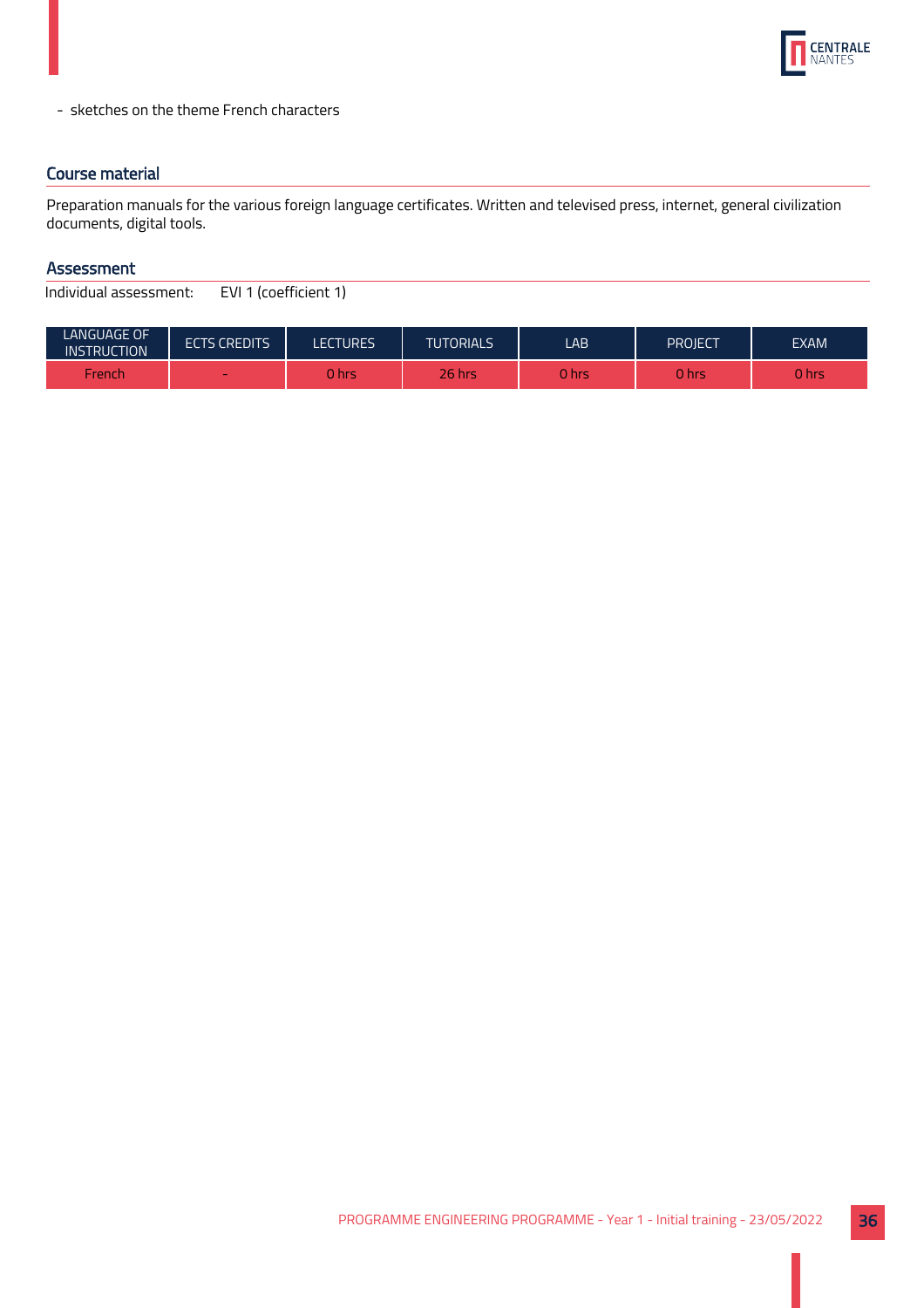

- sketches on the theme French characters

## Course material

Preparation manuals for the various foreign language certificates. Written and televised press, internet, general civilization documents, digital tools.

## Assessment

| LANGUAGE OF<br><b>INSTRUCTION</b> | <b>ECTS CREDITS</b> | <b>LECTURES</b> | <b>TUTORIALS</b> | LAB          | PROIECT | EXAM  |
|-----------------------------------|---------------------|-----------------|------------------|--------------|---------|-------|
| French                            | $\sim$              | 0 hrs           | 26 hrsi          | <b>O</b> hrs | 0 hrs   | 0 hrs |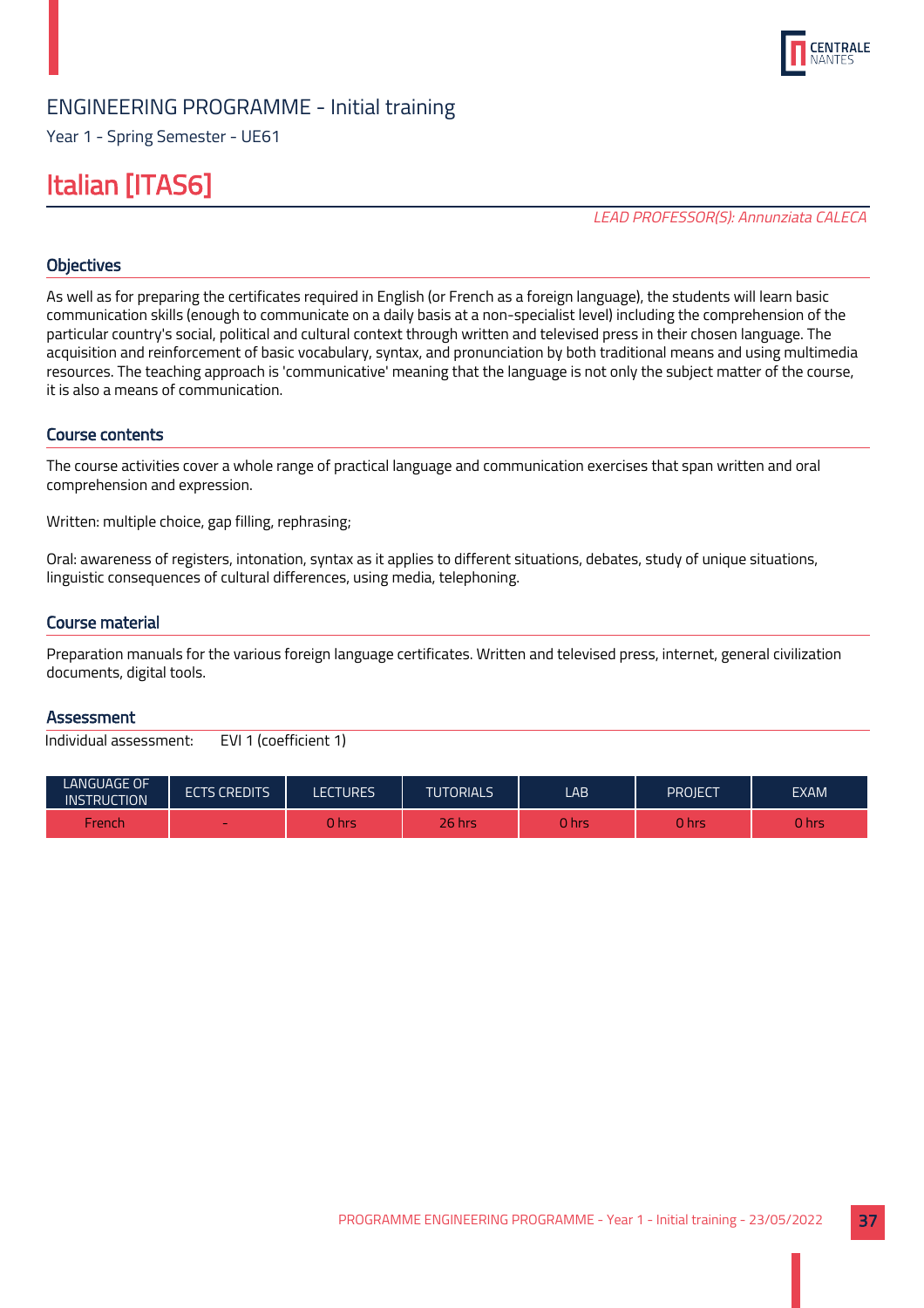

Year 1 - Spring Semester - UE61

## Italian [ITAS6]

LEAD PROFESSOR(S): Annunziata CALECA

## **Objectives**

As well as for preparing the certificates required in English (or French as a foreign language), the students will learn basic communication skills (enough to communicate on a daily basis at a non-specialist level) including the comprehension of the particular country's social, political and cultural context through written and televised press in their chosen language. The acquisition and reinforcement of basic vocabulary, syntax, and pronunciation by both traditional means and using multimedia resources. The teaching approach is 'communicative' meaning that the language is not only the subject matter of the course, it is also a means of communication.

## Course contents

The course activities cover a whole range of practical language and communication exercises that span written and oral comprehension and expression.

Written: multiple choice, gap filling, rephrasing;

Oral: awareness of registers, intonation, syntax as it applies to different situations, debates, study of unique situations, linguistic consequences of cultural differences, using media, telephoning.

#### Course material

Preparation manuals for the various foreign language certificates. Written and televised press, internet, general civilization documents, digital tools.

#### **Assessment**

| <b>LANGUAGE OF</b><br>IINSTRUCTION ' | <b>ECTS CREDITS</b> | LECTURES. | <b>TUTORIALS</b> | LAB   | PROJECT | <b>EXAM</b> |
|--------------------------------------|---------------------|-----------|------------------|-------|---------|-------------|
| French                               | -                   | 0 hrsi    | $26$ hrs         | 0 hrs | 0 hrs   | 0 hrs       |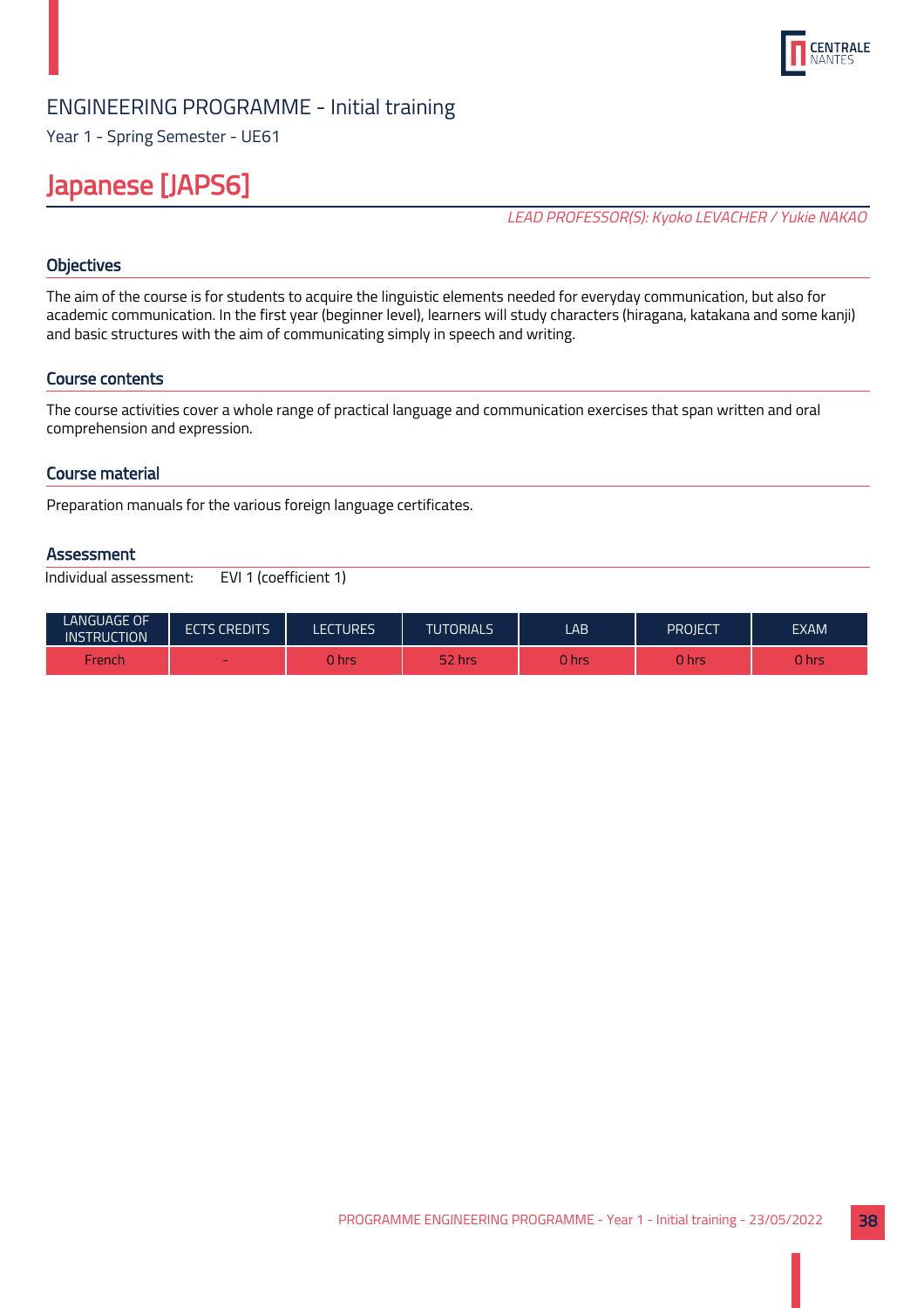

Year 1 - Spring Semester - UE61

## Japanese [JAPS6]

LEAD PROFESSOR(S): Kyoko LEVACHER / Yukie NAKAO

## **Objectives**

The aim of the course is for students to acquire the linguistic elements needed for everyday communication, but also for academic communication. In the first year (beginner level), learners will study characters (hiragana, katakana and some kanji) and basic structures with the aim of communicating simply in speech and writing.

## Course contents

The course activities cover a whole range of practical language and communication exercises that span written and oral comprehension and expression.

## Course material

Preparation manuals for the various foreign language certificates.

#### **Assessment**

| <b>LANGUAGE OF</b><br><b>INSTRUCTION</b> | <b>ECTS CREDITS</b> | LECTURES | <b>TUTORIALS</b> | LAB.   | PROIECT | <b>EXAM</b> |
|------------------------------------------|---------------------|----------|------------------|--------|---------|-------------|
| French                                   |                     | 0 hrs    | 52 hrs           | 0 hrsi | 0 hrs   | J hrs       |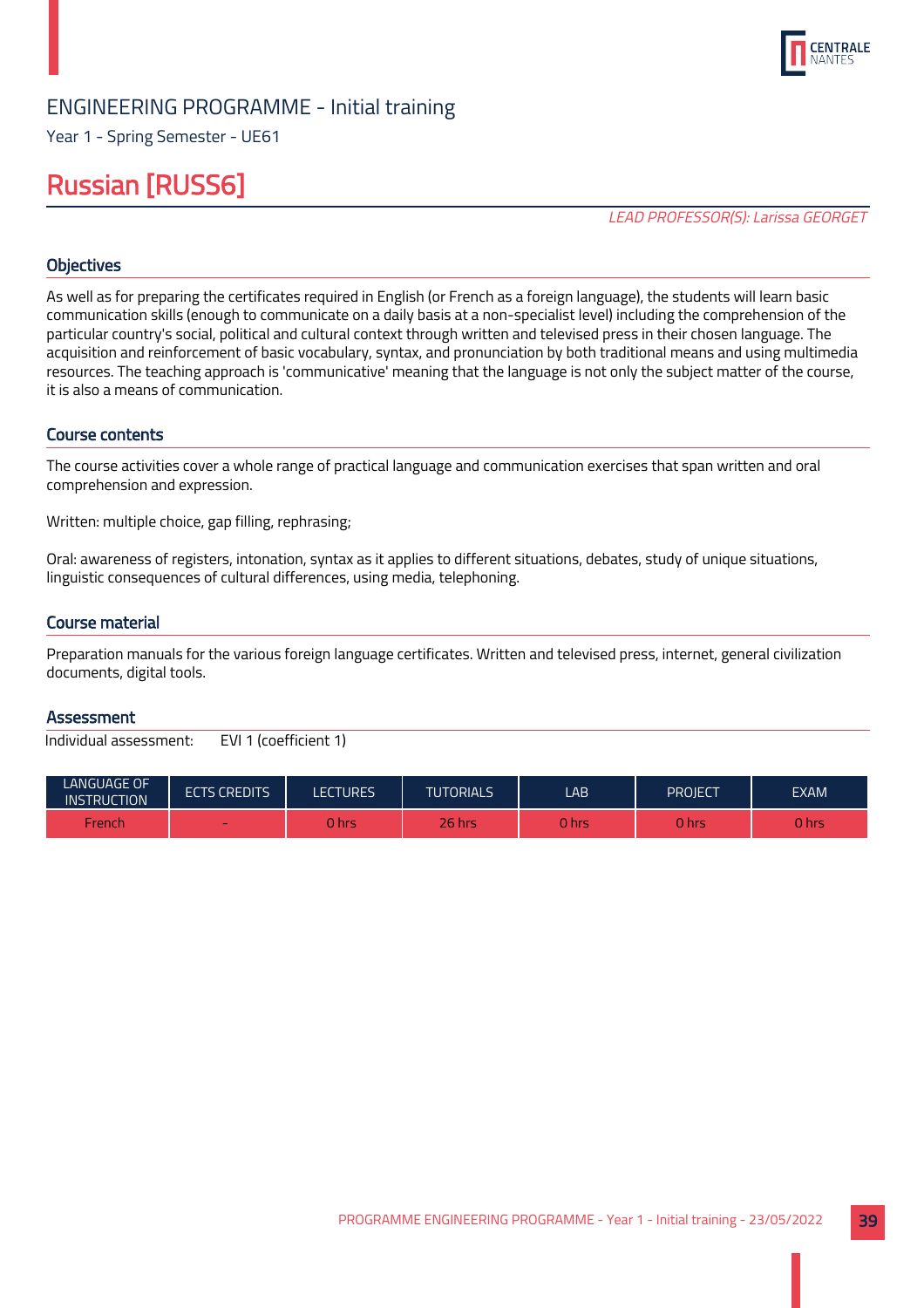

Year 1 - Spring Semester - UE61

## Russian [RUSS6]

LEAD PROFESSOR(S): Larissa GEORGET

## **Objectives**

As well as for preparing the certificates required in English (or French as a foreign language), the students will learn basic communication skills (enough to communicate on a daily basis at a non-specialist level) including the comprehension of the particular country's social, political and cultural context through written and televised press in their chosen language. The acquisition and reinforcement of basic vocabulary, syntax, and pronunciation by both traditional means and using multimedia resources. The teaching approach is 'communicative' meaning that the language is not only the subject matter of the course, it is also a means of communication.

#### Course contents

The course activities cover a whole range of practical language and communication exercises that span written and oral comprehension and expression.

Written: multiple choice, gap filling, rephrasing;

Oral: awareness of registers, intonation, syntax as it applies to different situations, debates, study of unique situations, linguistic consequences of cultural differences, using media, telephoning.

#### Course material

Preparation manuals for the various foreign language certificates. Written and televised press, internet, general civilization documents, digital tools.

#### **Assessment**

| <b>LANGUAGE OF</b><br><b>INSTRUCTION</b> | <b>ECTS CREDITS</b> | LECTURES | <b>TUTORIALS</b> | LAB    | PROJECT | <b>EXAM</b> |
|------------------------------------------|---------------------|----------|------------------|--------|---------|-------------|
| French                                   | -                   | 0 hrs    | $26$ hrs         | 0 hrsi | 0 hrs   | J hrs       |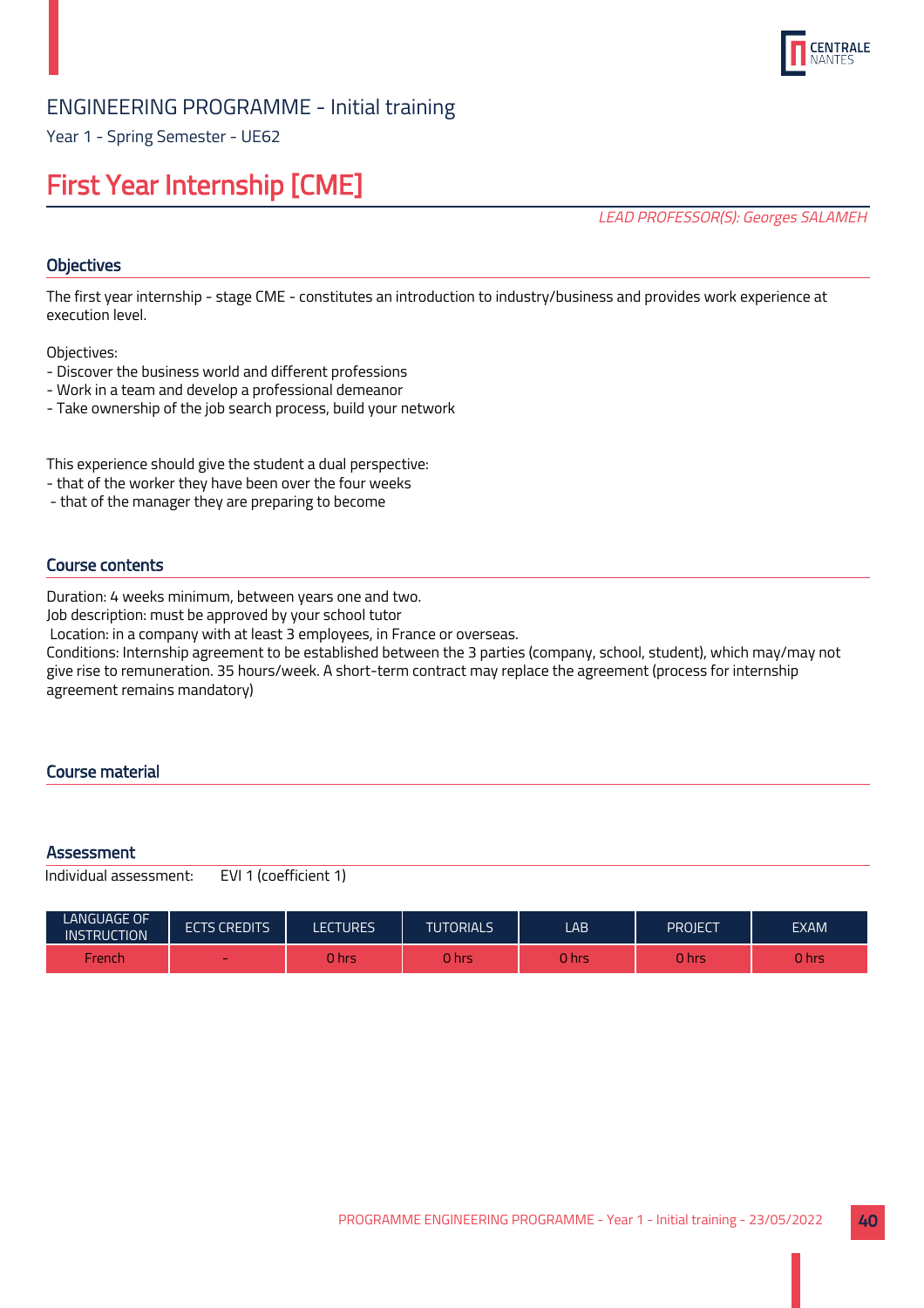

Year 1 - Spring Semester - UE62

## First Year Internship [CME]

LEAD PROFESSOR(S): Georges SALAMEH

## **Objectives**

The first year internship - stage CME - constitutes an introduction to industry/business and provides work experience at execution level.

Objectives:

- Discover the business world and different professions
- Work in a team and develop a professional demeanor
- Take ownership of the job search process, build your network

This experience should give the student a dual perspective:

- that of the worker they have been over the four weeks
- that of the manager they are preparing to become

## Course contents

Duration: 4 weeks minimum, between years one and two.

Job description: must be approved by your school tutor

Location: in a company with at least 3 employees, in France or overseas.

Conditions: Internship agreement to be established between the 3 parties (company, school, student), which may/may not give rise to remuneration. 35 hours/week. A short-term contract may replace the agreement (process for internship agreement remains mandatory)

## Course material

#### **Assessment**

| <b>LANGUAGE OF</b><br><b>INSTRUCTION</b> | <b>ECTS CREDITS</b>      | LECTURES | <b>TUTORIALS</b> | LAB         | PROJECT | <b>EXAM</b> |
|------------------------------------------|--------------------------|----------|------------------|-------------|---------|-------------|
| French                                   | $\overline{\phantom{a}}$ | 0 hr!    | 0 hrs            | <b>Ohrs</b> | ) hrs   | <b>hrs</b>  |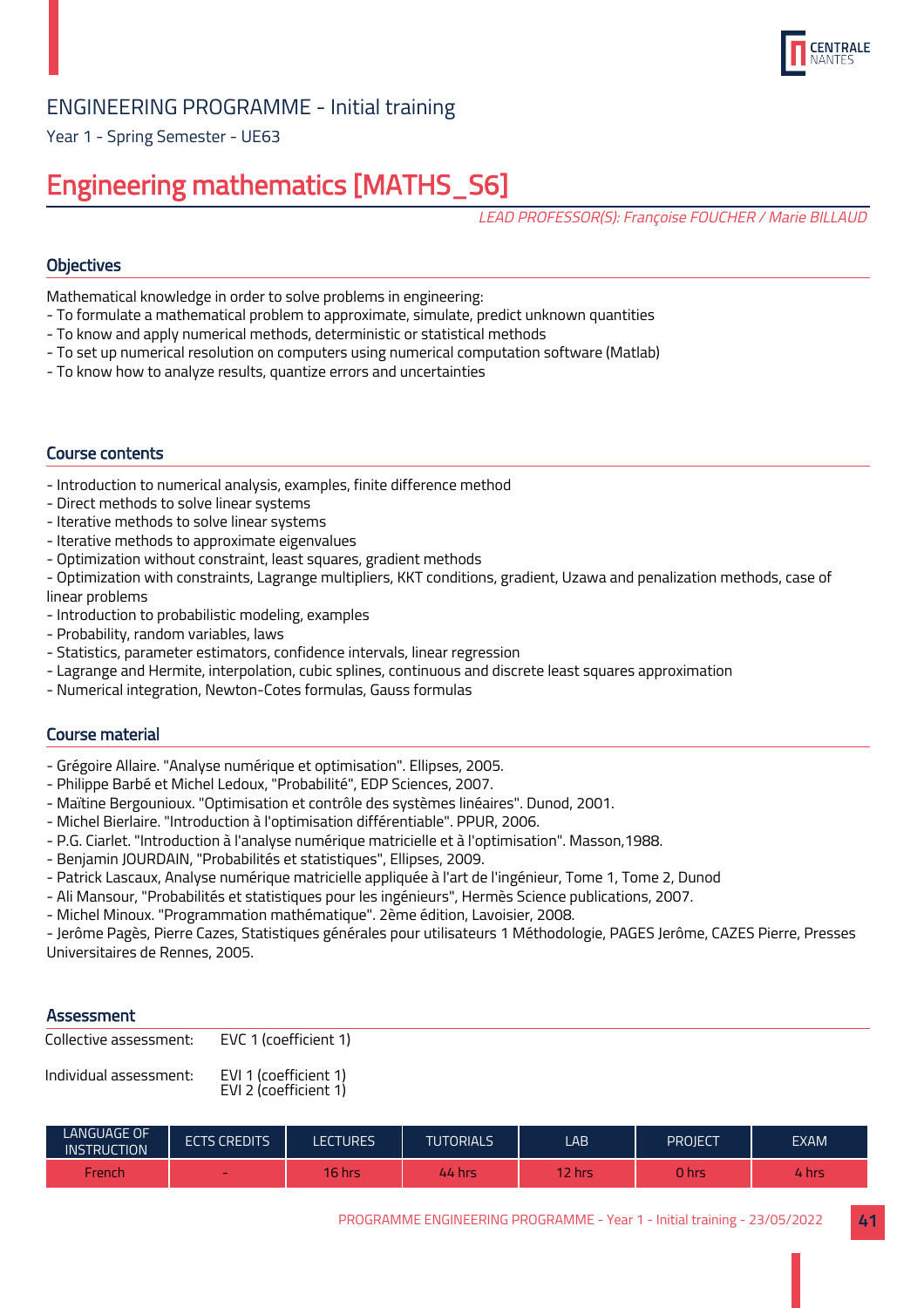

Year 1 - Spring Semester - UE63

## Engineering mathematics [MATHS\_S6]

LEAD PROFESSOR(S): Françoise FOUCHER / Marie BILLAUD

## **Objectives**

Mathematical knowledge in order to solve problems in engineering:

- To formulate a mathematical problem to approximate, simulate, predict unknown quantities
- To know and apply numerical methods, deterministic or statistical methods
- To set up numerical resolution on computers using numerical computation software (Matlab)
- To know how to analyze results, quantize errors and uncertainties

## Course contents

- Introduction to numerical analysis, examples, finite difference method
- Direct methods to solve linear systems
- Iterative methods to solve linear systems
- Iterative methods to approximate eigenvalues
- Optimization without constraint, least squares, gradient methods
- Optimization with constraints, Lagrange multipliers, KKT conditions, gradient, Uzawa and penalization methods, case of linear problems
- Introduction to probabilistic modeling, examples
- Probability, random variables, laws
- Statistics, parameter estimators, confidence intervals, linear regression
- Lagrange and Hermite, interpolation, cubic splines, continuous and discrete least squares approximation
- Numerical integration, Newton-Cotes formulas, Gauss formulas

## Course material

- Grégoire Allaire. "Analyse numérique et optimisation". Ellipses, 2005.
- Philippe Barbé et Michel Ledoux, "Probabilité", EDP Sciences, 2007.
- Maïtine Bergounioux. "Optimisation et contrôle des systèmes linéaires". Dunod, 2001.
- Michel Bierlaire. "Introduction à l'optimisation différentiable". PPUR, 2006.
- P.G. Ciarlet. "Introduction à l'analyse numérique matricielle et à l'optimisation". Masson,1988.
- Benjamin JOURDAIN, "Probabilités et statistiques", Ellipses, 2009.
- Patrick Lascaux, Analyse numérique matricielle appliquée à l'art de l'ingénieur, Tome 1, Tome 2, Dunod
- Ali Mansour, "Probabilités et statistiques pour les ingénieurs", Hermès Science publications, 2007.
- Michel Minoux. "Programmation mathématique". 2ème édition, Lavoisier, 2008.

- Jerôme Pagès, Pierre Cazes, Statistiques générales pour utilisateurs 1 Méthodologie, PAGES Jerôme, CAZES Pierre, Presses Universitaires de Rennes, 2005.

## **Assessment**

| Collective assessment: | EVC 1 (coefficient 1) |
|------------------------|-----------------------|
|                        |                       |

Individual assessment: EVI 1 (coefficient 1)

EVI 2 (coefficient 1)

| LANGUAGE OF<br><b>INSTRUCTION</b> | <b>ECTS CREDITS</b>      | LECTURES      | <b>TUTORIALS</b> | LAB    | Project | <b>EXAM</b> |
|-----------------------------------|--------------------------|---------------|------------------|--------|---------|-------------|
| French                            | $\overline{\phantom{a}}$ | <b>16 hrs</b> | 44 hrs           | 12 hrs | 0 hrs   | / hrs       |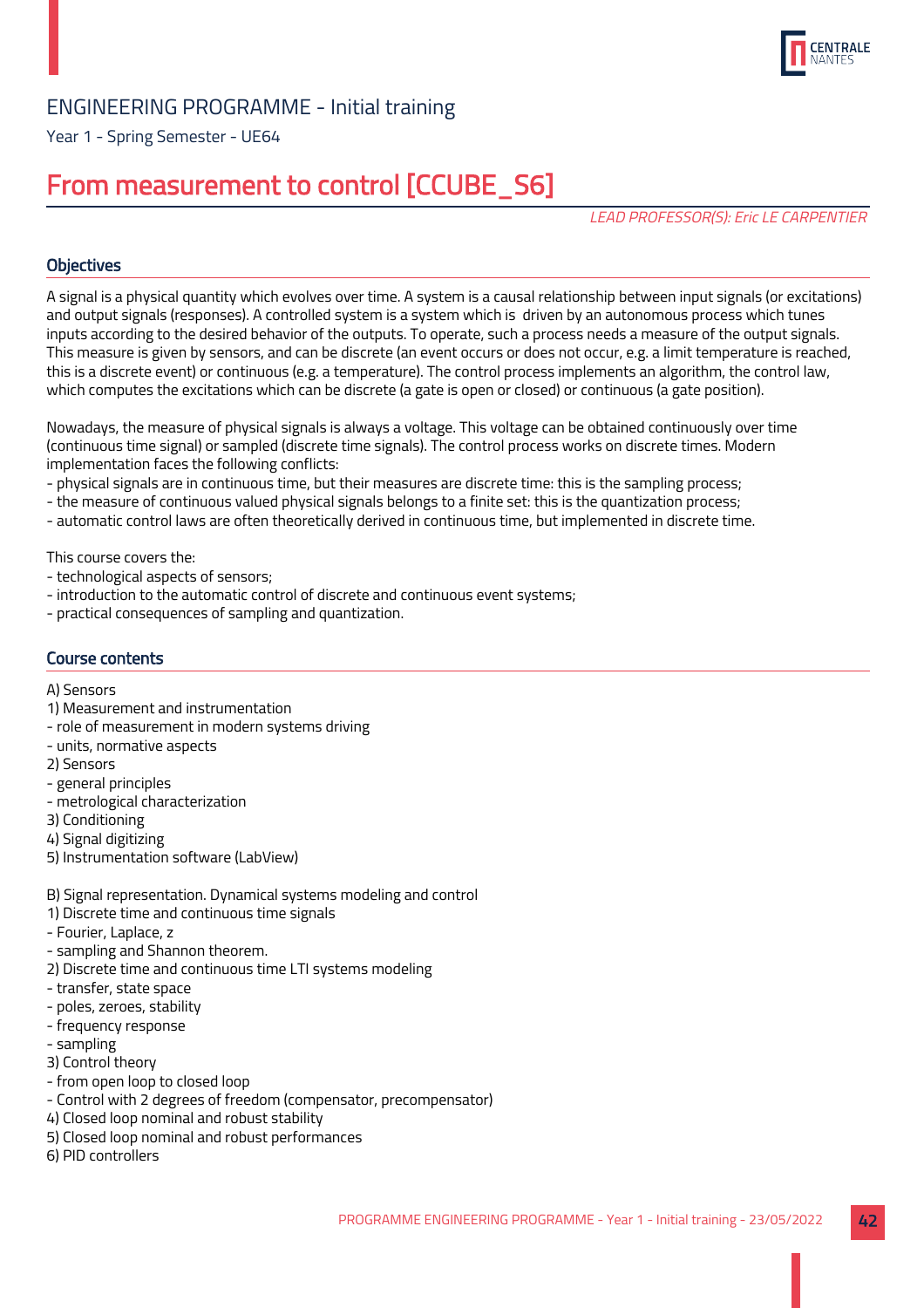

Year 1 - Spring Semester - UE64

## From measurement to control [CCUBE\_S6]

LEAD PROFESSOR(S): Eric LE CARPENTIER

## **Objectives**

A signal is a physical quantity which evolves over time. A system is a causal relationship between input signals (or excitations) and output signals (responses). A controlled system is a system which is driven by an autonomous process which tunes inputs according to the desired behavior of the outputs. To operate, such a process needs a measure of the output signals. This measure is given by sensors, and can be discrete (an event occurs or does not occur, e.g. a limit temperature is reached, this is a discrete event) or continuous (e.g. a temperature). The control process implements an algorithm, the control law, which computes the excitations which can be discrete (a gate is open or closed) or continuous (a gate position).

Nowadays, the measure of physical signals is always a voltage. This voltage can be obtained continuously over time (continuous time signal) or sampled (discrete time signals). The control process works on discrete times. Modern implementation faces the following conflicts:

- physical signals are in continuous time, but their measures are discrete time: this is the sampling process;
- the measure of continuous valued physical signals belongs to a finite set: this is the quantization process;
- automatic control laws are often theoretically derived in continuous time, but implemented in discrete time.

This course covers the:

- technological aspects of sensors;
- introduction to the automatic control of discrete and continuous event systems;
- practical consequences of sampling and quantization.

## Course contents

#### A) Sensors

- 1) Measurement and instrumentation
- role of measurement in modern systems driving
- units, normative aspects
- 2) Sensors
- general principles
- metrological characterization
- 3) Conditioning
- 4) Signal digitizing
- 5) Instrumentation software (LabView)
- B) Signal representation. Dynamical systems modeling and control
- 1) Discrete time and continuous time signals
- Fourier, Laplace, z
- sampling and Shannon theorem.
- 2) Discrete time and continuous time LTI systems modeling
- transfer, state space
- poles, zeroes, stability
- frequency response
- sampling
- 3) Control theory
- from open loop to closed loop
- Control with 2 degrees of freedom (compensator, precompensator)
- 4) Closed loop nominal and robust stability
- 5) Closed loop nominal and robust performances
- 6) PID controllers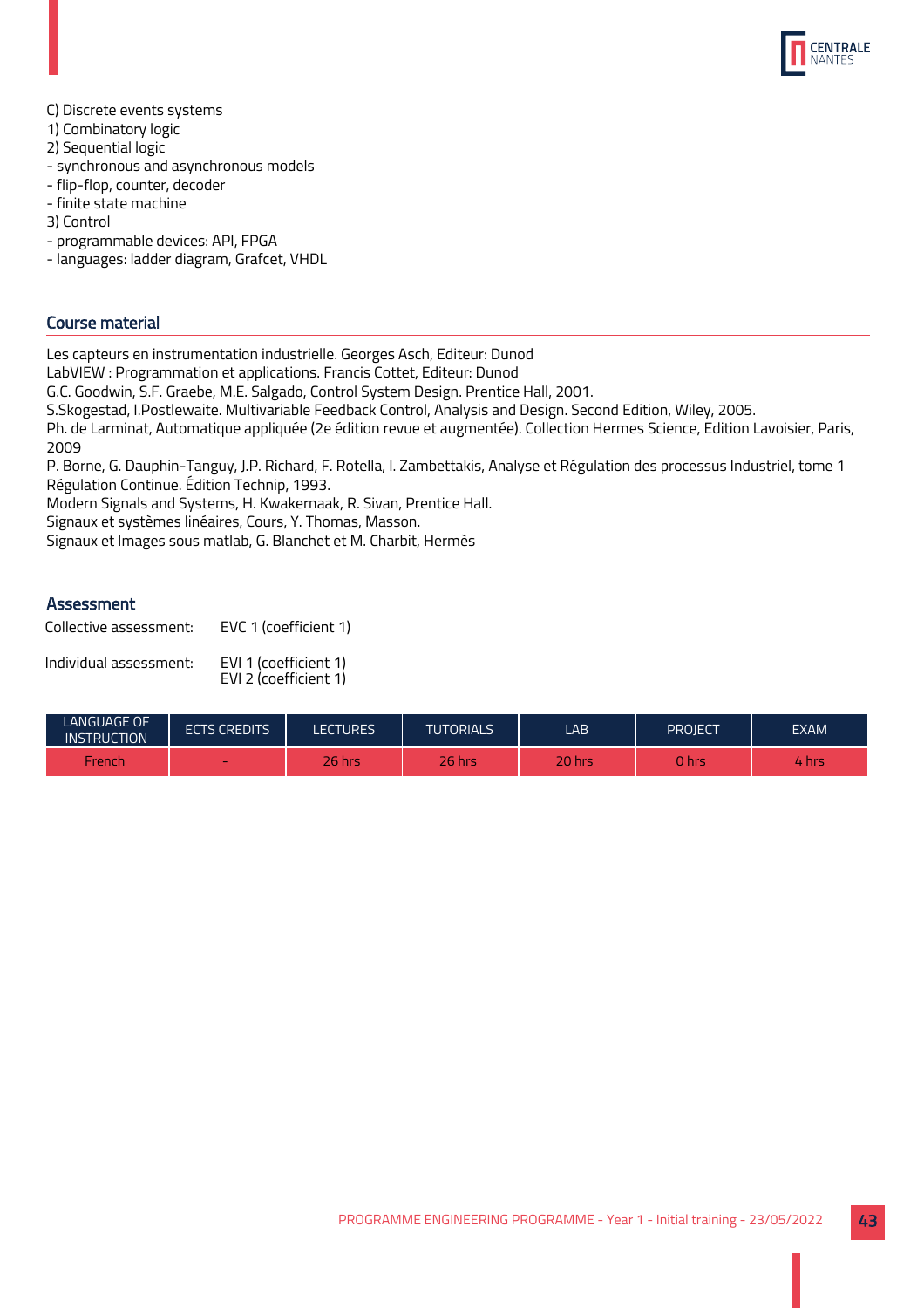

- C) Discrete events systems
- 1) Combinatory logic
- 2) Sequential logic
- synchronous and asynchronous models
- flip-flop, counter, decoder
- finite state machine
- 3) Control
- programmable devices: API, FPGA
- languages: ladder diagram, Grafcet, VHDL

## Course material

Les capteurs en instrumentation industrielle. Georges Asch, Editeur: Dunod

LabVIEW : Programmation et applications. Francis Cottet, Editeur: Dunod

G.C. Goodwin, S.F. Graebe, M.E. Salgado, Control System Design. Prentice Hall, 2001.

S.Skogestad, I.Postlewaite. Multivariable Feedback Control, Analysis and Design. Second Edition, Wiley, 2005.

Ph. de Larminat, Automatique appliquée (2e édition revue et augmentée). Collection Hermes Science, Edition Lavoisier, Paris, 2009

P. Borne, G. Dauphin-Tanguy, J.P. Richard, F. Rotella, I. Zambettakis, Analyse et Régulation des processus Industriel, tome 1 Régulation Continue. Édition Technip, 1993.

Modern Signals and Systems, H. Kwakernaak, R. Sivan, Prentice Hall.

Signaux et systèmes linéaires, Cours, Y. Thomas, Masson.

Signaux et Images sous matlab, G. Blanchet et M. Charbit, Hermès

## **Assessment**

Collective assessment: EVC 1 (coefficient 1)

Individual assessment: EVI 1 (coefficient 1) EVI 2 (coefficient 1)

| LANGUAGE OF<br><b>INSTRUCTION</b> | <b>ECTS CREDITS</b> | <b>LECTURES</b> | <b>TUTORIALS</b> | LAB    | PROJECT | <b>EXAM</b> |
|-----------------------------------|---------------------|-----------------|------------------|--------|---------|-------------|
| French                            | $\sim$              | 26 hrs          | 26 hrs           | 20 hrs | 0 hrs   | /hrs        |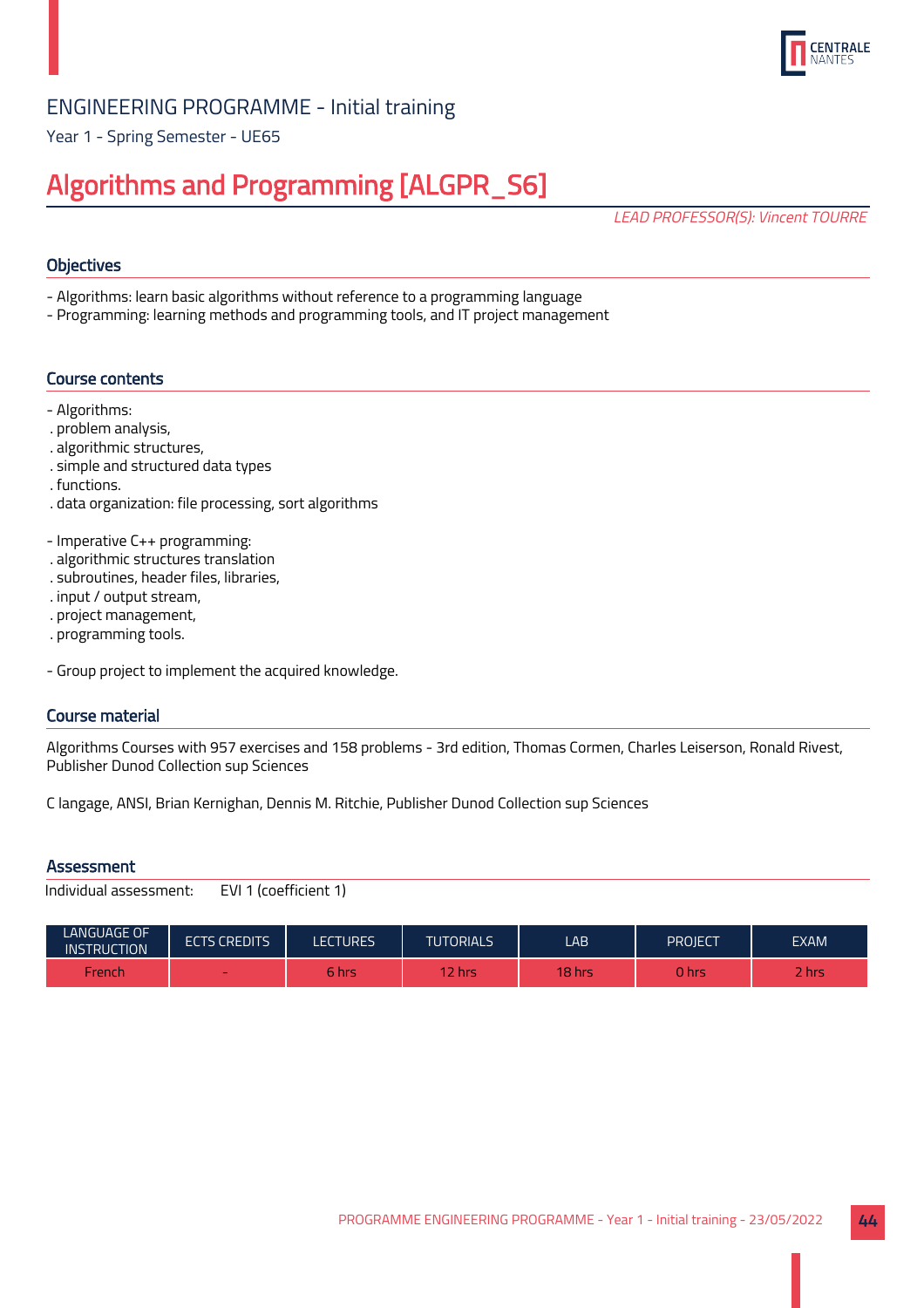

Year 1 - Spring Semester - UE65

## Algorithms and Programming [ALGPR\_S6]

LEAD PROFESSOR(S): Vincent TOURRE

## **Objectives**

- Algorithms: learn basic algorithms without reference to a programming language
- Programming: learning methods and programming tools, and IT project management

## Course contents

- Algorithms:
- . problem analysis,
- . algorithmic structures,
- . simple and structured data types
- . functions.
- . data organization: file processing, sort algorithms
- Imperative C++ programming:
- . algorithmic structures translation
- . subroutines, header files, libraries,
- . input / output stream,
- . project management,
- . programming tools.
- Group project to implement the acquired knowledge.

## Course material

Algorithms Courses with 957 exercises and 158 problems - 3rd edition, Thomas Cormen, Charles Leiserson, Ronald Rivest, Publisher Dunod Collection sup Sciences

C langage, ANSI, Brian Kernighan, Dennis M. Ritchie, Publisher Dunod Collection sup Sciences

## **Assessment**

```
Individual assessment: EVI 1 (coefficient 1)
```

| <b>LANGUAGE OF</b><br><b>INSTRUCTION</b> | <b>ECTS CREDITS</b> | <b>ECTURES</b> | <b>TUTORIALS</b> | LAB            | PROJECT | <b>EXAM</b> |
|------------------------------------------|---------------------|----------------|------------------|----------------|---------|-------------|
| French                                   | $\sim$              | 5 hrs          | 2 hrs            | <b>18 hrs.</b> | ) hrs   | <b>Rhrs</b> |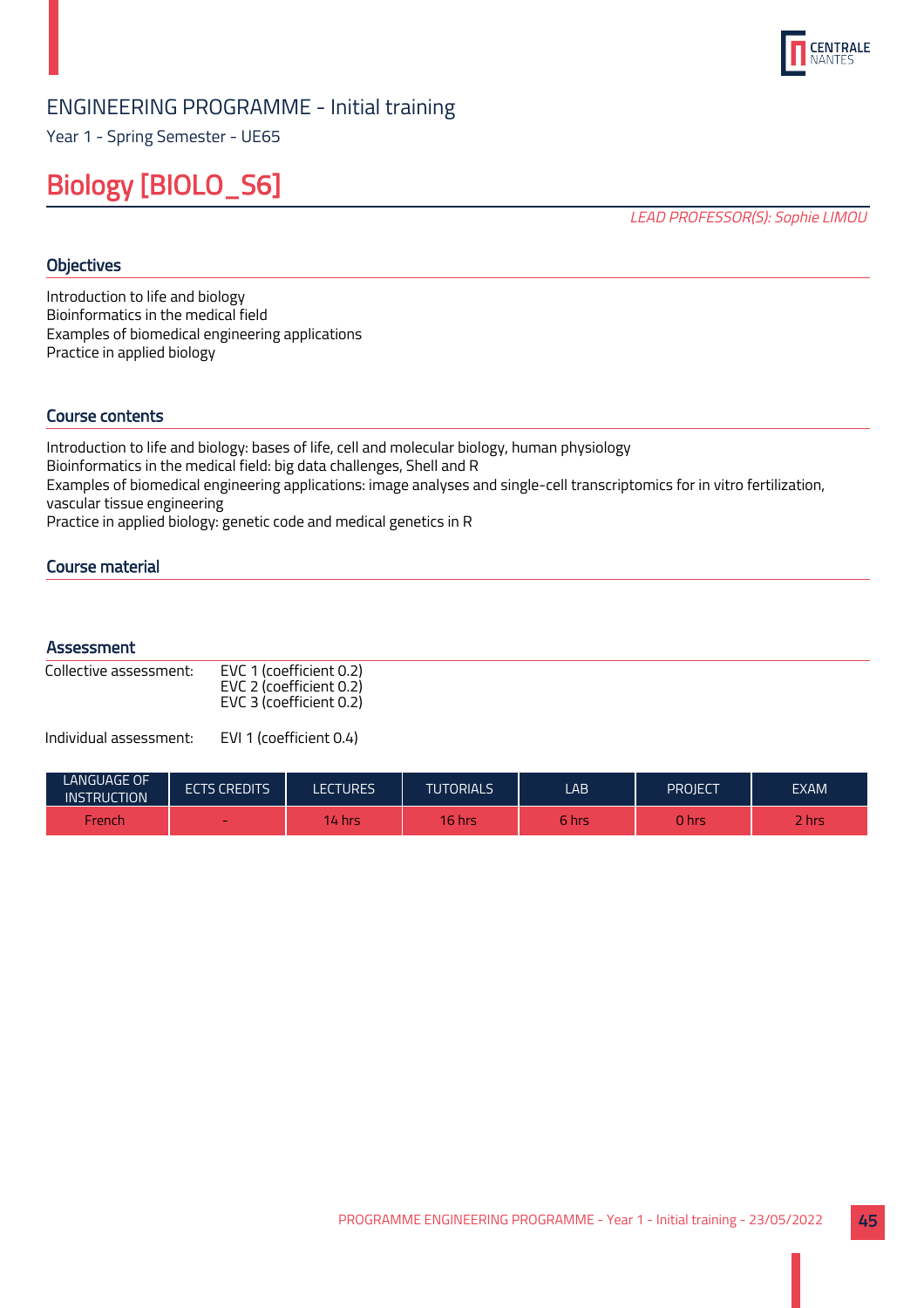

Year 1 - Spring Semester - UE65

## Biology [BIOLO\_S6]

LEAD PROFESSOR(S): Sophie LIMOU

## **Objectives**

Introduction to life and biology Bioinformatics in the medical field Examples of biomedical engineering applications Practice in applied biology

## Course contents

Introduction to life and biology: bases of life, cell and molecular biology, human physiology Bioinformatics in the medical field: big data challenges, Shell and R Examples of biomedical engineering applications: image analyses and single-cell transcriptomics for in vitro fertilization, vascular tissue engineering Practice in applied biology: genetic code and medical genetics in R

Course material

#### **Assessment**

| Collective assessment: | EVC 1 (coefficient 0.2)<br>EVC 2 (coefficient 0.2)<br>EVC 3 (coefficient 0.2) |
|------------------------|-------------------------------------------------------------------------------|
|                        |                                                                               |

| LANGUAGE OF<br><b>INSTRUCTION</b> | <b>ECTS CREDITS</b> | <b>ECTURES</b> | <b>TUTORIALS</b> | LAB   | PROJECT. | <b>EXAM</b>     |
|-----------------------------------|---------------------|----------------|------------------|-------|----------|-----------------|
| French                            | $\sim$              | <b>14 hrs.</b> | $16$ hrs         | 6 hrs | 0 hrs    | -<br><b>hrs</b> |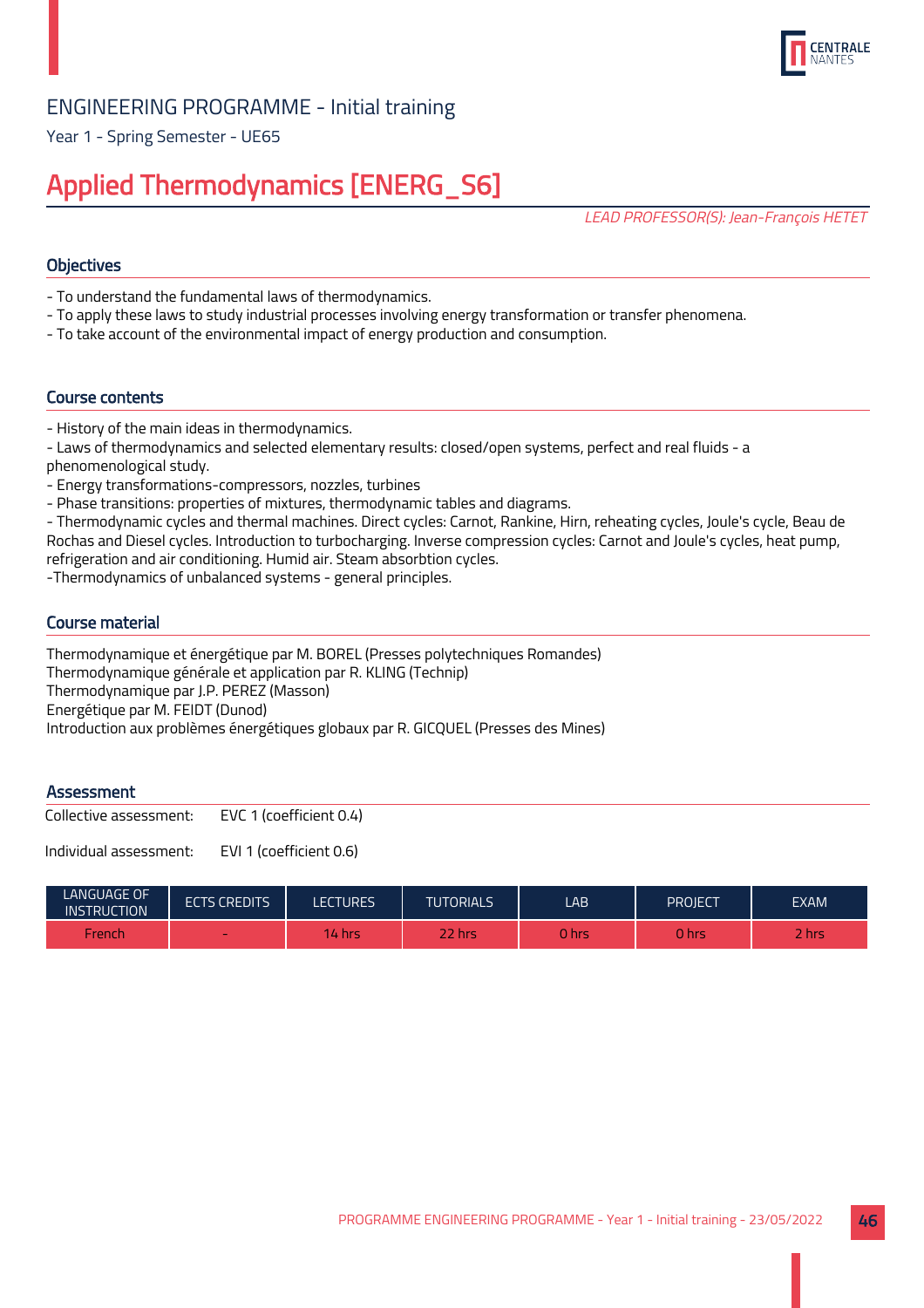

Year 1 - Spring Semester - UE65

## Applied Thermodynamics [ENERG\_S6]

LEAD PROFESSOR(S): Jean-François HETET

## **Objectives**

- To understand the fundamental laws of thermodynamics.
- To apply these laws to study industrial processes involving energy transformation or transfer phenomena.
- To take account of the environmental impact of energy production and consumption.

## Course contents

- History of the main ideas in thermodynamics.
- Laws of thermodynamics and selected elementary results: closed/open systems, perfect and real fluids a phenomenological study.
- Energy transformations-compressors, nozzles, turbines
- Phase transitions: properties of mixtures, thermodynamic tables and diagrams.

- Thermodynamic cycles and thermal machines. Direct cycles: Carnot, Rankine, Hirn, reheating cycles, Joule's cycle, Beau de Rochas and Diesel cycles. Introduction to turbocharging. Inverse compression cycles: Carnot and Joule's cycles, heat pump, refrigeration and air conditioning. Humid air. Steam absorbtion cycles.

-Thermodynamics of unbalanced systems - general principles.

## Course material

Thermodynamique et énergétique par M. BOREL (Presses polytechniques Romandes) Thermodynamique générale et application par R. KLING (Technip) Thermodynamique par J.P. PEREZ (Masson) Energétique par M. FEIDT (Dunod) Introduction aux problèmes énergétiques globaux par R. GICQUEL (Presses des Mines)

## **Assessment**

Collective assessment: EVC 1 (coefficient 0.4)

| <b>LANGUAGE OF</b><br><b>INSTRUCTION</b> | <b>ECTS CREDITS</b> | <b>ECTURES</b> | <b>TUTORIALS</b> | LAB         | PROJECT | <b>EXAM</b> |
|------------------------------------------|---------------------|----------------|------------------|-------------|---------|-------------|
| French                                   | -                   | I4 hrs         | 22 hrs           | <b>Ohrs</b> | ) hrs   | <b>Rhrs</b> |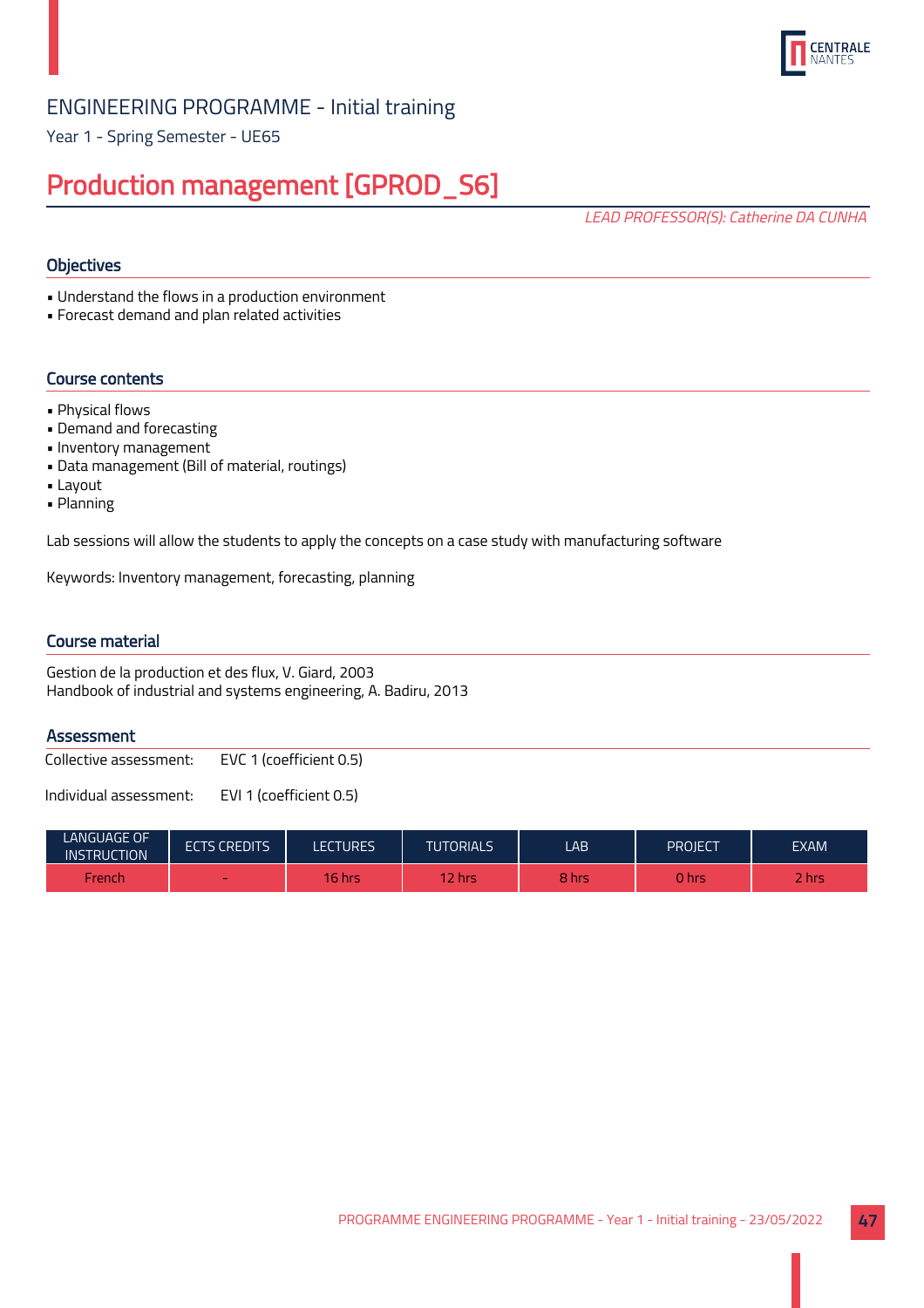

Year 1 - Spring Semester - UE65

## Production management [GPROD\_S6]

LEAD PROFESSOR(S): Catherine DA CUNHA

## **Objectives**

• Understand the flows in a production environment

• Forecast demand and plan related activities

## Course contents

- Physical flows
- Demand and forecasting
- Inventory management
- Data management (Bill of material, routings)
- Layout
- Planning

Lab sessions will allow the students to apply the concepts on a case study with manufacturing software

Keywords: Inventory management, forecasting, planning

## Course material

Gestion de la production et des flux, V. Giard, 2003 Handbook of industrial and systems engineering, A. Badiru, 2013

## **Assessment**

Collective assessment: EVC 1 (coefficient 0.5)

| LANGUAGE OF<br><b>INSTRUCTION</b> | <b>ECTS CREDITS</b> | LECTURES | <b>TUTORIALS</b> | LAB   | PROJECT | <b>EXAM</b> |
|-----------------------------------|---------------------|----------|------------------|-------|---------|-------------|
| French                            | $\sim$              | 16 hrs   | / hrs            | 8 hrs | 0 hrs   | 2 hrs       |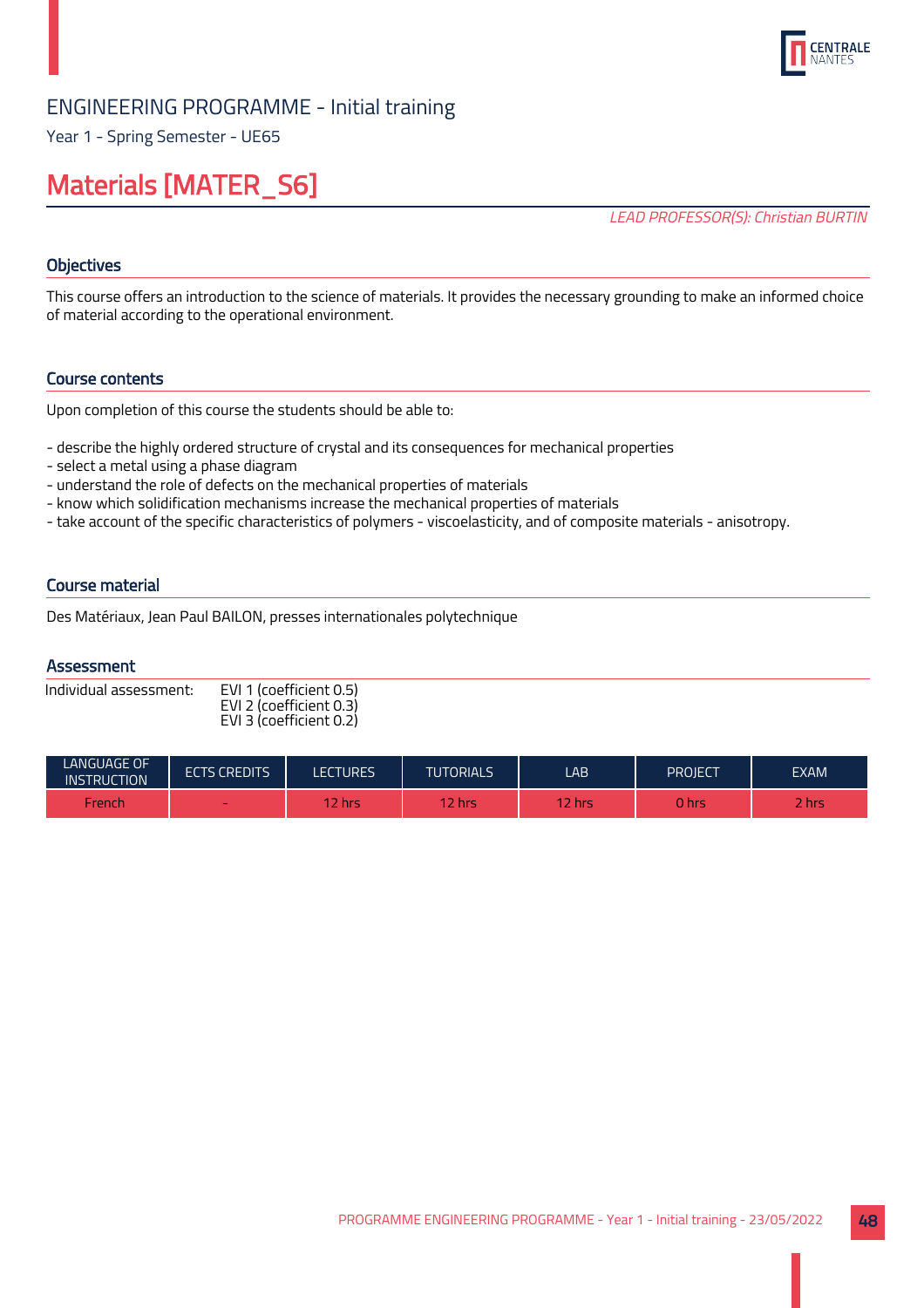

Year 1 - Spring Semester - UE65

## Materials [MATER\_S6]

LEAD PROFESSOR(S): Christian BURTIN

## **Objectives**

This course offers an introduction to the science of materials. It provides the necessary grounding to make an informed choice of material according to the operational environment.

## Course contents

Upon completion of this course the students should be able to:

- describe the highly ordered structure of crystal and its consequences for mechanical properties
- select a metal using a phase diagram
- understand the role of defects on the mechanical properties of materials
- know which solidification mechanisms increase the mechanical properties of materials
- take account of the specific characteristics of polymers viscoelasticity, and of composite materials anisotropy.

## Course material

Des Matériaux, Jean Paul BAILON, presses internationales polytechnique

## **Assessment**

| Individual assessment: | EVI 1 (coefficient 0.5) |
|------------------------|-------------------------|
|                        | EVI 2 (coefficient 0.3) |
|                        | EVI 3 (coefficient 0.2) |

| <b>LANGUAGE OF</b><br><b>INSTRUCTION</b> | <b>ECTS CREDITS</b>      | LECTURES | <b>TUTORIALS</b> | LAB.                              | PROIECT | EXAM |
|------------------------------------------|--------------------------|----------|------------------|-----------------------------------|---------|------|
| French                                   | $\overline{\phantom{a}}$ | 2 hrs    | $\nabla$ hrs     | $\overline{2}$ hrs $\overline{2}$ | 0 hrs   | hrs  |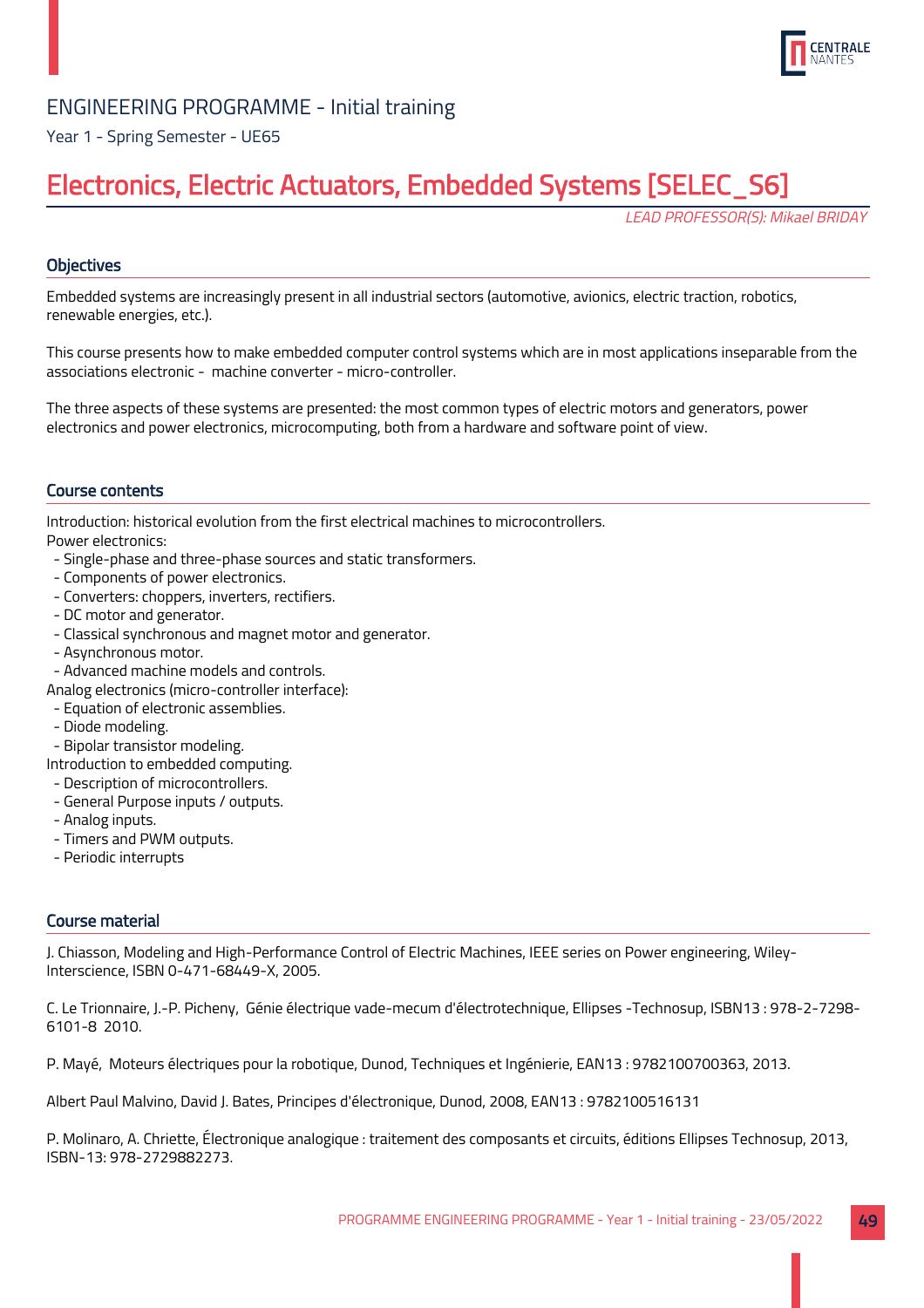

## Year 1 - Spring Semester - UE65

## Electronics, Electric Actuators, Embedded Systems [SELEC\_S6]

LEAD PROFESSOR(S): Mikael BRIDAY

## **Objectives**

Embedded systems are increasingly present in all industrial sectors (automotive, avionics, electric traction, robotics, renewable energies, etc.).

This course presents how to make embedded computer control systems which are in most applications inseparable from the associations electronic - machine converter - micro-controller.

The three aspects of these systems are presented: the most common types of electric motors and generators, power electronics and power electronics, microcomputing, both from a hardware and software point of view.

## Course contents

Introduction: historical evolution from the first electrical machines to microcontrollers. Power electronics:

- Single-phase and three-phase sources and static transformers.
- Components of power electronics.
- Converters: choppers, inverters, rectifiers.
- DC motor and generator.
- Classical synchronous and magnet motor and generator.
- Asynchronous motor.
- Advanced machine models and controls.
- Analog electronics (micro-controller interface):
- Equation of electronic assemblies.
- Diode modeling.
- Bipolar transistor modeling.
- Introduction to embedded computing.
- Description of microcontrollers.
- General Purpose inputs / outputs.
- Analog inputs.
- Timers and PWM outputs.
- Periodic interrupts

## Course material

J. Chiasson, Modeling and High-Performance Control of Electric Machines, IEEE series on Power engineering, Wiley-Interscience, ISBN 0-471-68449-X, 2005.

C. Le Trionnaire, J.-P. Picheny, Génie électrique vade-mecum d'électrotechnique, Ellipses -Technosup, ISBN13 : 978-2-7298- 6101-8 2010.

P. Mayé, Moteurs électriques pour la robotique, Dunod, Techniques et Ingénierie, EAN13 : 9782100700363, 2013.

Albert Paul Malvino, David J. Bates, Principes d'électronique, Dunod, 2008, EAN13 : 9782100516131

P. Molinaro, A. Chriette, Électronique analogique : traitement des composants et circuits, éditions Ellipses Technosup, 2013, ISBN-13: 978-2729882273.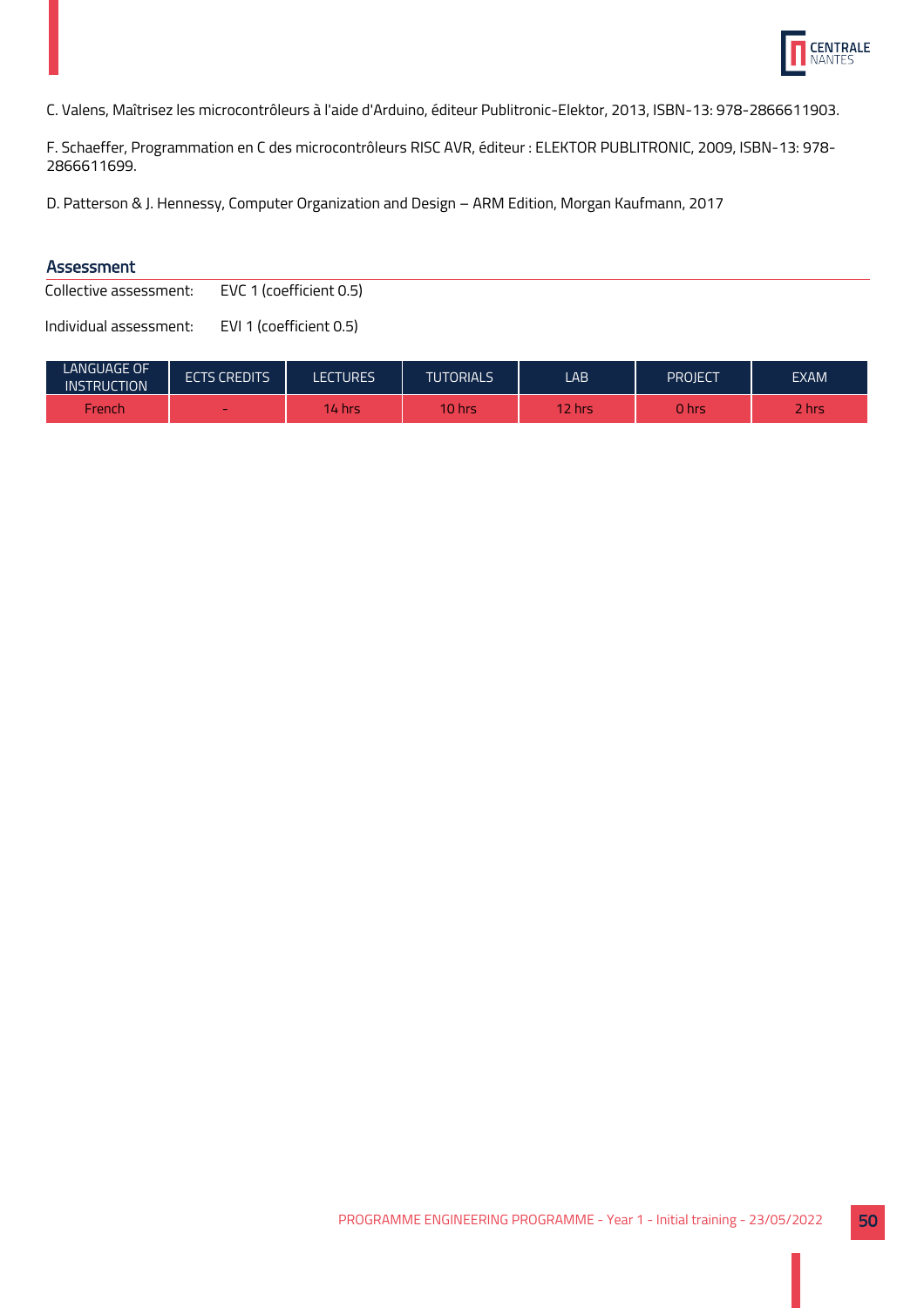

C. Valens, Maîtrisez les microcontrôleurs à l'aide d'Arduino, éditeur Publitronic-Elektor, 2013, ISBN-13: 978-2866611903.

F. Schaeffer, Programmation en C des microcontrôleurs RISC AVR, éditeur : ELEKTOR PUBLITRONIC, 2009, ISBN-13: 978- 2866611699.

D. Patterson & J. Hennessy, Computer Organization and Design – ARM Edition, Morgan Kaufmann, 2017

## Assessment

Collective assessment: EVC 1 (coefficient 0.5)

| <b>LANGUAGE OF</b><br><b>INSTRUCTION</b> | <b>ECTS CREDITS</b> | LECTURES | <b>TUTORIALS</b> | LAB    | PROJECT | <b>EXAM</b> |
|------------------------------------------|---------------------|----------|------------------|--------|---------|-------------|
| French                                   | $\sim$              | 14 hrs   | $10$ hrs         | 12 hrs | 0 hrs   | / hrs       |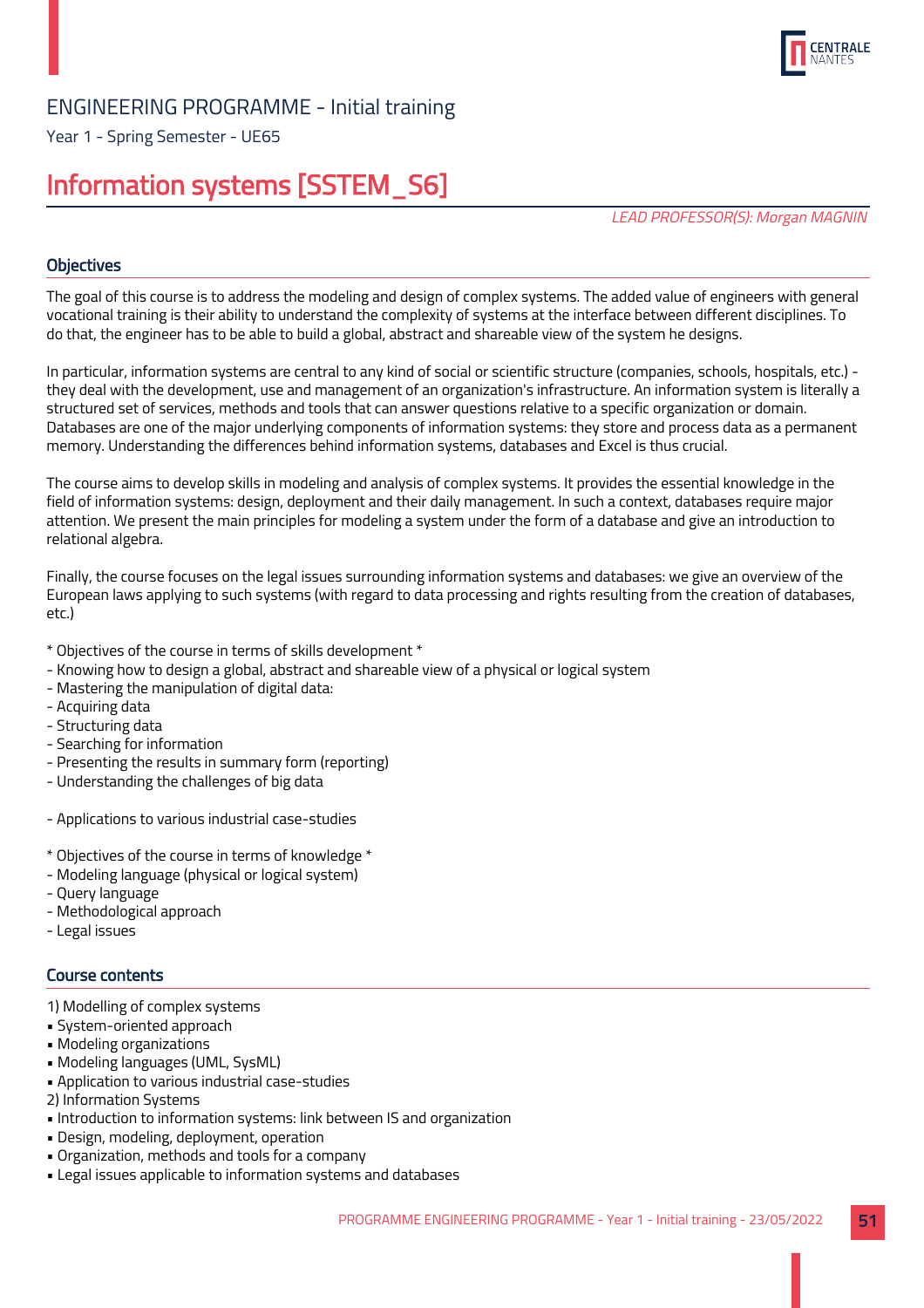

Year 1 - Spring Semester - UE65

## Information systems [SSTEM\_S6]

LEAD PROFESSOR(S): Morgan MAGNIN

## **Objectives**

The goal of this course is to address the modeling and design of complex systems. The added value of engineers with general vocational training is their ability to understand the complexity of systems at the interface between different disciplines. To do that, the engineer has to be able to build a global, abstract and shareable view of the system he designs.

In particular, information systems are central to any kind of social or scientific structure (companies, schools, hospitals, etc.) they deal with the development, use and management of an organization's infrastructure. An information system is literally a structured set of services, methods and tools that can answer questions relative to a specific organization or domain. Databases are one of the major underlying components of information systems: they store and process data as a permanent memory. Understanding the differences behind information systems, databases and Excel is thus crucial.

The course aims to develop skills in modeling and analysis of complex systems. It provides the essential knowledge in the field of information systems: design, deployment and their daily management. In such a context, databases require major attention. We present the main principles for modeling a system under the form of a database and give an introduction to relational algebra.

Finally, the course focuses on the legal issues surrounding information systems and databases: we give an overview of the European laws applying to such systems (with regard to data processing and rights resulting from the creation of databases, etc.)

- \* Objectives of the course in terms of skills development \*
- Knowing how to design a global, abstract and shareable view of a physical or logical system
- Mastering the manipulation of digital data:
- Acquiring data
- Structuring data
- Searching for information
- Presenting the results in summary form (reporting)
- Understanding the challenges of big data
- Applications to various industrial case-studies
- \* Objectives of the course in terms of knowledge \*
- Modeling language (physical or logical system)
- Query language
- Methodological approach
- Legal issues

## Course contents

- 1) Modelling of complex systems
- System-oriented approach
- Modeling organizations
- Modeling languages (UML, SysML)
- Application to various industrial case-studies
- 2) Information Systems
- Introduction to information systems: link between IS and organization
- Design, modeling, deployment, operation
- Organization, methods and tools for a company
- Legal issues applicable to information systems and databases